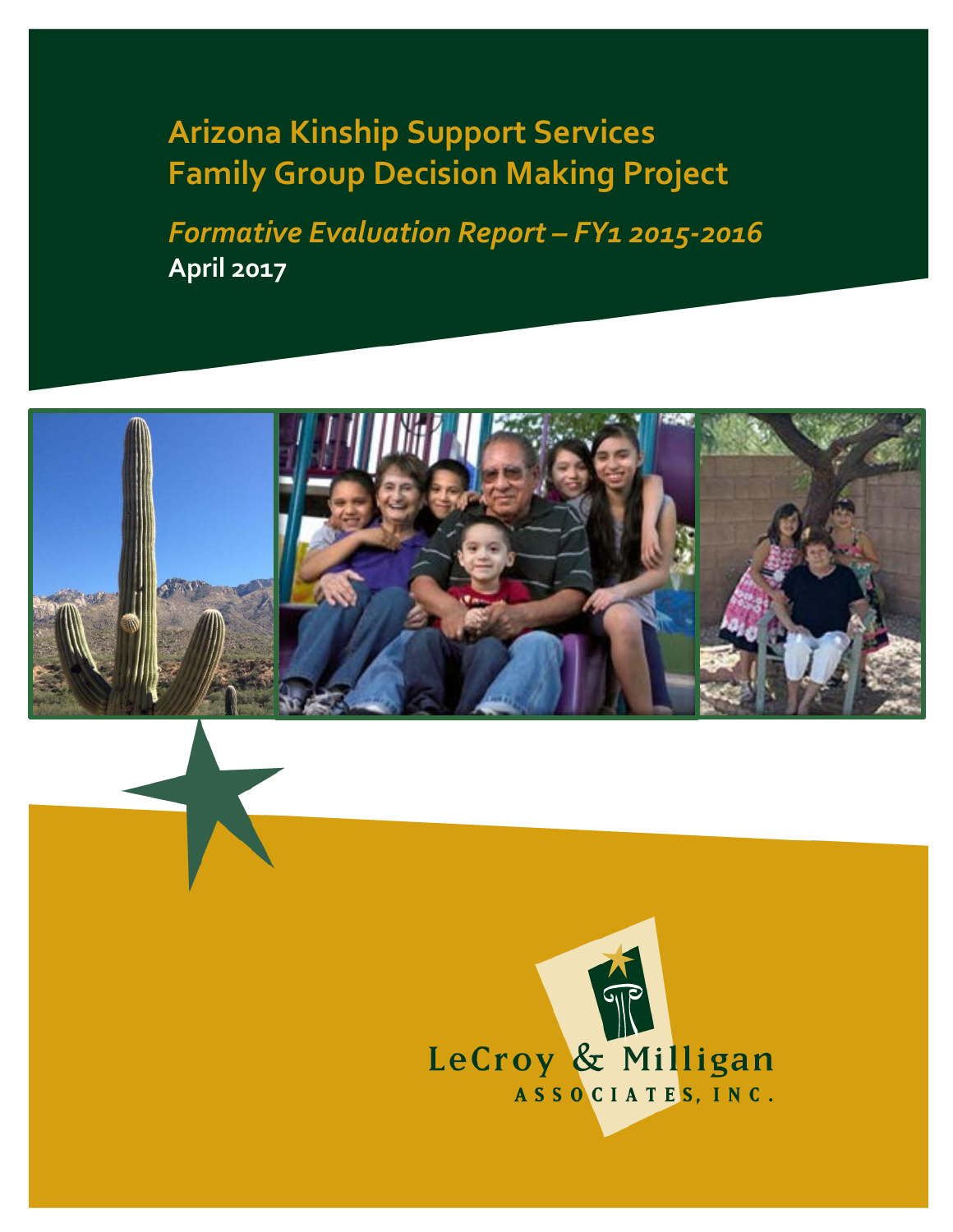**Arizona Kinship Support Services Family Group Decision Making Project**

*Formative Evaluation Report – FY1 2015-2016* **April 2017**



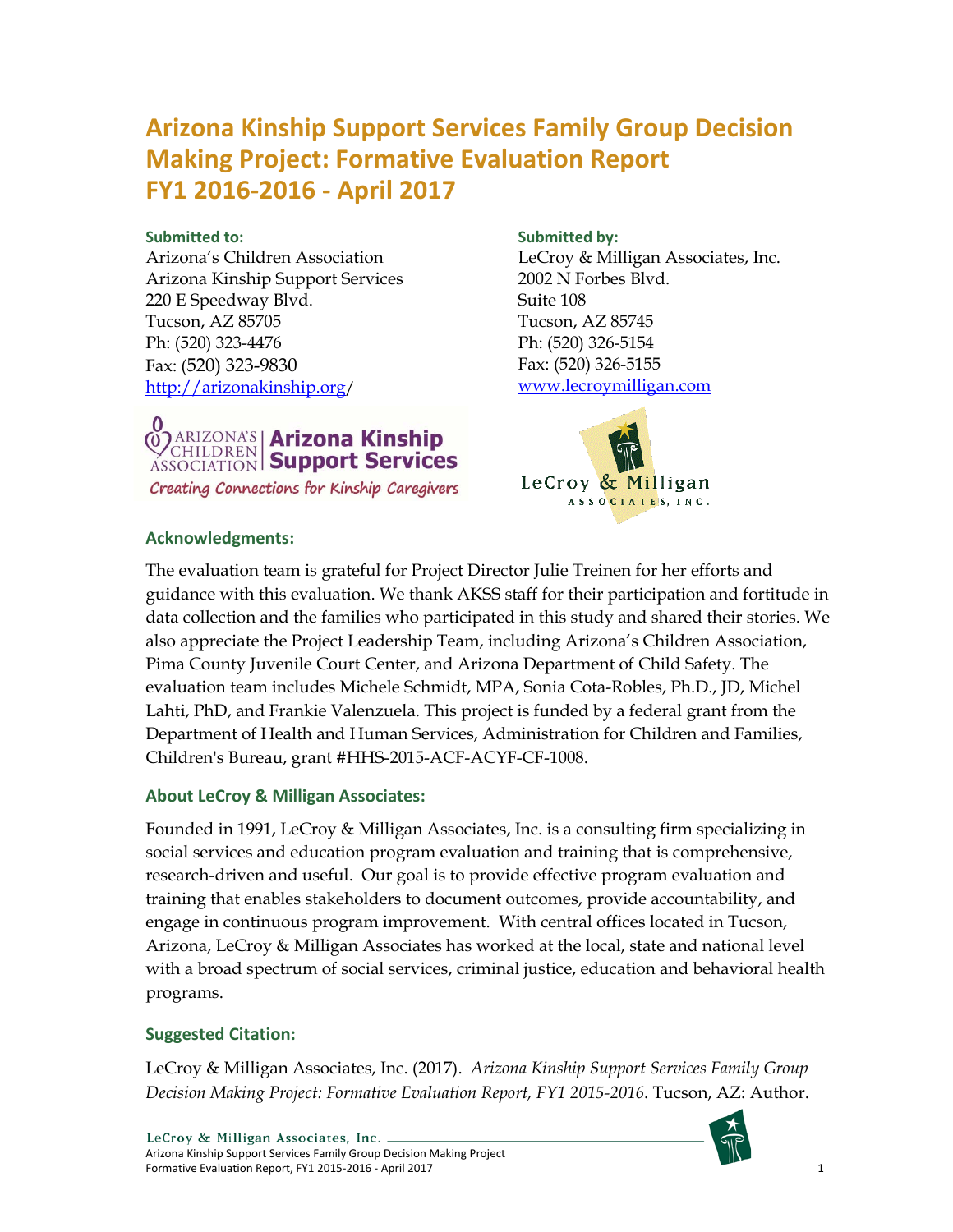# **Arizona Kinship Support Services Family Group Decision Making Project: Formative Evaluation Report FY1 2016-2016 - April 2017**

#### **Submitted to:**

Arizona's Children Association Arizona Kinship Support Services 220 E Speedway Blvd. Tucson, AZ 85705 Ph: (520) 323-4476 Fax: (520) 323-9830 <http://arizonakinship.org/>



Creating Connections for Kinship Caregivers

#### **Submitted by:**

LeCroy & Milligan Associates, Inc. 2002 N Forbes Blvd. Suite 108 Tucson, AZ 85745 Ph: (520) 326-5154 Fax: (520) 326-5155 [www.lecroymilligan.com](http://www.lecroymilligan.com/)



#### **Acknowledgments:**

The evaluation team is grateful for Project Director Julie Treinen for her efforts and guidance with this evaluation. We thank AKSS staff for their participation and fortitude in data collection and the families who participated in this study and shared their stories. We also appreciate the Project Leadership Team, including Arizona's Children Association, Pima County Juvenile Court Center, and Arizona Department of Child Safety. The evaluation team includes Michele Schmidt, MPA, Sonia Cota-Robles, Ph.D., JD, Michel Lahti, PhD, and Frankie Valenzuela. This project is funded by a federal grant from the Department of Health and Human Services, Administration for Children and Families, Children's Bureau, grant #HHS-2015-ACF-ACYF-CF-1008.

## **About LeCroy & Milligan Associates:**

Founded in 1991, LeCroy & Milligan Associates, Inc. is a consulting firm specializing in social services and education program evaluation and training that is comprehensive, research-driven and useful. Our goal is to provide effective program evaluation and training that enables stakeholders to document outcomes, provide accountability, and engage in continuous program improvement. With central offices located in Tucson, Arizona, LeCroy & Milligan Associates has worked at the local, state and national level with a broad spectrum of social services, criminal justice, education and behavioral health programs.

## **Suggested Citation:**

LeCroy & Milligan Associates, Inc. (2017). *Arizona Kinship Support Services Family Group Decision Making Project: Formative Evaluation Report, FY1 2015-2016*. Tucson, AZ: Author.

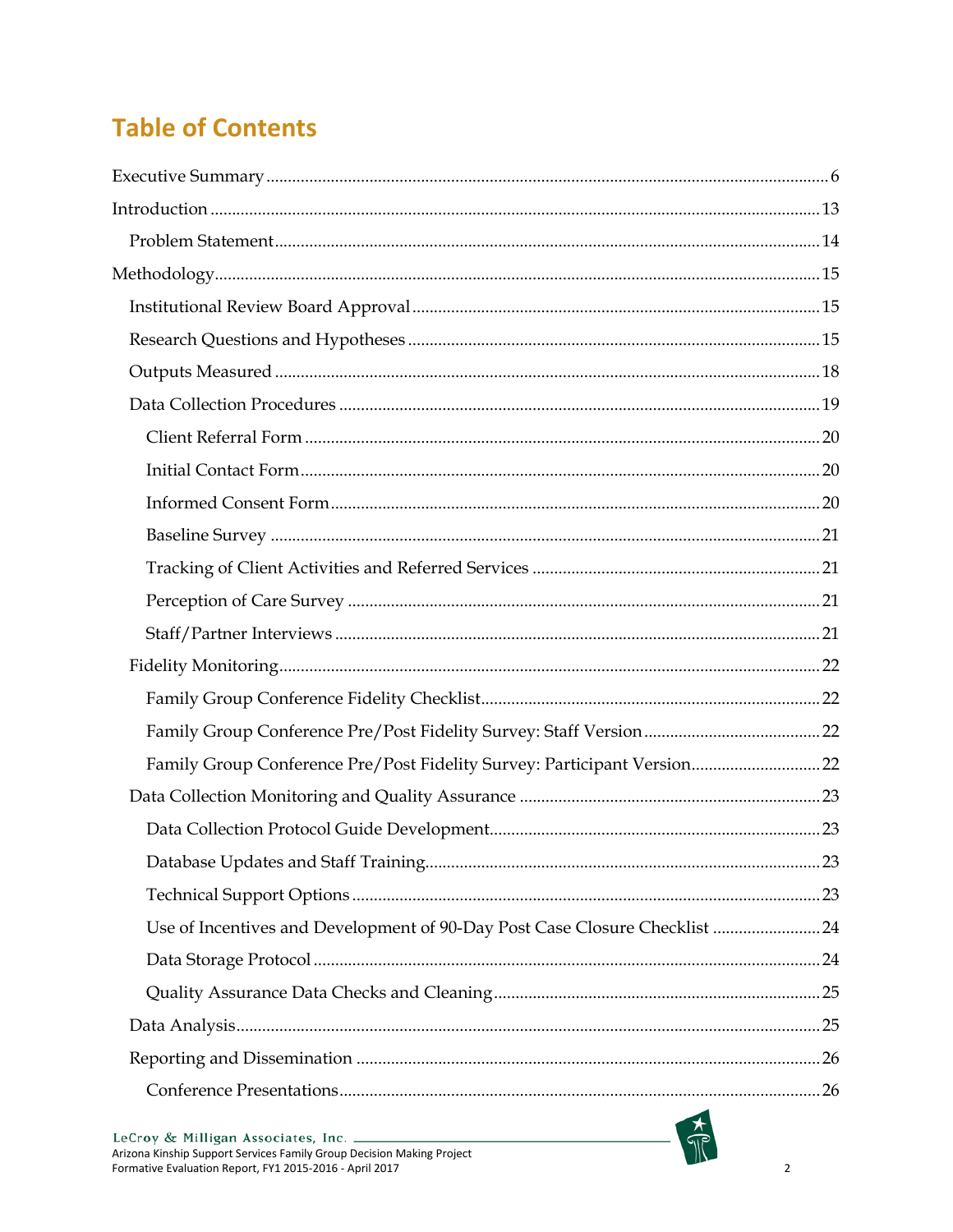# **Table of Contents**

| Family Group Conference Pre/Post Fidelity Survey: Participant Version 22    |  |
|-----------------------------------------------------------------------------|--|
|                                                                             |  |
|                                                                             |  |
|                                                                             |  |
|                                                                             |  |
| Use of Incentives and Development of 90-Day Post Case Closure Checklist  24 |  |
|                                                                             |  |
|                                                                             |  |
|                                                                             |  |
|                                                                             |  |
|                                                                             |  |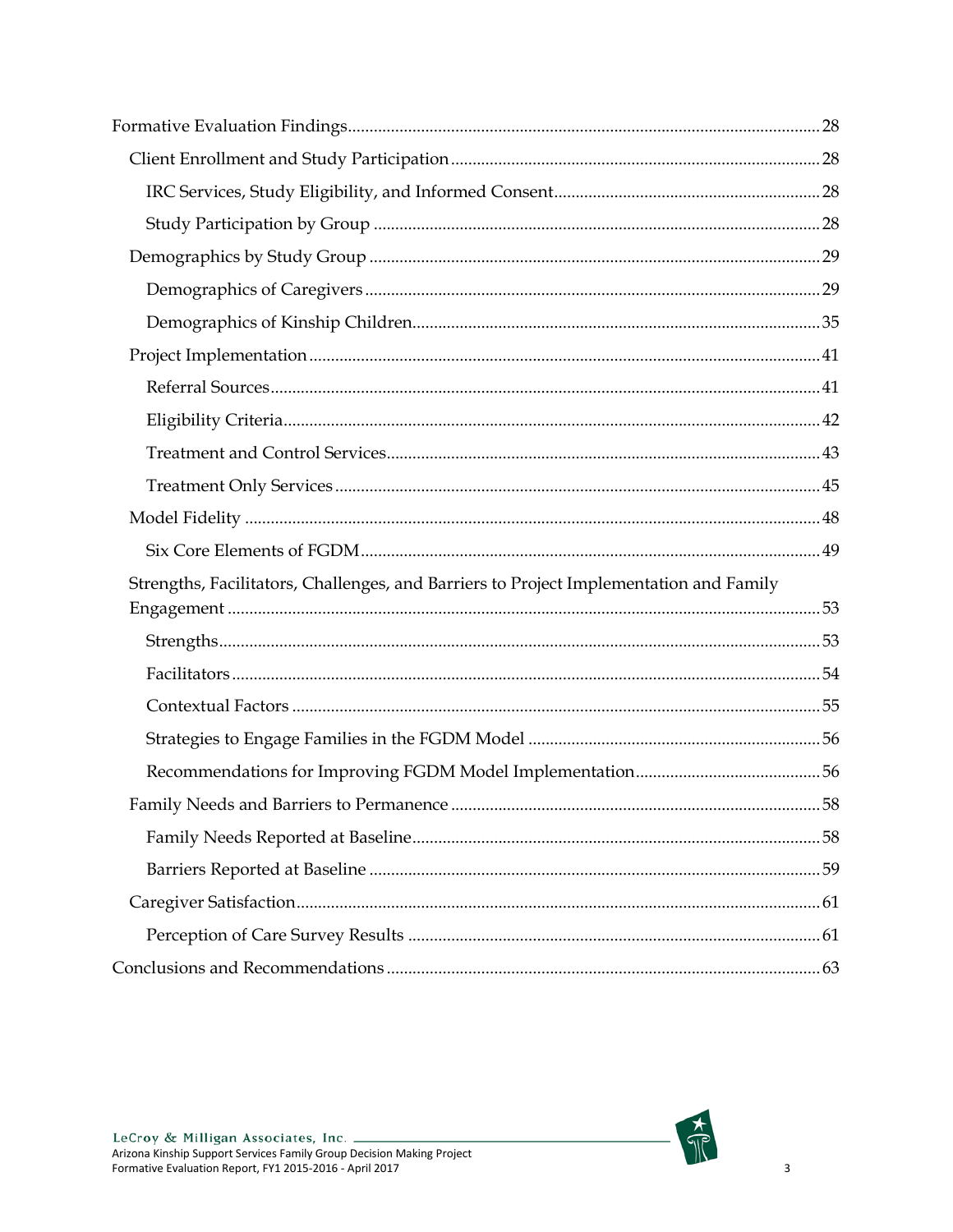| Strengths, Facilitators, Challenges, and Barriers to Project Implementation and Family |  |
|----------------------------------------------------------------------------------------|--|
|                                                                                        |  |
|                                                                                        |  |
|                                                                                        |  |
|                                                                                        |  |
|                                                                                        |  |
|                                                                                        |  |
|                                                                                        |  |
|                                                                                        |  |
|                                                                                        |  |
|                                                                                        |  |
|                                                                                        |  |
|                                                                                        |  |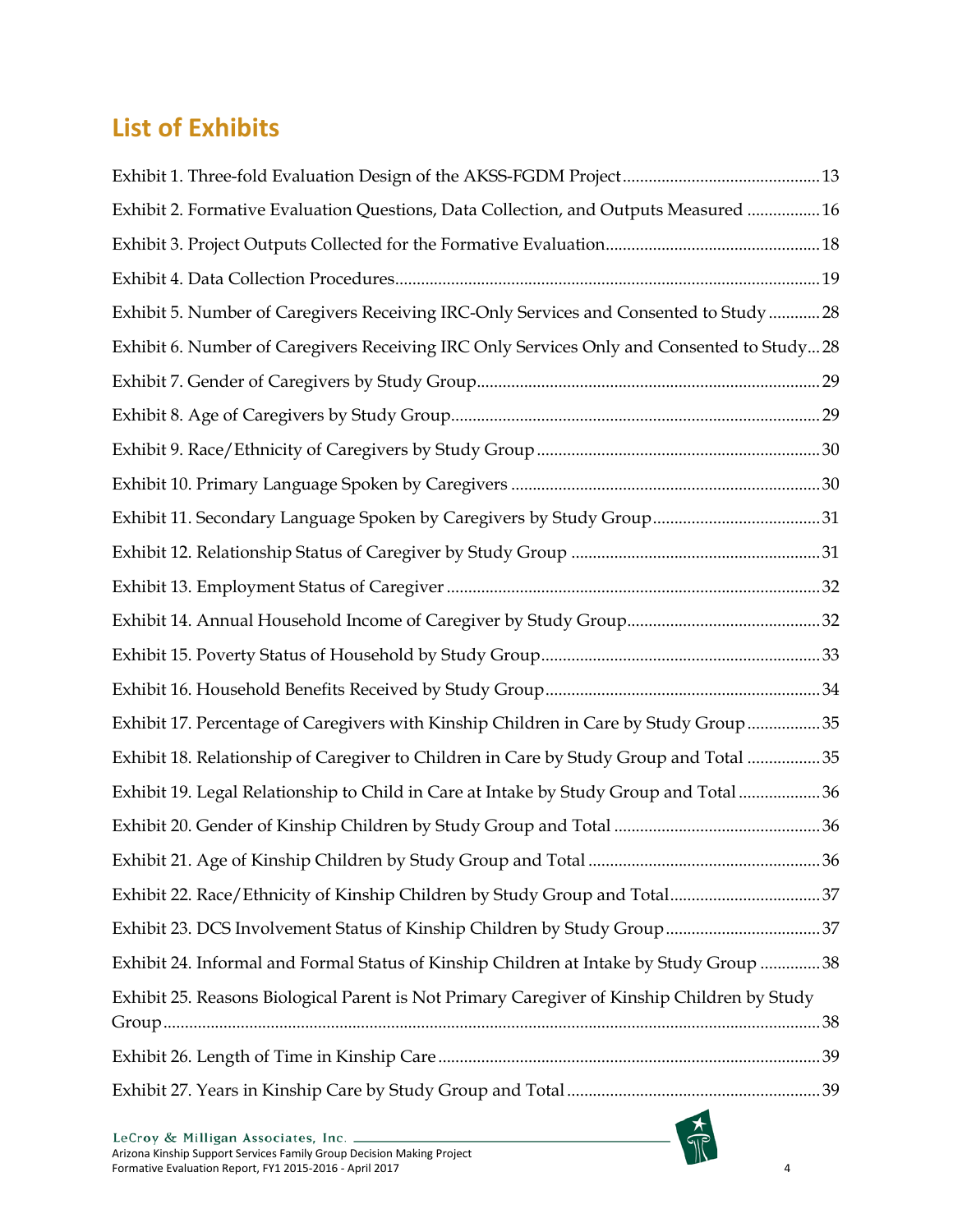# **List of Exhibits**

| Exhibit 2. Formative Evaluation Questions, Data Collection, and Outputs Measured 16         |  |
|---------------------------------------------------------------------------------------------|--|
|                                                                                             |  |
|                                                                                             |  |
| Exhibit 5. Number of Caregivers Receiving IRC-Only Services and Consented to Study  28      |  |
| Exhibit 6. Number of Caregivers Receiving IRC Only Services Only and Consented to Study28   |  |
|                                                                                             |  |
|                                                                                             |  |
|                                                                                             |  |
|                                                                                             |  |
|                                                                                             |  |
|                                                                                             |  |
|                                                                                             |  |
|                                                                                             |  |
|                                                                                             |  |
|                                                                                             |  |
| Exhibit 17. Percentage of Caregivers with Kinship Children in Care by Study Group35         |  |
| Exhibit 18. Relationship of Caregiver to Children in Care by Study Group and Total 35       |  |
| Exhibit 19. Legal Relationship to Child in Care at Intake by Study Group and Total36        |  |
|                                                                                             |  |
|                                                                                             |  |
|                                                                                             |  |
|                                                                                             |  |
| Exhibit 24. Informal and Formal Status of Kinship Children at Intake by Study Group  38     |  |
| Exhibit 25. Reasons Biological Parent is Not Primary Caregiver of Kinship Children by Study |  |
|                                                                                             |  |
|                                                                                             |  |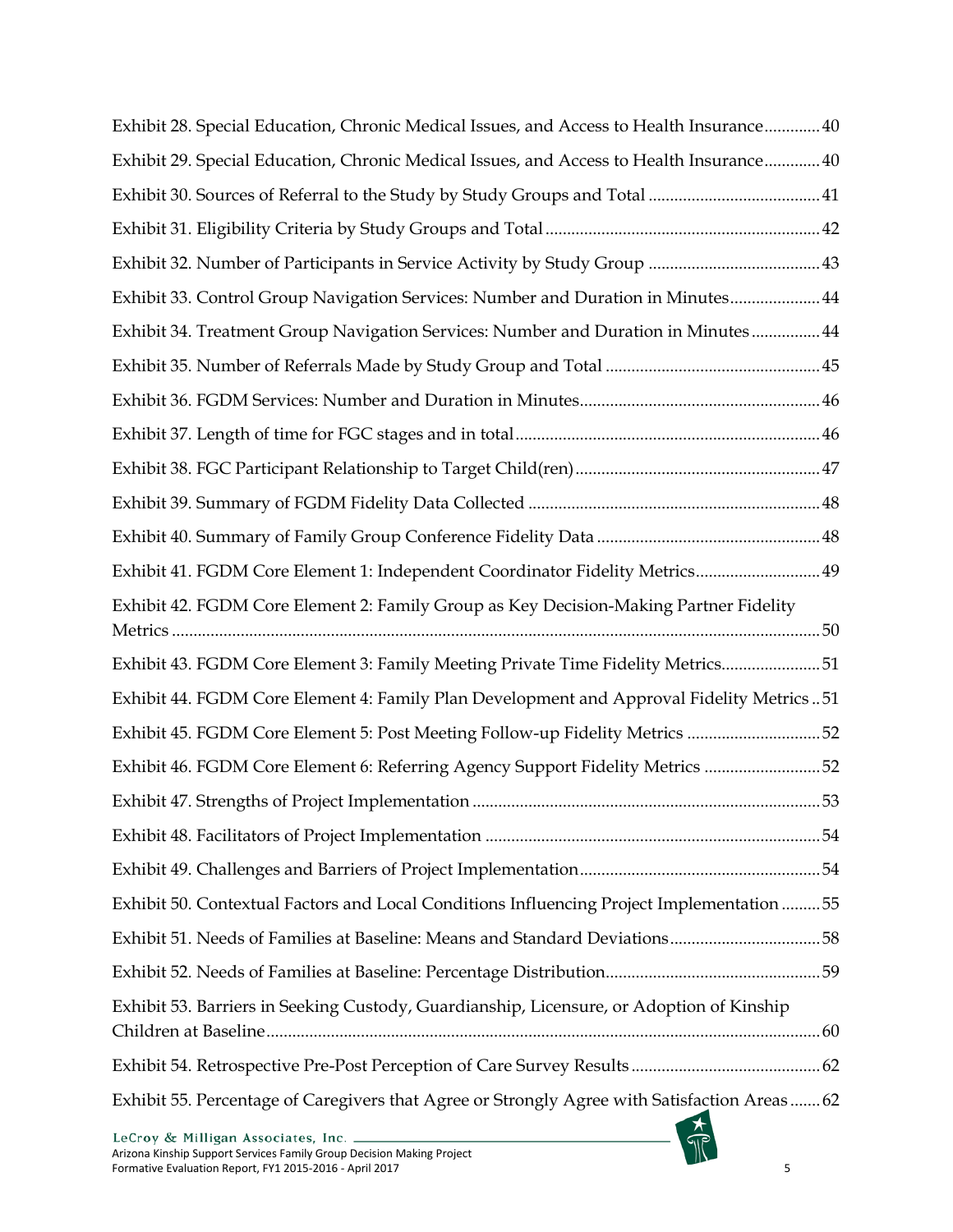| Exhibit 28. Special Education, Chronic Medical Issues, and Access to Health Insurance 40     |
|----------------------------------------------------------------------------------------------|
| Exhibit 29. Special Education, Chronic Medical Issues, and Access to Health Insurance 40     |
|                                                                                              |
|                                                                                              |
|                                                                                              |
| Exhibit 33. Control Group Navigation Services: Number and Duration in Minutes 44             |
| Exhibit 34. Treatment Group Navigation Services: Number and Duration in Minutes 44           |
|                                                                                              |
|                                                                                              |
|                                                                                              |
|                                                                                              |
|                                                                                              |
|                                                                                              |
| Exhibit 41. FGDM Core Element 1: Independent Coordinator Fidelity Metrics 49                 |
| Exhibit 42. FGDM Core Element 2: Family Group as Key Decision-Making Partner Fidelity        |
| Exhibit 43. FGDM Core Element 3: Family Meeting Private Time Fidelity Metrics51              |
| Exhibit 44. FGDM Core Element 4: Family Plan Development and Approval Fidelity Metrics51     |
| Exhibit 45. FGDM Core Element 5: Post Meeting Follow-up Fidelity Metrics 52                  |
| Exhibit 46. FGDM Core Element 6: Referring Agency Support Fidelity Metrics 52                |
|                                                                                              |
|                                                                                              |
|                                                                                              |
| Exhibit 50. Contextual Factors and Local Conditions Influencing Project Implementation  55   |
| Exhibit 51. Needs of Families at Baseline: Means and Standard Deviations58                   |
|                                                                                              |
| Exhibit 53. Barriers in Seeking Custody, Guardianship, Licensure, or Adoption of Kinship     |
|                                                                                              |
| Exhibit 55. Percentage of Caregivers that Agree or Strongly Agree with Satisfaction Areas 62 |
| $I_0$ Croy $\ell_{\mathcal{T}}$ Milligan Associates Inc.                                     |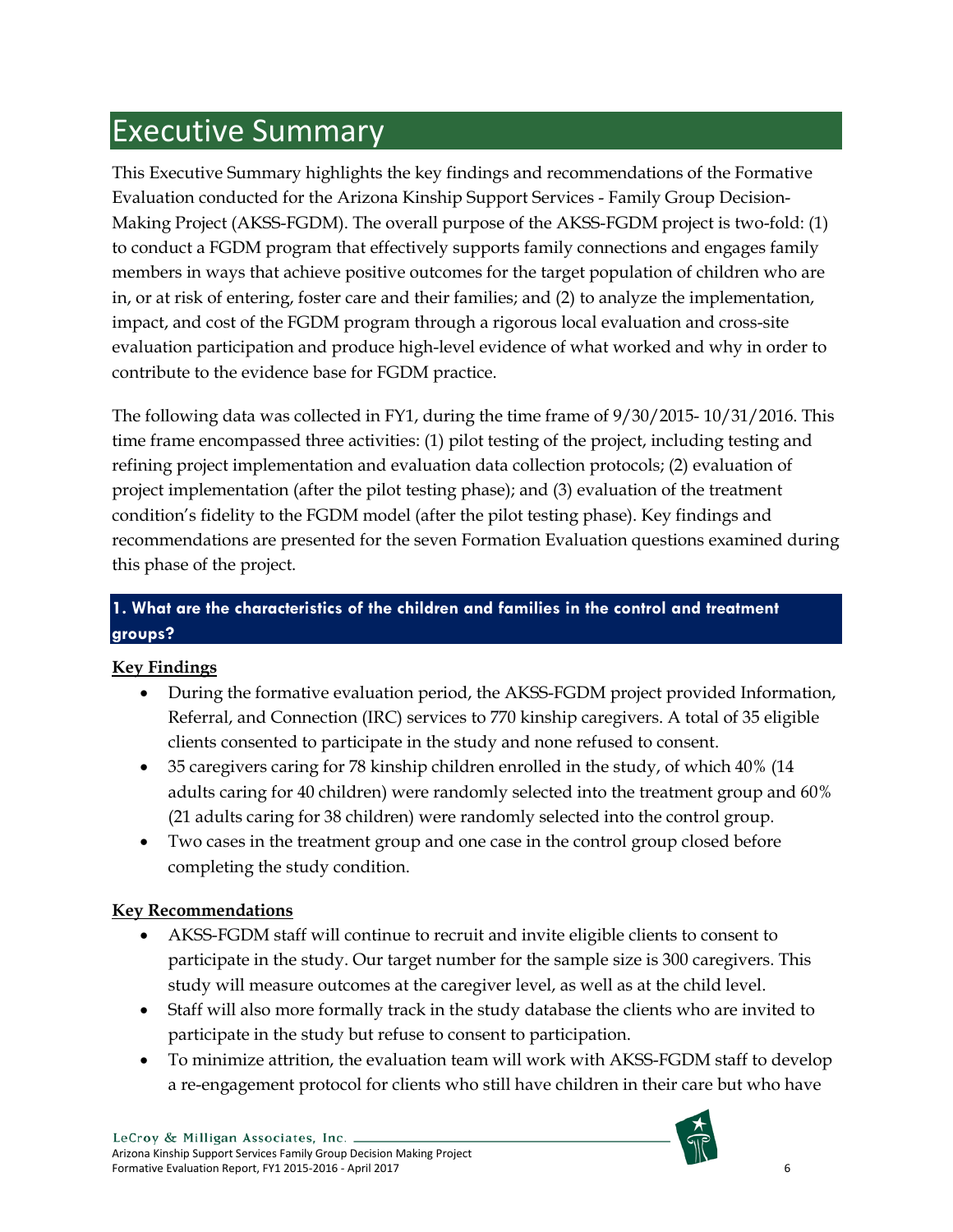# <span id="page-6-0"></span>Executive Summary

This Executive Summary highlights the key findings and recommendations of the Formative Evaluation conducted for the Arizona Kinship Support Services - Family Group Decision-Making Project (AKSS-FGDM). The overall purpose of the AKSS-FGDM project is two-fold: (1) to conduct a FGDM program that effectively supports family connections and engages family members in ways that achieve positive outcomes for the target population of children who are in, or at risk of entering, foster care and their families; and (2) to analyze the implementation, impact, and cost of the FGDM program through a rigorous local evaluation and cross-site evaluation participation and produce high-level evidence of what worked and why in order to contribute to the evidence base for FGDM practice.

The following data was collected in FY1, during the time frame of 9/30/2015- 10/31/2016. This time frame encompassed three activities: (1) pilot testing of the project, including testing and refining project implementation and evaluation data collection protocols; (2) evaluation of project implementation (after the pilot testing phase); and (3) evaluation of the treatment condition's fidelity to the FGDM model (after the pilot testing phase). Key findings and recommendations are presented for the seven Formation Evaluation questions examined during this phase of the project.

# **1. What are the characteristics of the children and families in the control and treatment groups?**

# **Key Findings**

- During the formative evaluation period, the AKSS-FGDM project provided Information, Referral, and Connection (IRC) services to 770 kinship caregivers. A total of 35 eligible clients consented to participate in the study and none refused to consent.
- 35 caregivers caring for 78 kinship children enrolled in the study, of which 40% (14 adults caring for 40 children) were randomly selected into the treatment group and 60% (21 adults caring for 38 children) were randomly selected into the control group.
- Two cases in the treatment group and one case in the control group closed before completing the study condition.

## **Key Recommendations**

- AKSS-FGDM staff will continue to recruit and invite eligible clients to consent to participate in the study. Our target number for the sample size is 300 caregivers. This study will measure outcomes at the caregiver level, as well as at the child level.
- Staff will also more formally track in the study database the clients who are invited to participate in the study but refuse to consent to participation.
- To minimize attrition, the evaluation team will work with AKSS-FGDM staff to develop a re-engagement protocol for clients who still have children in their care but who have

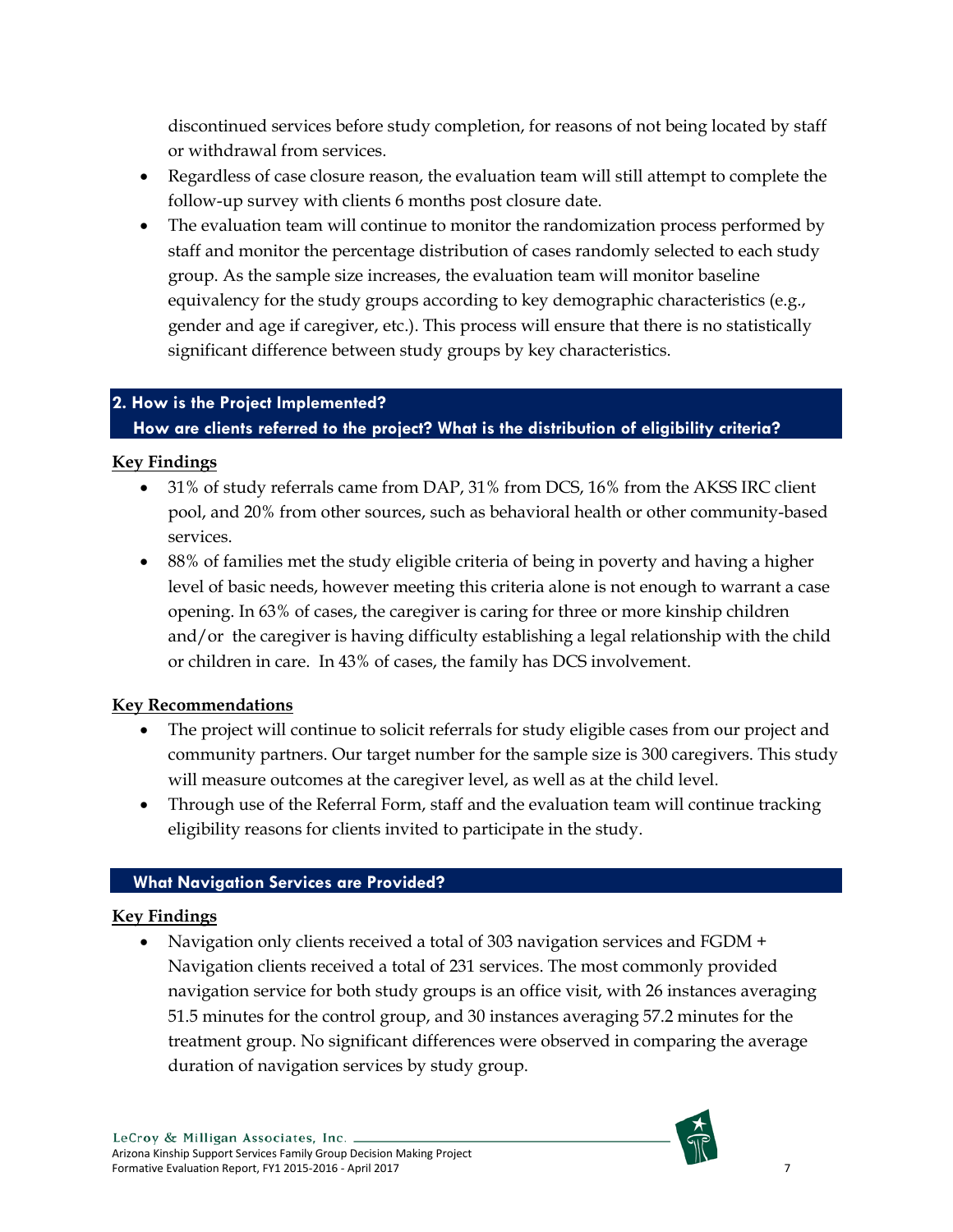discontinued services before study completion, for reasons of not being located by staff or withdrawal from services.

- Regardless of case closure reason, the evaluation team will still attempt to complete the follow-up survey with clients 6 months post closure date.
- The evaluation team will continue to monitor the randomization process performed by staff and monitor the percentage distribution of cases randomly selected to each study group. As the sample size increases, the evaluation team will monitor baseline equivalency for the study groups according to key demographic characteristics (e.g., gender and age if caregiver, etc.). This process will ensure that there is no statistically significant difference between study groups by key characteristics.

## **2. How is the Project Implemented?**

## **How are clients referred to the project? What is the distribution of eligibility criteria?**

## **Key Findings**

- 31% of study referrals came from DAP, 31% from DCS, 16% from the AKSS IRC client pool, and 20% from other sources, such as behavioral health or other community-based services.
- 88% of families met the study eligible criteria of being in poverty and having a higher level of basic needs, however meeting this criteria alone is not enough to warrant a case opening. In 63% of cases, the caregiver is caring for three or more kinship children and/or the caregiver is having difficulty establishing a legal relationship with the child or children in care. In 43% of cases, the family has DCS involvement.

## **Key Recommendations**

- The project will continue to solicit referrals for study eligible cases from our project and community partners. Our target number for the sample size is 300 caregivers. This study will measure outcomes at the caregiver level, as well as at the child level.
- Through use of the Referral Form, staff and the evaluation team will continue tracking eligibility reasons for clients invited to participate in the study.

## **What Navigation Services are Provided?**

## **Key Findings**

• Navigation only clients received a total of 303 navigation services and FGDM + Navigation clients received a total of 231 services. The most commonly provided navigation service for both study groups is an office visit, with 26 instances averaging 51.5 minutes for the control group, and 30 instances averaging 57.2 minutes for the treatment group. No significant differences were observed in comparing the average duration of navigation services by study group.

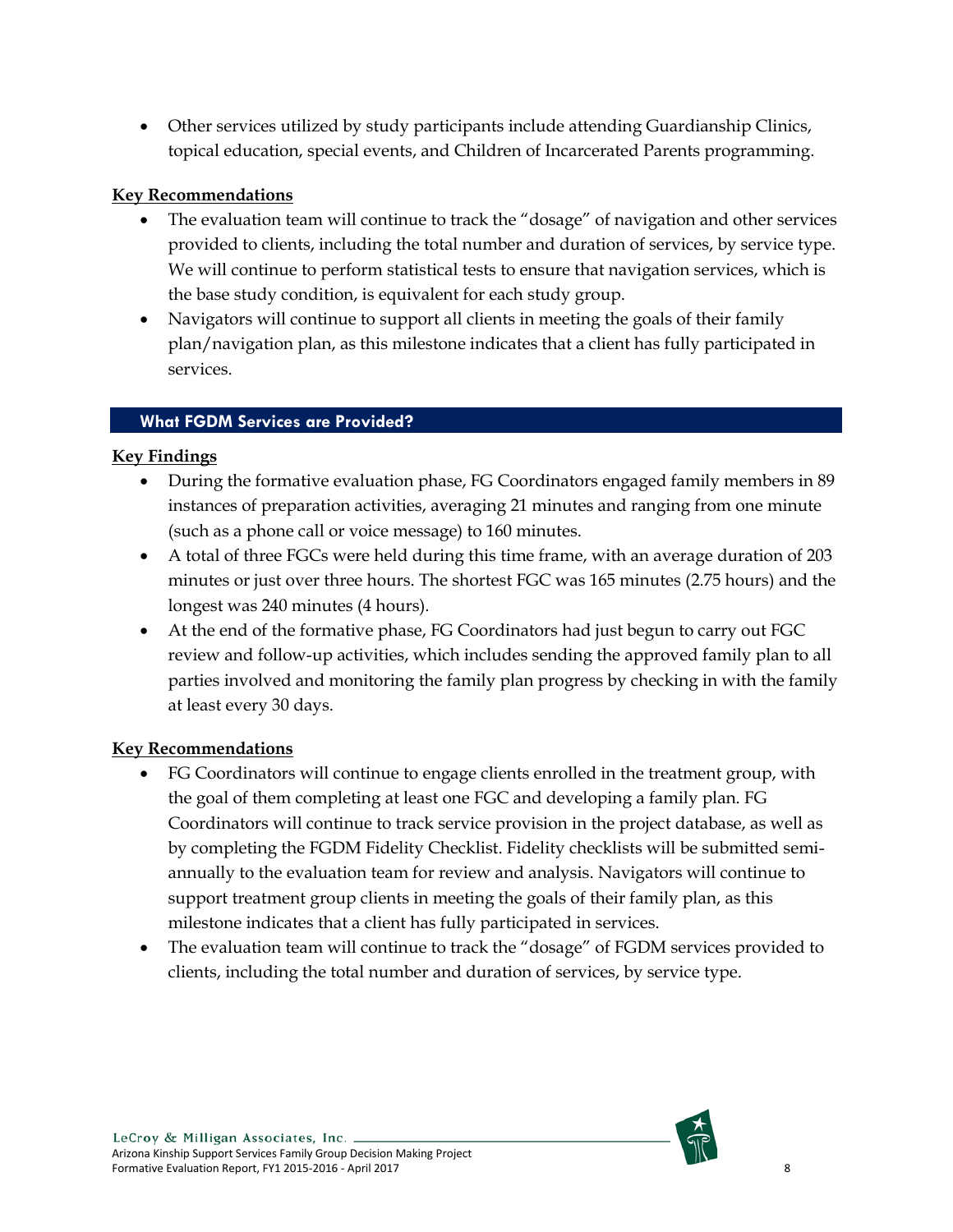• Other services utilized by study participants include attending Guardianship Clinics, topical education, special events, and Children of Incarcerated Parents programming.

### **Key Recommendations**

- The evaluation team will continue to track the "dosage" of navigation and other services provided to clients, including the total number and duration of services, by service type. We will continue to perform statistical tests to ensure that navigation services, which is the base study condition, is equivalent for each study group.
- Navigators will continue to support all clients in meeting the goals of their family plan/navigation plan, as this milestone indicates that a client has fully participated in services.

#### **What FGDM Services are Provided?**

#### **Key Findings**

- During the formative evaluation phase, FG Coordinators engaged family members in 89 instances of preparation activities, averaging 21 minutes and ranging from one minute (such as a phone call or voice message) to 160 minutes.
- A total of three FGCs were held during this time frame, with an average duration of 203 minutes or just over three hours. The shortest FGC was 165 minutes (2.75 hours) and the longest was 240 minutes (4 hours).
- At the end of the formative phase, FG Coordinators had just begun to carry out FGC review and follow-up activities, which includes sending the approved family plan to all parties involved and monitoring the family plan progress by checking in with the family at least every 30 days.

#### **Key Recommendations**

- FG Coordinators will continue to engage clients enrolled in the treatment group, with the goal of them completing at least one FGC and developing a family plan. FG Coordinators will continue to track service provision in the project database, as well as by completing the FGDM Fidelity Checklist. Fidelity checklists will be submitted semiannually to the evaluation team for review and analysis. Navigators will continue to support treatment group clients in meeting the goals of their family plan, as this milestone indicates that a client has fully participated in services.
- The evaluation team will continue to track the "dosage" of FGDM services provided to clients, including the total number and duration of services, by service type.

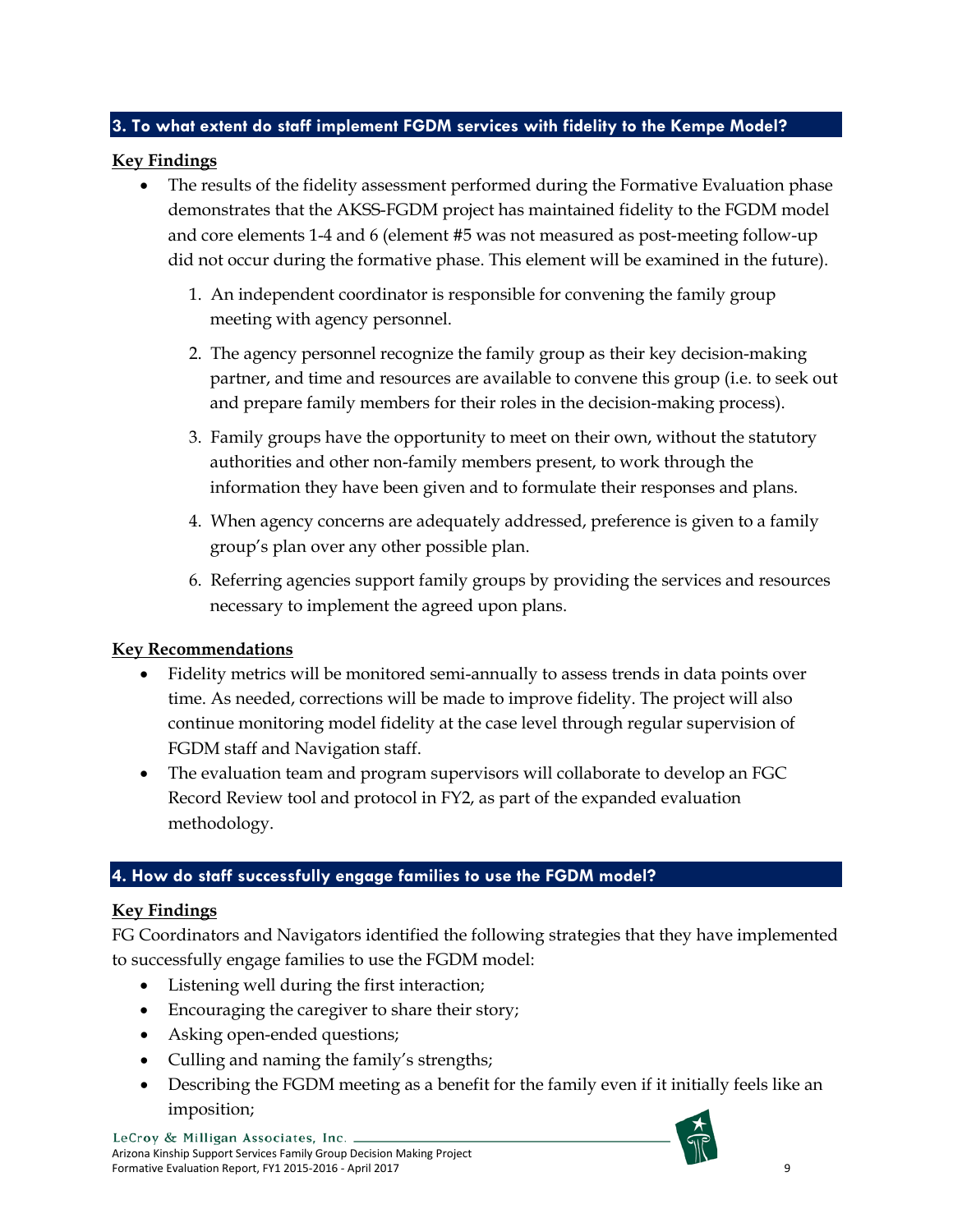## **3. To what extent do staff implement FGDM services with fidelity to the Kempe Model?**

### **Key Findings**

- The results of the fidelity assessment performed during the Formative Evaluation phase demonstrates that the AKSS-FGDM project has maintained fidelity to the FGDM model and core elements 1-4 and 6 (element #5 was not measured as post-meeting follow-up did not occur during the formative phase. This element will be examined in the future).
	- 1. An independent coordinator is responsible for convening the family group meeting with agency personnel.
	- 2. The agency personnel recognize the family group as their key decision-making partner, and time and resources are available to convene this group (i.e. to seek out and prepare family members for their roles in the decision-making process).
	- 3. Family groups have the opportunity to meet on their own, without the statutory authorities and other non-family members present, to work through the information they have been given and to formulate their responses and plans.
	- 4. When agency concerns are adequately addressed, preference is given to a family group's plan over any other possible plan.
	- 6. Referring agencies support family groups by providing the services and resources necessary to implement the agreed upon plans.

## **Key Recommendations**

- Fidelity metrics will be monitored semi-annually to assess trends in data points over time. As needed, corrections will be made to improve fidelity. The project will also continue monitoring model fidelity at the case level through regular supervision of FGDM staff and Navigation staff.
- The evaluation team and program supervisors will collaborate to develop an FGC Record Review tool and protocol in FY2, as part of the expanded evaluation methodology.

## **4. How do staff successfully engage families to use the FGDM model?**

## **Key Findings**

FG Coordinators and Navigators identified the following strategies that they have implemented to successfully engage families to use the FGDM model:

- Listening well during the first interaction;
- Encouraging the caregiver to share their story;
- Asking open-ended questions;
- Culling and naming the family's strengths;
- Describing the FGDM meeting as a benefit for the family even if it initially feels like an imposition;

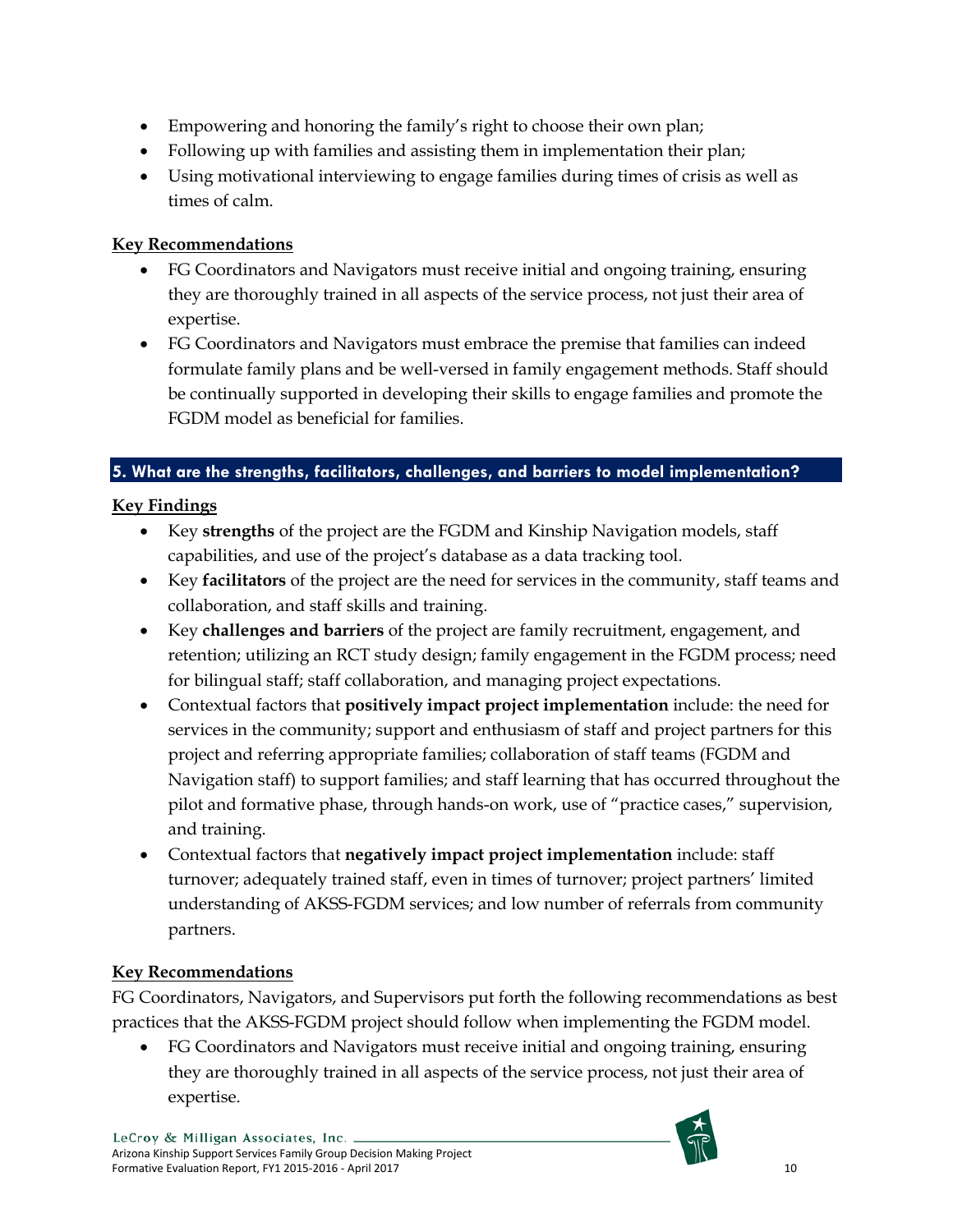- Empowering and honoring the family's right to choose their own plan;
- Following up with families and assisting them in implementation their plan;
- Using motivational interviewing to engage families during times of crisis as well as times of calm.

# **Key Recommendations**

- FG Coordinators and Navigators must receive initial and ongoing training, ensuring they are thoroughly trained in all aspects of the service process, not just their area of expertise.
- FG Coordinators and Navigators must embrace the premise that families can indeed formulate family plans and be well-versed in family engagement methods. Staff should be continually supported in developing their skills to engage families and promote the FGDM model as beneficial for families.

## **5. What are the strengths, facilitators, challenges, and barriers to model implementation?**

# **Key Findings**

- Key **strengths** of the project are the FGDM and Kinship Navigation models, staff capabilities, and use of the project's database as a data tracking tool.
- Key **facilitators** of the project are the need for services in the community, staff teams and collaboration, and staff skills and training.
- Key **challenges and barriers** of the project are family recruitment, engagement, and retention; utilizing an RCT study design; family engagement in the FGDM process; need for bilingual staff; staff collaboration, and managing project expectations.
- Contextual factors that **positively impact project implementation** include: the need for services in the community; support and enthusiasm of staff and project partners for this project and referring appropriate families; collaboration of staff teams (FGDM and Navigation staff) to support families; and staff learning that has occurred throughout the pilot and formative phase, through hands-on work, use of "practice cases," supervision, and training.
- Contextual factors that **negatively impact project implementation** include: staff turnover; adequately trained staff, even in times of turnover; project partners' limited understanding of AKSS-FGDM services; and low number of referrals from community partners.

# **Key Recommendations**

FG Coordinators, Navigators, and Supervisors put forth the following recommendations as best practices that the AKSS-FGDM project should follow when implementing the FGDM model.

• FG Coordinators and Navigators must receive initial and ongoing training, ensuring they are thoroughly trained in all aspects of the service process, not just their area of expertise.

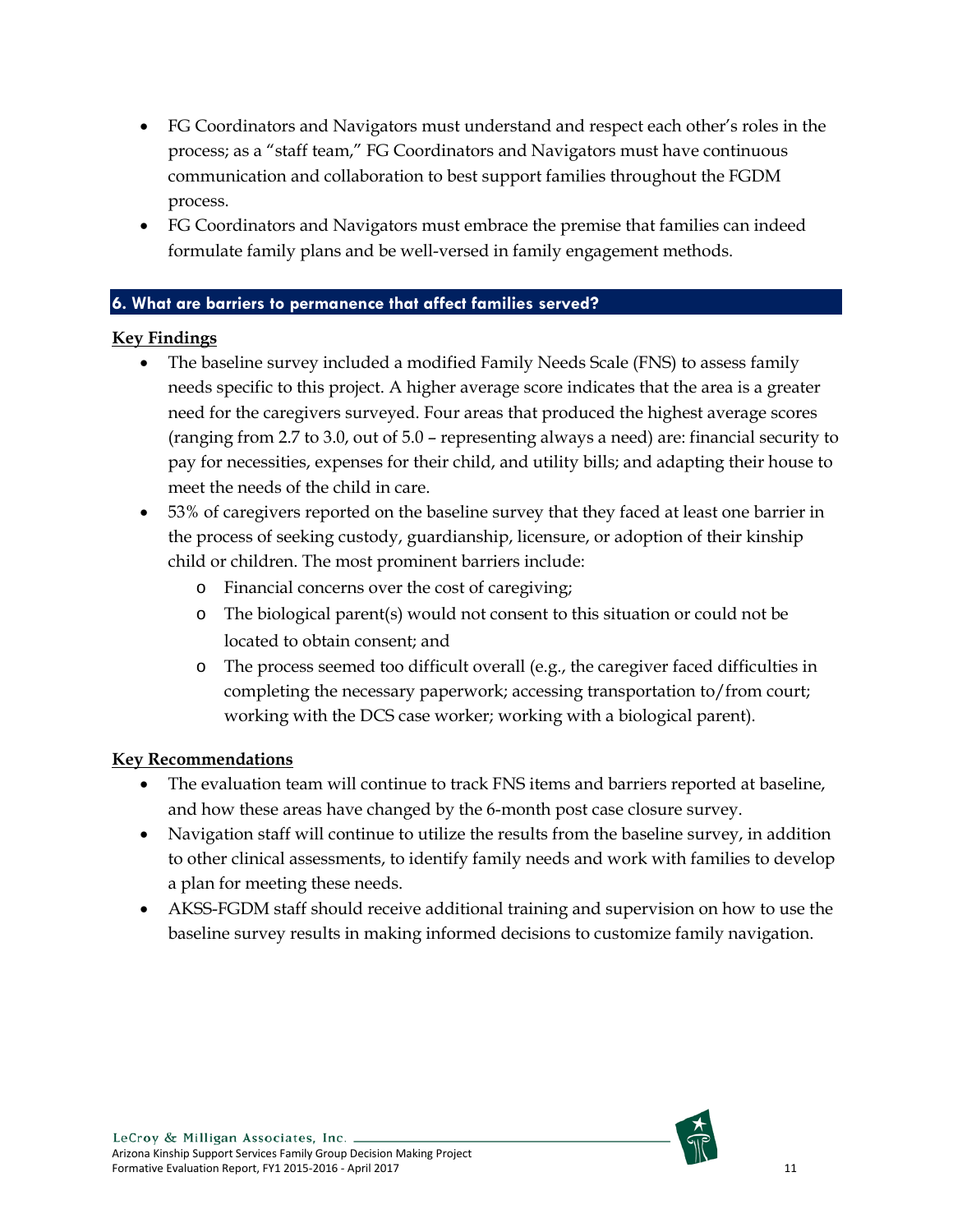- FG Coordinators and Navigators must understand and respect each other's roles in the process; as a "staff team," FG Coordinators and Navigators must have continuous communication and collaboration to best support families throughout the FGDM process.
- FG Coordinators and Navigators must embrace the premise that families can indeed formulate family plans and be well-versed in family engagement methods.

#### **6. What are barriers to permanence that affect families served?**

#### **Key Findings**

- The baseline survey included a modified Family Needs Scale (FNS) to assess family needs specific to this project. A higher average score indicates that the area is a greater need for the caregivers surveyed. Four areas that produced the highest average scores (ranging from 2.7 to 3.0, out of 5.0 – representing always a need) are: financial security to pay for necessities, expenses for their child, and utility bills; and adapting their house to meet the needs of the child in care.
- 53% of caregivers reported on the baseline survey that they faced at least one barrier in the process of seeking custody, guardianship, licensure, or adoption of their kinship child or children. The most prominent barriers include:
	- o Financial concerns over the cost of caregiving;
	- o The biological parent(s) would not consent to this situation or could not be located to obtain consent; and
	- o The process seemed too difficult overall (e.g., the caregiver faced difficulties in completing the necessary paperwork; accessing transportation to/from court; working with the DCS case worker; working with a biological parent).

## **Key Recommendations**

- The evaluation team will continue to track FNS items and barriers reported at baseline, and how these areas have changed by the 6-month post case closure survey.
- Navigation staff will continue to utilize the results from the baseline survey, in addition to other clinical assessments, to identify family needs and work with families to develop a plan for meeting these needs.
- AKSS-FGDM staff should receive additional training and supervision on how to use the baseline survey results in making informed decisions to customize family navigation.

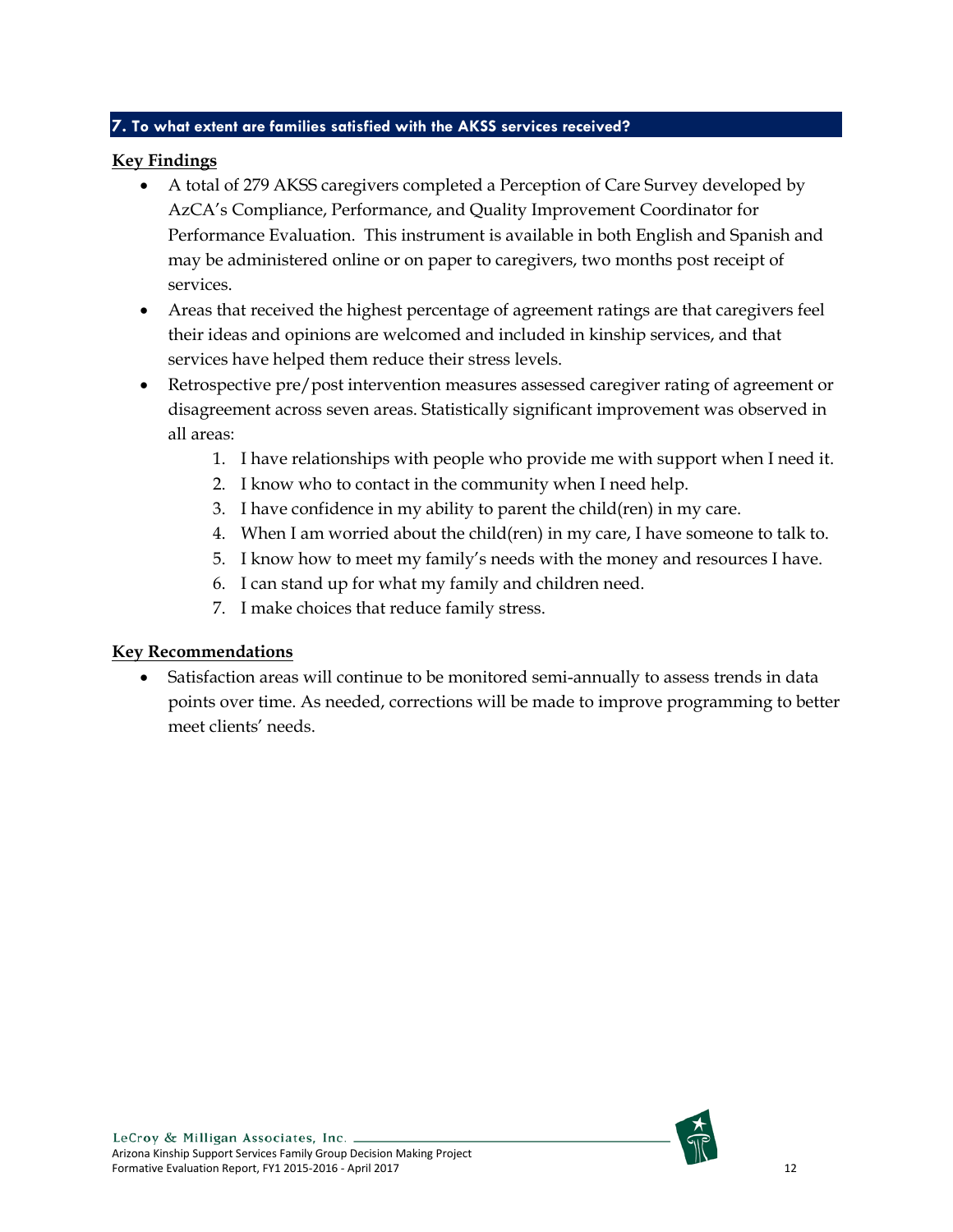#### **7. To what extent are families satisfied with the AKSS services received?**

### **Key Findings**

- A total of 279 AKSS caregivers completed a Perception of Care Survey developed by AzCA's Compliance, Performance, and Quality Improvement Coordinator for Performance Evaluation. This instrument is available in both English and Spanish and may be administered online or on paper to caregivers, two months post receipt of services.
- Areas that received the highest percentage of agreement ratings are that caregivers feel their ideas and opinions are welcomed and included in kinship services, and that services have helped them reduce their stress levels.
- Retrospective pre/post intervention measures assessed caregiver rating of agreement or disagreement across seven areas. Statistically significant improvement was observed in all areas:
	- 1. I have relationships with people who provide me with support when I need it.
	- 2. I know who to contact in the community when I need help.
	- 3. I have confidence in my ability to parent the child(ren) in my care.
	- 4. When I am worried about the child(ren) in my care, I have someone to talk to.
	- 5. I know how to meet my family's needs with the money and resources I have.
	- 6. I can stand up for what my family and children need.
	- 7. I make choices that reduce family stress.

## **Key Recommendations**

Satisfaction areas will continue to be monitored semi-annually to assess trends in data points over time. As needed, corrections will be made to improve programming to better meet clients' needs.

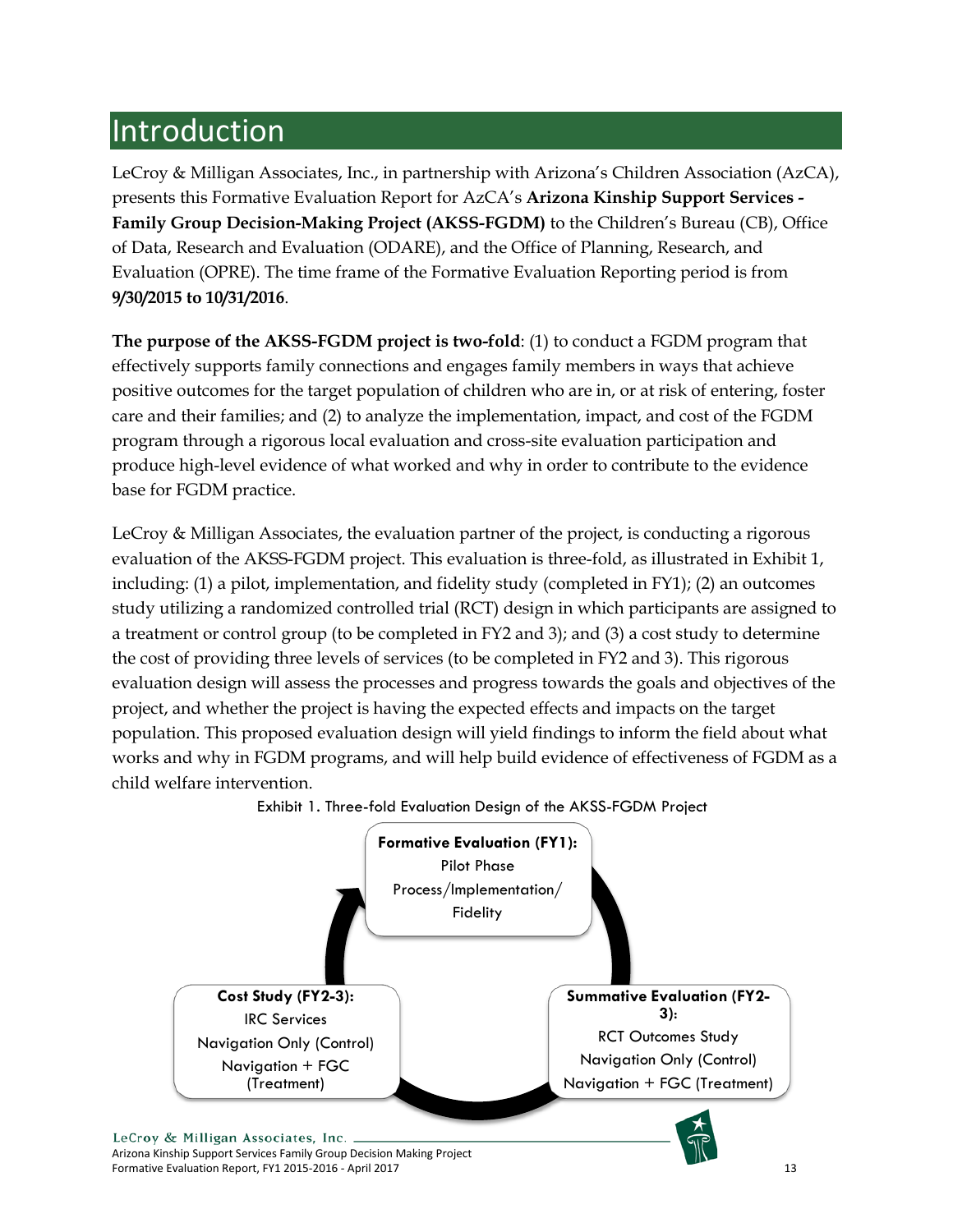# <span id="page-13-0"></span>Introduction

LeCroy & Milligan Associates, Inc., in partnership with Arizona's Children Association (AzCA), presents this Formative Evaluation Report for AzCA's **Arizona Kinship Support Services - Family Group Decision-Making Project (AKSS-FGDM)** to the Children's Bureau (CB), Office of Data, Research and Evaluation (ODARE), and the Office of Planning, Research, and Evaluation (OPRE). The time frame of the Formative Evaluation Reporting period is from **9/30/2015 to 10/31/2016**.

**The purpose of the AKSS-FGDM project is two-fold**: (1) to conduct a FGDM program that effectively supports family connections and engages family members in ways that achieve positive outcomes for the target population of children who are in, or at risk of entering, foster care and their families; and (2) to analyze the implementation, impact, and cost of the FGDM program through a rigorous local evaluation and cross-site evaluation participation and produce high-level evidence of what worked and why in order to contribute to the evidence base for FGDM practice.

LeCroy & Milligan Associates, the evaluation partner of the project, is conducting a rigorous evaluation of the AKSS-FGDM project. This evaluation is three-fold, as illustrated in Exhibit 1, including: (1) a pilot, implementation, and fidelity study (completed in FY1); (2) an outcomes study utilizing a randomized controlled trial (RCT) design in which participants are assigned to a treatment or control group (to be completed in FY2 and 3); and (3) a cost study to determine the cost of providing three levels of services (to be completed in FY2 and 3). This rigorous evaluation design will assess the processes and progress towards the goals and objectives of the project, and whether the project is having the expected effects and impacts on the target population. This proposed evaluation design will yield findings to inform the field about what works and why in FGDM programs, and will help build evidence of effectiveness of FGDM as a child welfare intervention.



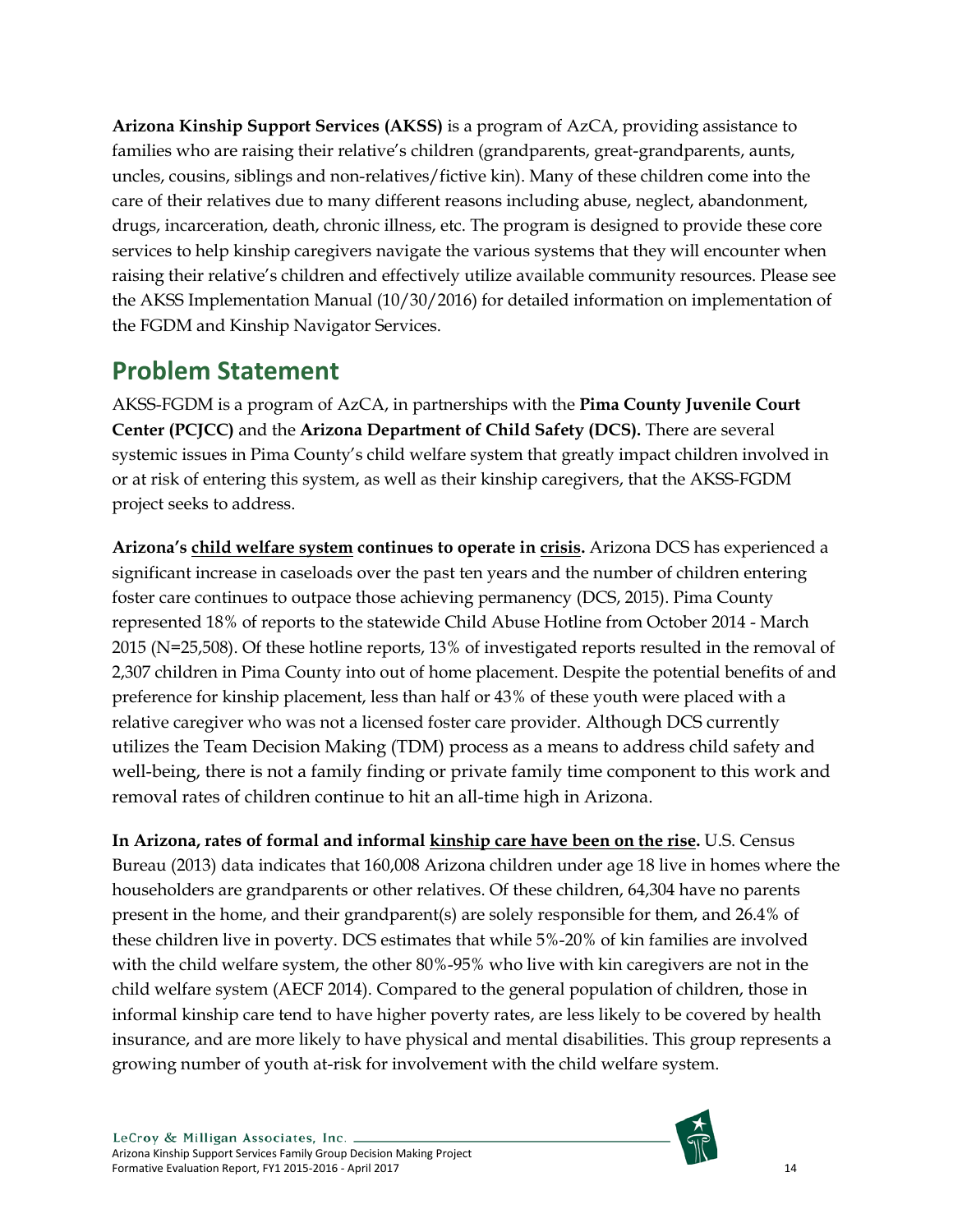**Arizona Kinship Support Services (AKSS)** is a program of AzCA, providing assistance to families who are raising their relative's children (grandparents, great-grandparents, aunts, uncles, cousins, siblings and non-relatives/fictive kin). Many of these children come into the care of their relatives due to many different reasons including abuse, neglect, abandonment, drugs, incarceration, death, chronic illness, etc. The program is designed to provide these core services to help kinship caregivers navigate the various systems that they will encounter when raising their relative's children and effectively utilize available community resources. Please see the AKSS Implementation Manual (10/30/2016) for detailed information on implementation of the FGDM and Kinship Navigator Services.

# <span id="page-14-0"></span>**Problem Statement**

AKSS-FGDM is a program of AzCA, in partnerships with the **Pima County Juvenile Court Center (PCJCC)** and the **Arizona Department of Child Safety (DCS).** There are several systemic issues in Pima County's child welfare system that greatly impact children involved in or at risk of entering this system, as well as their kinship caregivers, that the AKSS-FGDM project seeks to address.

**Arizona's child welfare system continues to operate in crisis.** Arizona DCS has experienced a significant increase in caseloads over the past ten years and the number of children entering foster care continues to outpace those achieving permanency (DCS, 2015). Pima County represented 18% of reports to the statewide Child Abuse Hotline from October 2014 - March 2015 (N=25,508). Of these hotline reports, 13% of investigated reports resulted in the removal of 2,307 children in Pima County into out of home placement. Despite the potential benefits of and preference for kinship placement, less than half or 43% of these youth were placed with a relative caregiver who was not a licensed foster care provider. Although DCS currently utilizes the Team Decision Making (TDM) process as a means to address child safety and well-being, there is not a family finding or private family time component to this work and removal rates of children continue to hit an all-time high in Arizona.

**In Arizona, rates of formal and informal kinship care have been on the rise.** U.S. Census Bureau (2013) data indicates that 160,008 Arizona children under age 18 live in homes where the householders are grandparents or other relatives. Of these children, 64,304 have no parents present in the home, and their grandparent(s) are solely responsible for them, and 26.4% of these children live in poverty. DCS estimates that while 5%-20% of kin families are involved with the child welfare system, the other 80%-95% who live with kin caregivers are not in the child welfare system (AECF 2014). Compared to the general population of children, those in informal kinship care tend to have higher poverty rates, are less likely to be covered by health insurance, and are more likely to have physical and mental disabilities. This group represents a growing number of youth at-risk for involvement with the child welfare system.

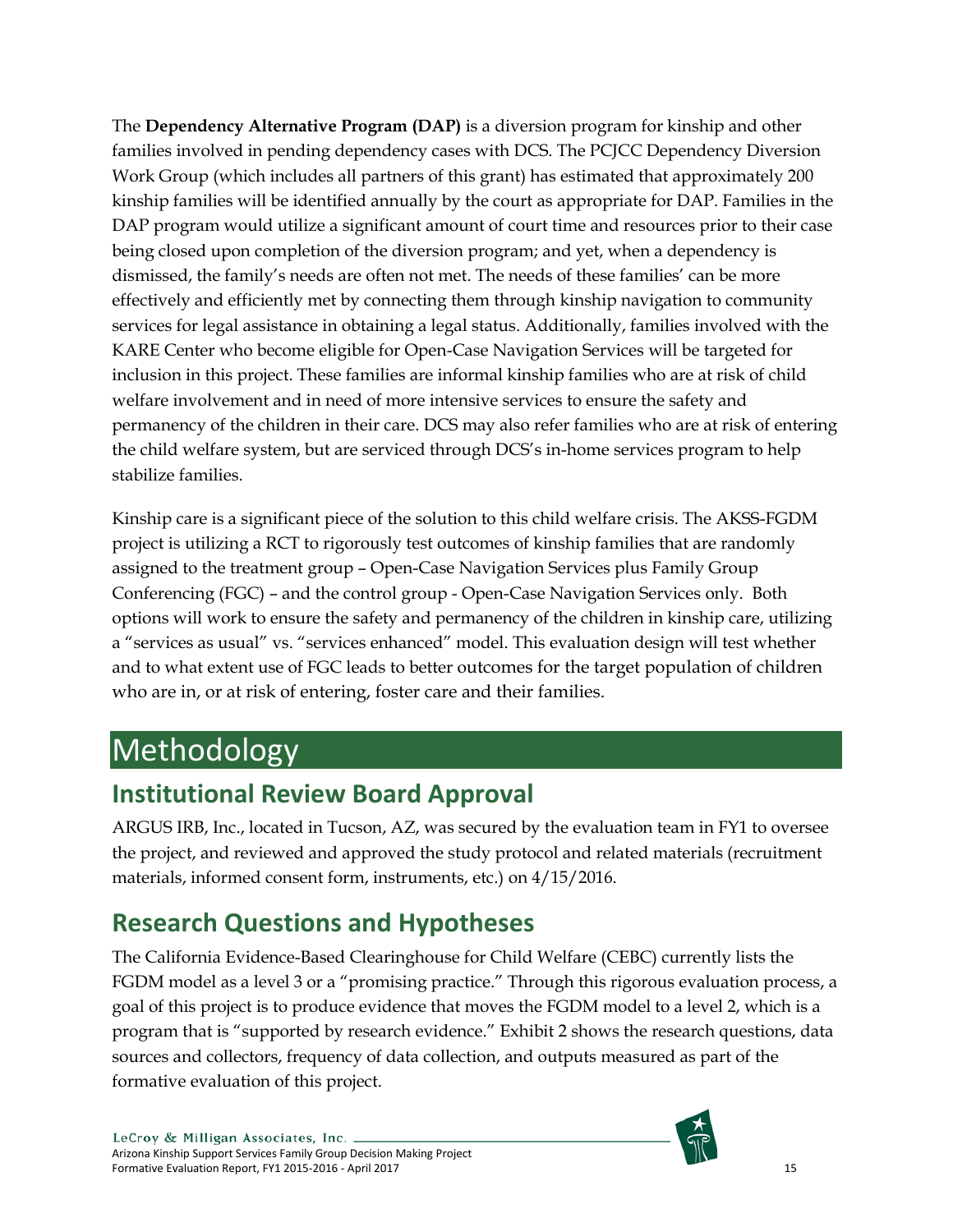The **Dependency Alternative Program (DAP)** is a diversion program for kinship and other families involved in pending dependency cases with DCS. The PCJCC Dependency Diversion Work Group (which includes all partners of this grant) has estimated that approximately 200 kinship families will be identified annually by the court as appropriate for DAP. Families in the DAP program would utilize a significant amount of court time and resources prior to their case being closed upon completion of the diversion program; and yet, when a dependency is dismissed, the family's needs are often not met. The needs of these families' can be more effectively and efficiently met by connecting them through kinship navigation to community services for legal assistance in obtaining a legal status. Additionally, families involved with the KARE Center who become eligible for Open-Case Navigation Services will be targeted for inclusion in this project. These families are informal kinship families who are at risk of child welfare involvement and in need of more intensive services to ensure the safety and permanency of the children in their care. DCS may also refer families who are at risk of entering the child welfare system, but are serviced through DCS's in-home services program to help stabilize families.

Kinship care is a significant piece of the solution to this child welfare crisis. The AKSS-FGDM project is utilizing a RCT to rigorously test outcomes of kinship families that are randomly assigned to the treatment group – Open-Case Navigation Services plus Family Group Conferencing (FGC) – and the control group - Open-Case Navigation Services only. Both options will work to ensure the safety and permanency of the children in kinship care, utilizing a "services as usual" vs. "services enhanced" model. This evaluation design will test whether and to what extent use of FGC leads to better outcomes for the target population of children who are in, or at risk of entering, foster care and their families.

# <span id="page-15-0"></span>Methodology

# <span id="page-15-1"></span>**Institutional Review Board Approval**

ARGUS IRB, Inc., located in Tucson, AZ, was secured by the evaluation team in FY1 to oversee the project, and reviewed and approved the study protocol and related materials (recruitment materials, informed consent form, instruments, etc.) on 4/15/2016.

# <span id="page-15-2"></span>**Research Questions and Hypotheses**

The California Evidence-Based Clearinghouse for Child Welfare (CEBC) currently lists the FGDM model as a level 3 or a "promising practice." Through this rigorous evaluation process, a goal of this project is to produce evidence that moves the FGDM model to a level 2, which is a program that is "supported by research evidence." Exhibit 2 shows the research questions, data sources and collectors, frequency of data collection, and outputs measured as part of the formative evaluation of this project.

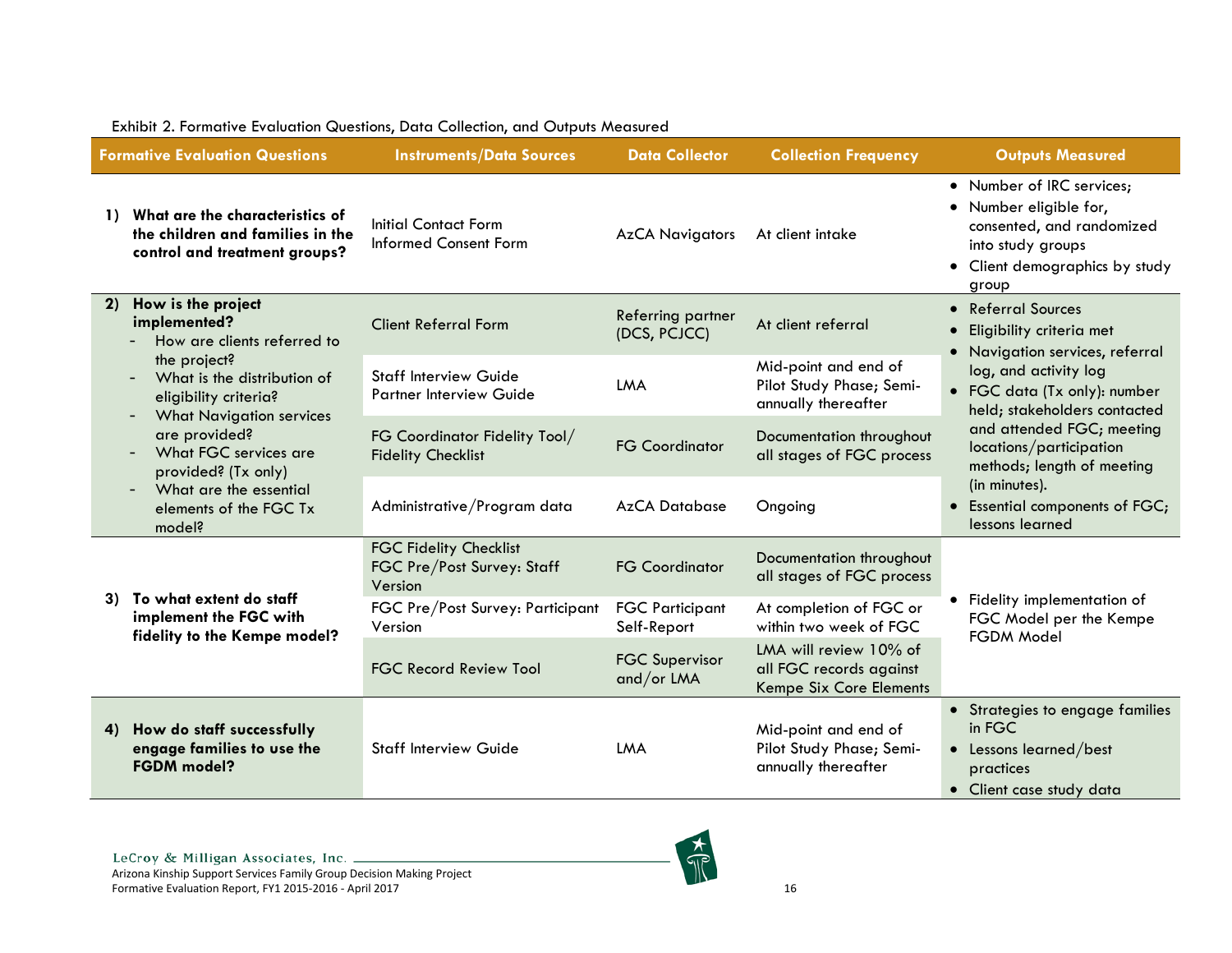<span id="page-16-0"></span>

|                                                                   | <b>Formative Evaluation Questions</b>                                                                   | <b>Instruments/Data Sources</b>                                        | <b>Data Collector</b>                 | <b>Collection Frequency</b>                                                  | <b>Outputs Measured</b>                                                                                                                          |
|-------------------------------------------------------------------|---------------------------------------------------------------------------------------------------------|------------------------------------------------------------------------|---------------------------------------|------------------------------------------------------------------------------|--------------------------------------------------------------------------------------------------------------------------------------------------|
| $\mathbf{D}$                                                      | What are the characteristics of<br>the children and families in the<br>control and treatment groups?    | Initial Contact Form<br><b>Informed Consent Form</b>                   | <b>AzCA Navigators</b>                | At client intake                                                             | • Number of IRC services;<br>• Number eligible for,<br>consented, and randomized<br>into study groups<br>• Client demographics by study<br>group |
| 2)                                                                | How is the project<br>implemented?<br>How are clients referred to                                       | <b>Client Referral Form</b>                                            | Referring partner<br>(DCS, PCJCC)     | At client referral                                                           | • Referral Sources<br>Eligibility criteria met<br>• Navigation services, referral                                                                |
|                                                                   | the project?<br>What is the distribution of<br>eligibility criteria?<br><b>What Navigation services</b> | <b>Staff Interview Guide</b><br><b>Partner Interview Guide</b>         | LMA                                   | Mid-point and end of<br>Pilot Study Phase; Semi-<br>annually thereafter      | log, and activity log<br>• FGC data (Tx only): number<br>held; stakeholders contacted                                                            |
|                                                                   | are provided?<br>What FGC services are<br>provided? (Tx only)                                           | FG Coordinator Fidelity Tool/<br><b>Fidelity Checklist</b>             | <b>FG Coordinator</b>                 | Documentation throughout<br>all stages of FGC process                        | and attended FGC; meeting<br>locations/participation<br>methods; length of meeting                                                               |
| What are the essential<br>$-$<br>elements of the FGC Tx<br>model? | Administrative/Program data                                                                             | <b>AzCA Database</b>                                                   | Ongoing                               | (in minutes).<br>Essential components of FGC;<br>lessons learned             |                                                                                                                                                  |
|                                                                   | To what extent do staff                                                                                 | <b>FGC Fidelity Checklist</b><br>FGC Pre/Post Survey: Staff<br>Version | <b>FG Coordinator</b>                 | Documentation throughout<br>all stages of FGC process                        |                                                                                                                                                  |
|                                                                   | 3)<br>implement the FGC with<br>fidelity to the Kempe model?                                            | FGC Pre/Post Survey: Participant<br>Version                            | <b>FGC Participant</b><br>Self-Report | At completion of FGC or<br>within two week of FGC                            | • Fidelity implementation of<br>FGC Model per the Kempe<br>FGDM Model                                                                            |
|                                                                   |                                                                                                         | <b>FGC Record Review Tool</b>                                          | <b>FGC Supervisor</b><br>and/or LMA   | LMA will review 10% of<br>all FGC records against<br>Kempe Six Core Elements |                                                                                                                                                  |
| 4)                                                                | How do staff successfully                                                                               |                                                                        |                                       | Mid-point and end of                                                         | • Strategies to engage families<br>in FGC                                                                                                        |
|                                                                   | engage families to use the<br><b>FGDM</b> model?                                                        | <b>Staff Interview Guide</b>                                           | LMA                                   | Pilot Study Phase; Semi-<br>annually thereafter                              | • Lessons learned/best<br>practices                                                                                                              |
|                                                                   |                                                                                                         |                                                                        |                                       |                                                                              | • Client case study data                                                                                                                         |

#### Exhibit 2. Formative Evaluation Questions, Data Collection, and Outputs Measured

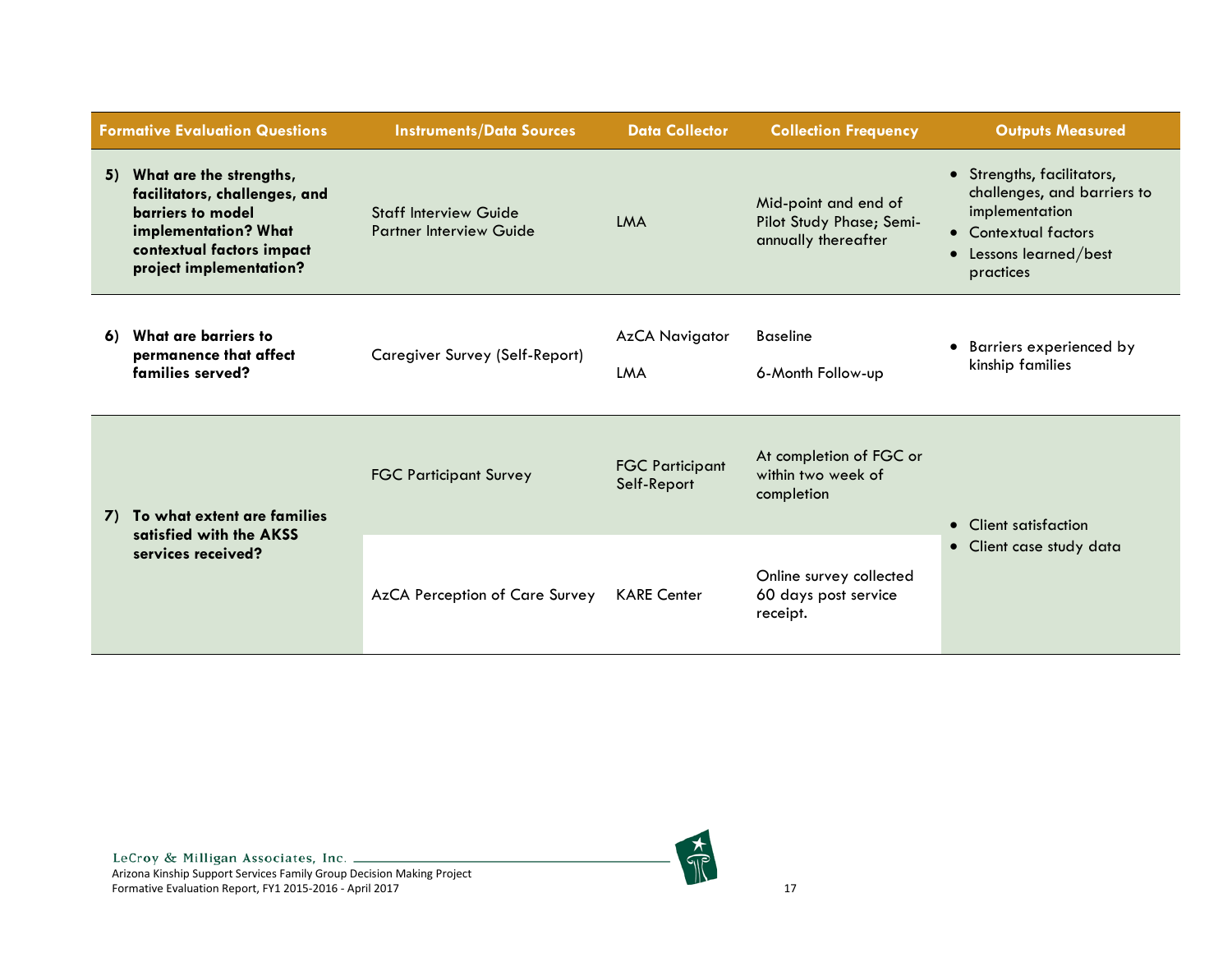|                                               | <b>Formative Evaluation Questions</b>                                                                                                                         | <b>Instruments/Data Sources</b>                                | <b>Data Collector</b>                                       | <b>Collection Frequency</b>                                             | <b>Outputs Measured</b>                                                                                                                  |
|-----------------------------------------------|---------------------------------------------------------------------------------------------------------------------------------------------------------------|----------------------------------------------------------------|-------------------------------------------------------------|-------------------------------------------------------------------------|------------------------------------------------------------------------------------------------------------------------------------------|
| 5)                                            | What are the strengths,<br>facilitators, challenges, and<br>barriers to model<br>implementation? What<br>contextual factors impact<br>project implementation? | <b>Staff Interview Guide</b><br><b>Partner Interview Guide</b> | LMA                                                         | Mid-point and end of<br>Pilot Study Phase; Semi-<br>annually thereafter | • Strengths, facilitators,<br>challenges, and barriers to<br>implementation<br>• Contextual factors<br>Lessons learned/best<br>practices |
| 6)                                            | What are barriers to<br>permanence that affect<br>families served?                                                                                            | Caregiver Survey (Self-Report)                                 | <b>AzCA Navigator</b><br><b>LMA</b>                         | <b>Baseline</b><br>6-Month Follow-up                                    | • Barriers experienced by<br>kinship families                                                                                            |
| 7)                                            | To what extent are families                                                                                                                                   | <b>FGC Participant Survey</b>                                  | <b>FGC Participant</b><br>Self-Report                       | At completion of FGC or<br>within two week of<br>completion             | • Client satisfaction                                                                                                                    |
| satisfied with the AKSS<br>services received? | AzCA Perception of Care Survey                                                                                                                                | <b>KARE Center</b>                                             | Online survey collected<br>60 days post service<br>receipt. | • Client case study data                                                |                                                                                                                                          |

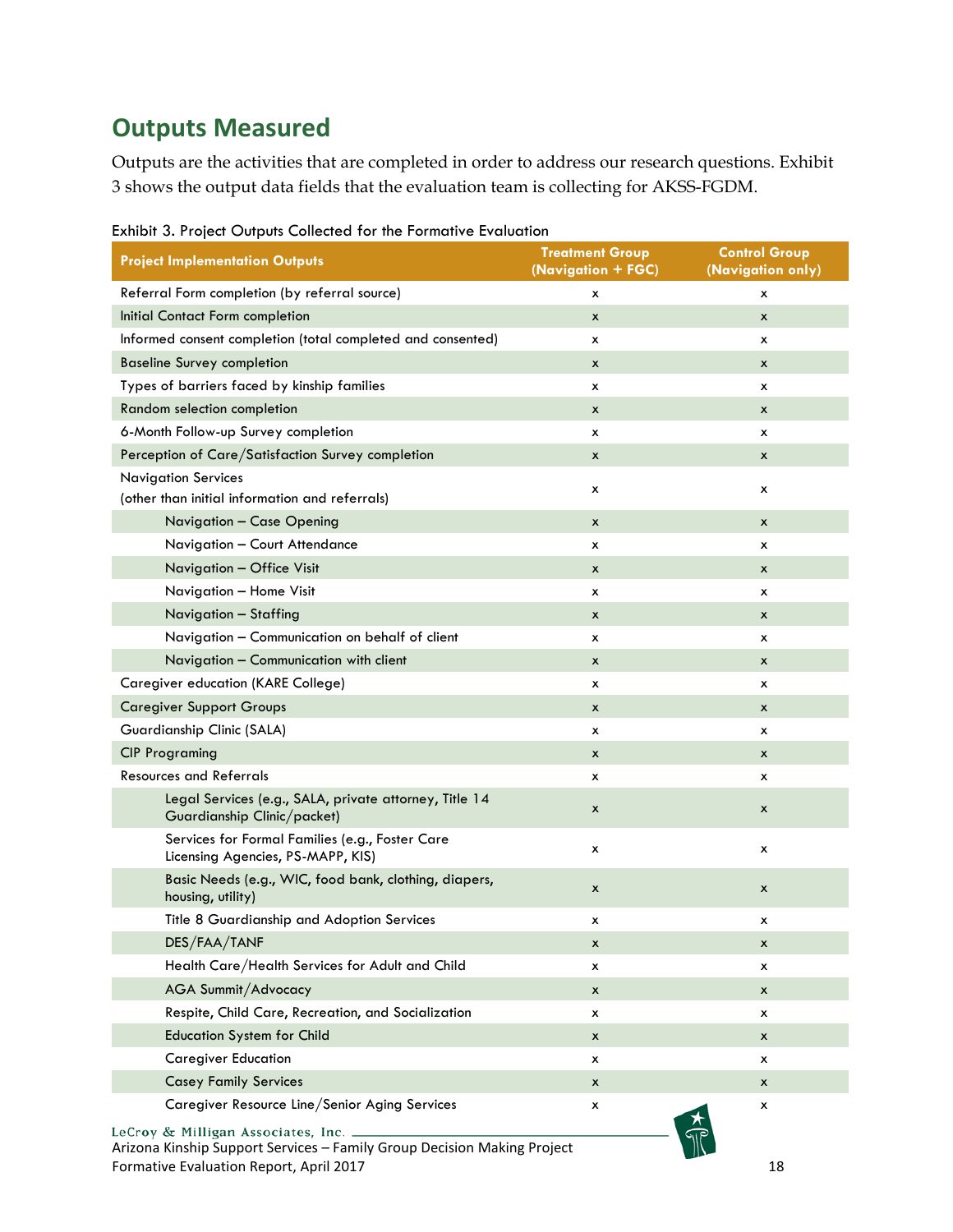# <span id="page-18-0"></span>**Outputs Measured**

Outputs are the activities that are completed in order to address our research questions. Exhibit 3 shows the output data fields that the evaluation team is collecting for AKSS-FGDM.

| <b>Project Implementation Outputs</b>                                                                         | <b>Treatment Group</b><br>(Navigation + FGC) | <b>Control Group</b><br>(Navigation only) |
|---------------------------------------------------------------------------------------------------------------|----------------------------------------------|-------------------------------------------|
| Referral Form completion (by referral source)                                                                 | x                                            | х                                         |
| Initial Contact Form completion                                                                               | x                                            | x                                         |
| Informed consent completion (total completed and consented)                                                   | x                                            | x                                         |
| <b>Baseline Survey completion</b>                                                                             | x                                            | x                                         |
| Types of barriers faced by kinship families                                                                   | х                                            | х                                         |
| Random selection completion                                                                                   | x                                            | x                                         |
| 6-Month Follow-up Survey completion                                                                           | x                                            | x                                         |
| Perception of Care/Satisfaction Survey completion                                                             | x                                            | x                                         |
| <b>Navigation Services</b><br>(other than initial information and referrals)                                  | х                                            | х                                         |
| Navigation - Case Opening                                                                                     | x                                            | x                                         |
| Navigation - Court Attendance                                                                                 | x                                            | x                                         |
| Navigation - Office Visit                                                                                     | x                                            | x                                         |
| Navigation - Home Visit                                                                                       | х                                            | x                                         |
| Navigation - Staffing                                                                                         | x                                            | x                                         |
| Navigation - Communication on behalf of client                                                                | x                                            | x                                         |
| Navigation - Communication with client                                                                        | x                                            | x                                         |
| Caregiver education (KARE College)                                                                            | x                                            | x                                         |
| <b>Caregiver Support Groups</b>                                                                               | x                                            | x                                         |
| Guardianship Clinic (SALA)                                                                                    | x                                            | x                                         |
| <b>CIP Programing</b>                                                                                         | x                                            | x                                         |
| <b>Resources and Referrals</b>                                                                                | х                                            | x                                         |
| Legal Services (e.g., SALA, private attorney, Title 14<br>Guardianship Clinic/packet)                         | x                                            | x                                         |
| Services for Formal Families (e.g., Foster Care<br>Licensing Agencies, PS-MAPP, KIS)                          | х                                            | х                                         |
| Basic Needs (e.g., WIC, food bank, clothing, diapers,<br>housing, utility)                                    | x                                            | x                                         |
| Title 8 Guardianship and Adoption Services                                                                    | х                                            | х                                         |
| DES/FAA/TANF                                                                                                  | X                                            | x                                         |
| Health Care/Health Services for Adult and Child                                                               | х                                            | х                                         |
| AGA Summit/Advocacy                                                                                           | x                                            | x                                         |
| Respite, Child Care, Recreation, and Socialization                                                            | х                                            | x                                         |
| <b>Education System for Child</b>                                                                             | x                                            | x                                         |
| <b>Caregiver Education</b>                                                                                    | х                                            | х                                         |
| <b>Casey Family Services</b>                                                                                  | x                                            | x                                         |
| Caregiver Resource Line/Senior Aging Services                                                                 | x                                            | х                                         |
| LeCroy & Milligan Associates, Inc.<br>Arizona Kinship Support Services - Family Group Decision Making Project |                                              |                                           |

<span id="page-18-1"></span>Exhibit 3. Project Outputs Collected for the Formative Evaluation

Arizona Kinship Support Services – Family Group Decision Making Project Formative Evaluation Report, April 2017 18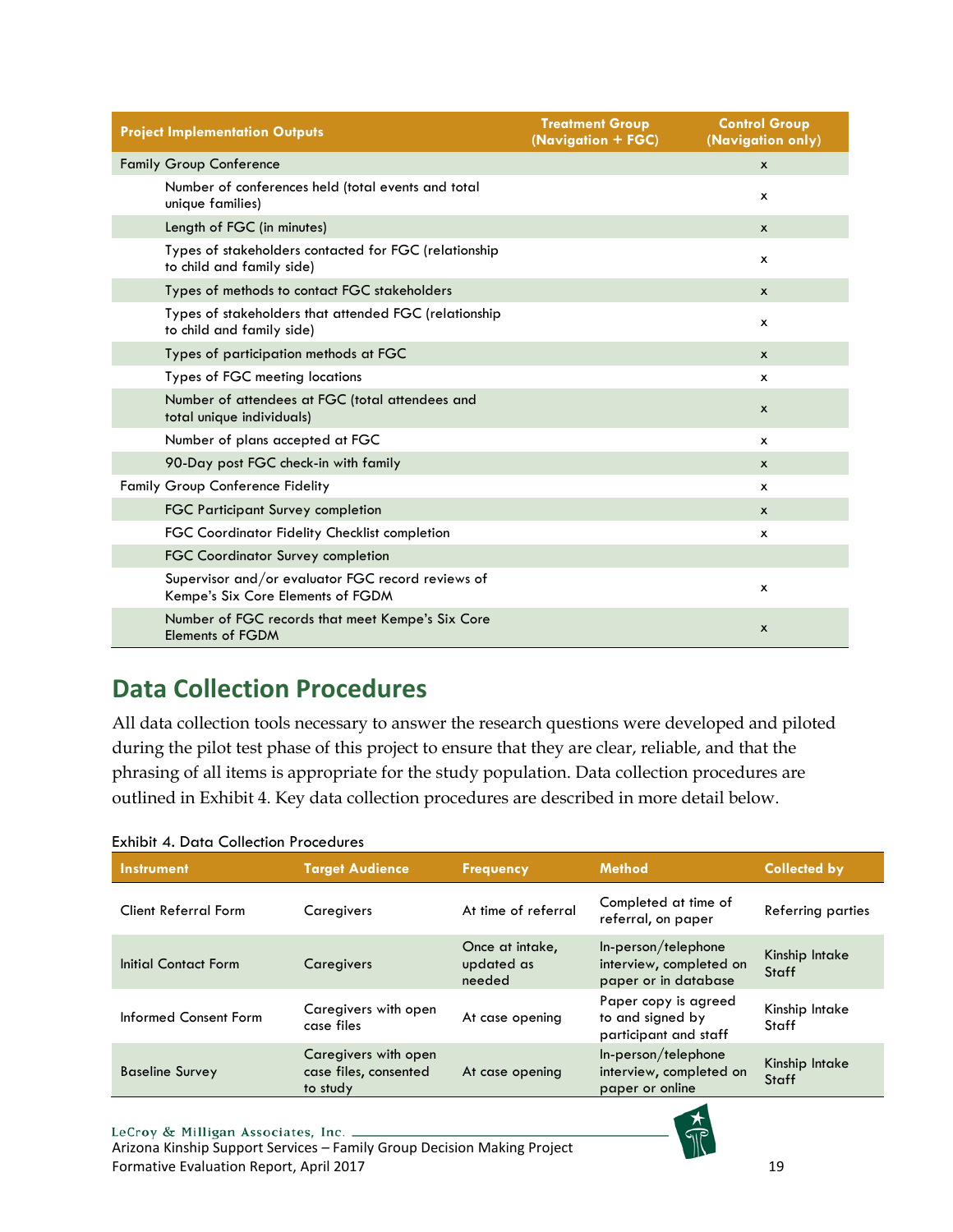| <b>Project Implementation Outputs</b>                                                  | <b>Treatment Group</b><br>(Navigation + FGC) | <b>Control Group</b><br>(Navigation only) |
|----------------------------------------------------------------------------------------|----------------------------------------------|-------------------------------------------|
| <b>Family Group Conference</b>                                                         |                                              | $\mathsf{x}$                              |
| Number of conferences held (total events and total<br>unique families)                 |                                              | x                                         |
| Length of FGC (in minutes)                                                             |                                              | x                                         |
| Types of stakeholders contacted for FGC (relationship<br>to child and family side)     |                                              | x                                         |
| Types of methods to contact FGC stakeholders                                           |                                              | $\boldsymbol{x}$                          |
| Types of stakeholders that attended FGC (relationship<br>to child and family side)     |                                              | x                                         |
| Types of participation methods at FGC                                                  |                                              | $\boldsymbol{x}$                          |
| Types of FGC meeting locations                                                         |                                              | х                                         |
| Number of attendees at FGC (total attendees and<br>total unique individuals)           |                                              | $\mathsf{x}$                              |
| Number of plans accepted at FGC                                                        |                                              | $\mathsf{x}$                              |
| 90-Day post FGC check-in with family                                                   |                                              | $\mathsf{x}$                              |
| <b>Family Group Conference Fidelity</b>                                                |                                              | x                                         |
| <b>FGC Participant Survey completion</b>                                               |                                              | $\mathsf{x}$                              |
| <b>FGC Coordinator Fidelity Checklist completion</b>                                   |                                              | x                                         |
| <b>FGC Coordinator Survey completion</b>                                               |                                              |                                           |
| Supervisor and/or evaluator FGC record reviews of<br>Kempe's Six Core Elements of FGDM |                                              | x                                         |
| Number of FGC records that meet Kempe's Six Core<br><b>Elements of FGDM</b>            |                                              | x                                         |

# <span id="page-19-0"></span>**Data Collection Procedures**

All data collection tools necessary to answer the research questions were developed and piloted during the pilot test phase of this project to ensure that they are clear, reliable, and that the phrasing of all items is appropriate for the study population. Data collection procedures are outlined in Exhibit 4. Key data collection procedures are described in more detail below.

| Instrument                  | <b>Target Audience</b>                                    | <b>Frequency</b>                        | <b>Method</b>                                                          | <b>Collected by</b>     |
|-----------------------------|-----------------------------------------------------------|-----------------------------------------|------------------------------------------------------------------------|-------------------------|
| <b>Client Referral Form</b> | Caregivers                                                | At time of referral                     | Completed at time of<br>referral, on paper                             | Referring parties       |
| Initial Contact Form        | Caregivers                                                | Once at intake,<br>updated as<br>needed | In-person/telephone<br>interview, completed on<br>paper or in database | Kinship Intake<br>Staff |
| Informed Consent Form       | Caregivers with open<br>case files                        | At case opening                         | Paper copy is agreed<br>to and signed by<br>participant and staff      | Kinship Intake<br>Staff |
| <b>Baseline Survey</b>      | Caregivers with open<br>case files, consented<br>to study | At case opening                         | In-person/telephone<br>interview, completed on<br>paper or online      | Kinship Intake<br>Staff |

#### <span id="page-19-1"></span>Exhibit 4. Data Collection Procedures

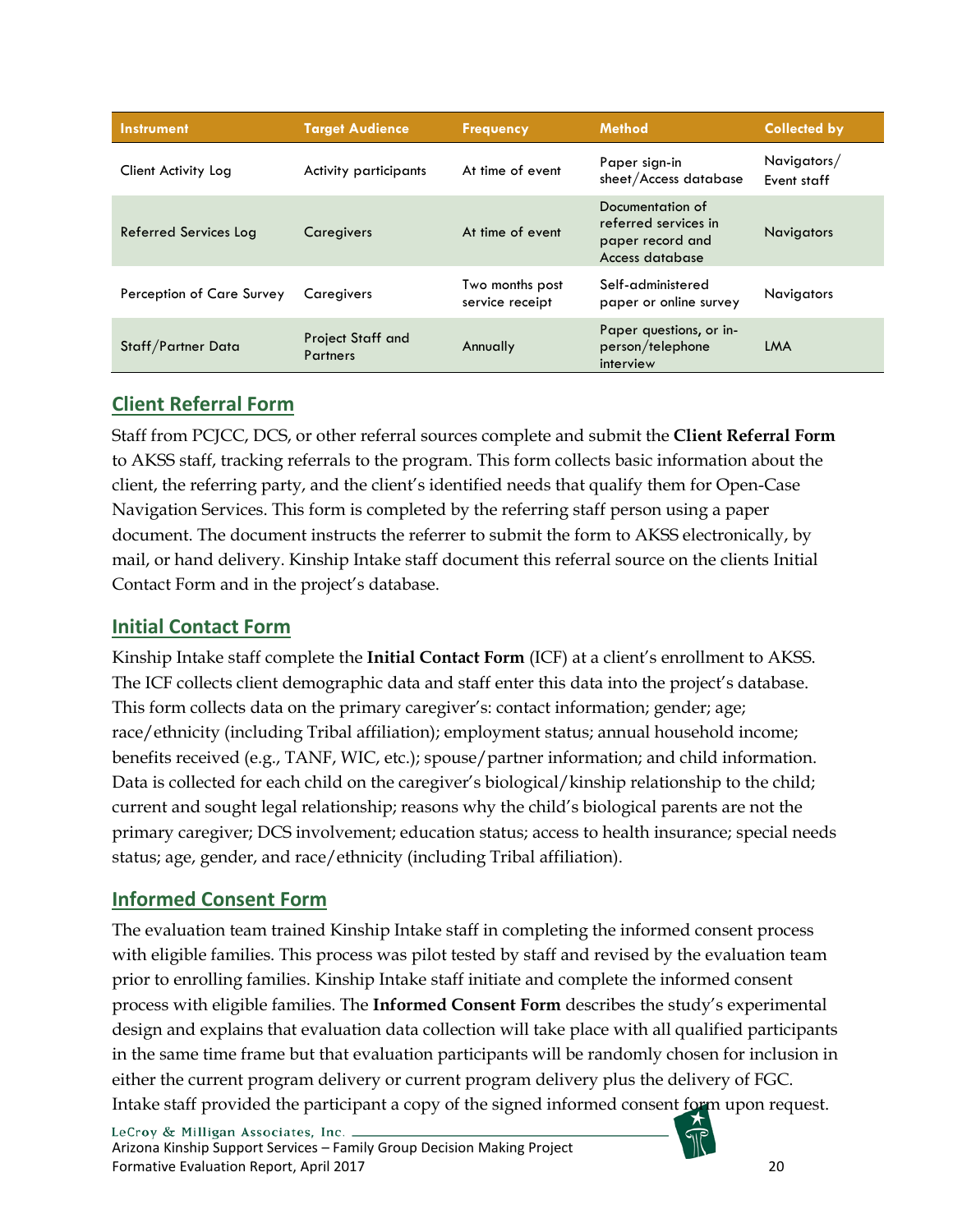| <b>Instrument</b>         | <b>Target Audience</b>               | <b>Frequency</b>                   | <b>Method</b>                                                                   | <b>Collected by</b>        |
|---------------------------|--------------------------------------|------------------------------------|---------------------------------------------------------------------------------|----------------------------|
| Client Activity Log       | <b>Activity participants</b>         | At time of event                   | Paper sign-in<br>sheet/Access database                                          | Navigators/<br>Event staff |
| Referred Services Log     | Caregivers                           | At time of event                   | Documentation of<br>referred services in<br>paper record and<br>Access database | <b>Navigators</b>          |
| Perception of Care Survey | Caregivers                           | Two months post<br>service receipt | Self-administered<br>paper or online survey                                     | Navigators                 |
| Staff/Partner Data        | Project Staff and<br><b>Partners</b> | Annually                           | Paper questions, or in-<br>person/telephone<br>interview                        | LMA                        |

# <span id="page-20-0"></span>**Client Referral Form**

Staff from PCJCC, DCS, or other referral sources complete and submit the **Client Referral Form** to AKSS staff, tracking referrals to the program. This form collects basic information about the client, the referring party, and the client's identified needs that qualify them for Open-Case Navigation Services. This form is completed by the referring staff person using a paper document. The document instructs the referrer to submit the form to AKSS electronically, by mail, or hand delivery. Kinship Intake staff document this referral source on the clients Initial Contact Form and in the project's database.

# <span id="page-20-1"></span>**Initial Contact Form**

Kinship Intake staff complete the **Initial Contact Form** (ICF) at a client's enrollment to AKSS. The ICF collects client demographic data and staff enter this data into the project's database. This form collects data on the primary caregiver's: contact information; gender; age; race/ethnicity (including Tribal affiliation); employment status; annual household income; benefits received (e.g., TANF, WIC, etc.); spouse/partner information; and child information. Data is collected for each child on the caregiver's biological/kinship relationship to the child; current and sought legal relationship; reasons why the child's biological parents are not the primary caregiver; DCS involvement; education status; access to health insurance; special needs status; age, gender, and race/ethnicity (including Tribal affiliation).

# <span id="page-20-2"></span>**Informed Consent Form**

The evaluation team trained Kinship Intake staff in completing the informed consent process with eligible families. This process was pilot tested by staff and revised by the evaluation team prior to enrolling families. Kinship Intake staff initiate and complete the informed consent process with eligible families. The **Informed Consent Form** describes the study's experimental design and explains that evaluation data collection will take place with all qualified participants in the same time frame but that evaluation participants will be randomly chosen for inclusion in either the current program delivery or current program delivery plus the delivery of FGC. Intake staff provided the participant a copy of the signed informed consent form upon request.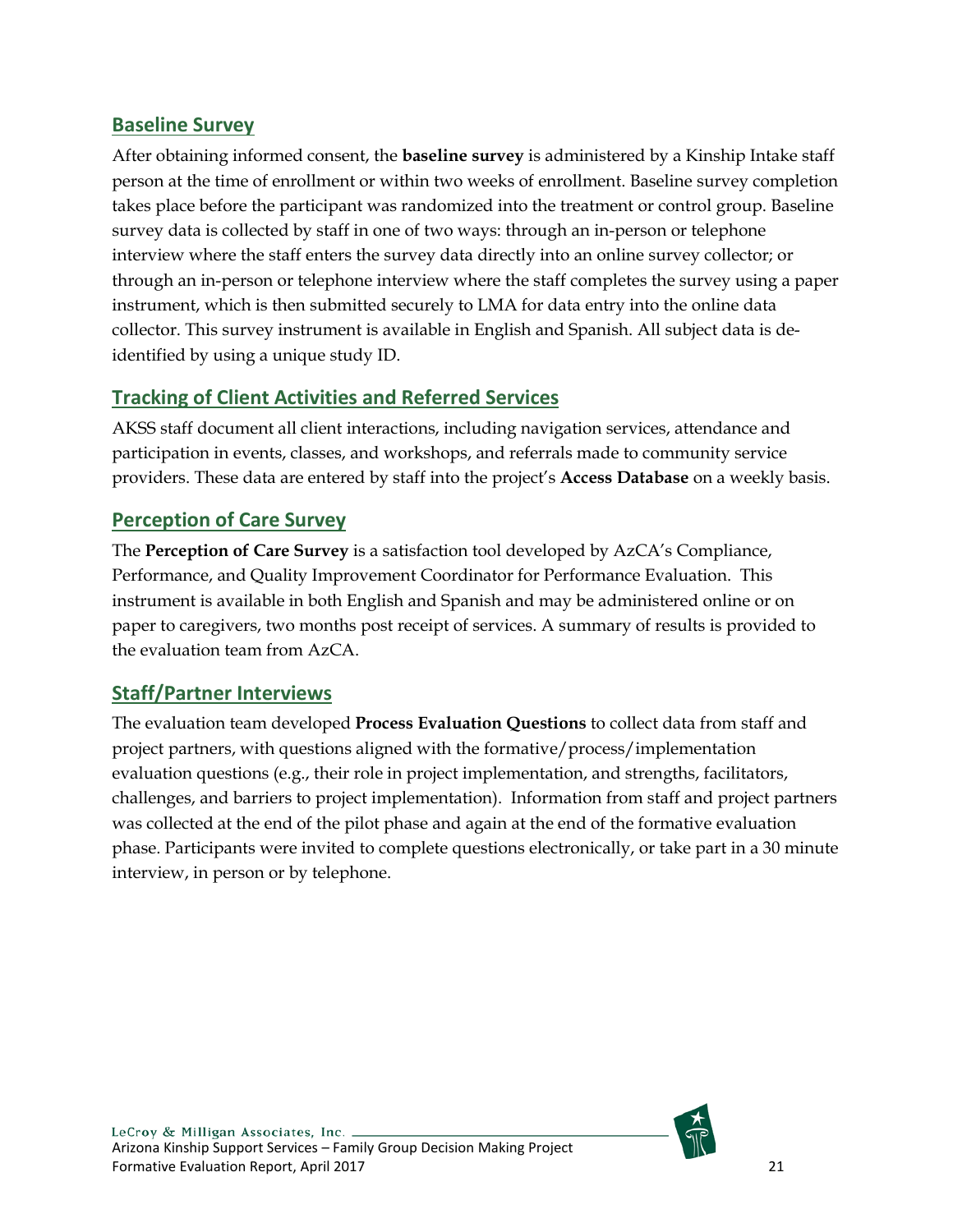# <span id="page-21-0"></span>**Baseline Survey**

After obtaining informed consent, the **baseline survey** is administered by a Kinship Intake staff person at the time of enrollment or within two weeks of enrollment. Baseline survey completion takes place before the participant was randomized into the treatment or control group. Baseline survey data is collected by staff in one of two ways: through an in-person or telephone interview where the staff enters the survey data directly into an online survey collector; or through an in-person or telephone interview where the staff completes the survey using a paper instrument, which is then submitted securely to LMA for data entry into the online data collector. This survey instrument is available in English and Spanish. All subject data is deidentified by using a unique study ID.

# <span id="page-21-1"></span>**Tracking of Client Activities and Referred Services**

AKSS staff document all client interactions, including navigation services, attendance and participation in events, classes, and workshops, and referrals made to community service providers. These data are entered by staff into the project's **Access Database** on a weekly basis.

# <span id="page-21-2"></span>**Perception of Care Survey**

The **Perception of Care Survey** is a satisfaction tool developed by AzCA's Compliance, Performance, and Quality Improvement Coordinator for Performance Evaluation. This instrument is available in both English and Spanish and may be administered online or on paper to caregivers, two months post receipt of services. A summary of results is provided to the evaluation team from AzCA.

# <span id="page-21-3"></span>**Staff/Partner Interviews**

The evaluation team developed **Process Evaluation Questions** to collect data from staff and project partners, with questions aligned with the formative/process/implementation evaluation questions (e.g., their role in project implementation, and strengths, facilitators, challenges, and barriers to project implementation). Information from staff and project partners was collected at the end of the pilot phase and again at the end of the formative evaluation phase. Participants were invited to complete questions electronically, or take part in a 30 minute interview, in person or by telephone.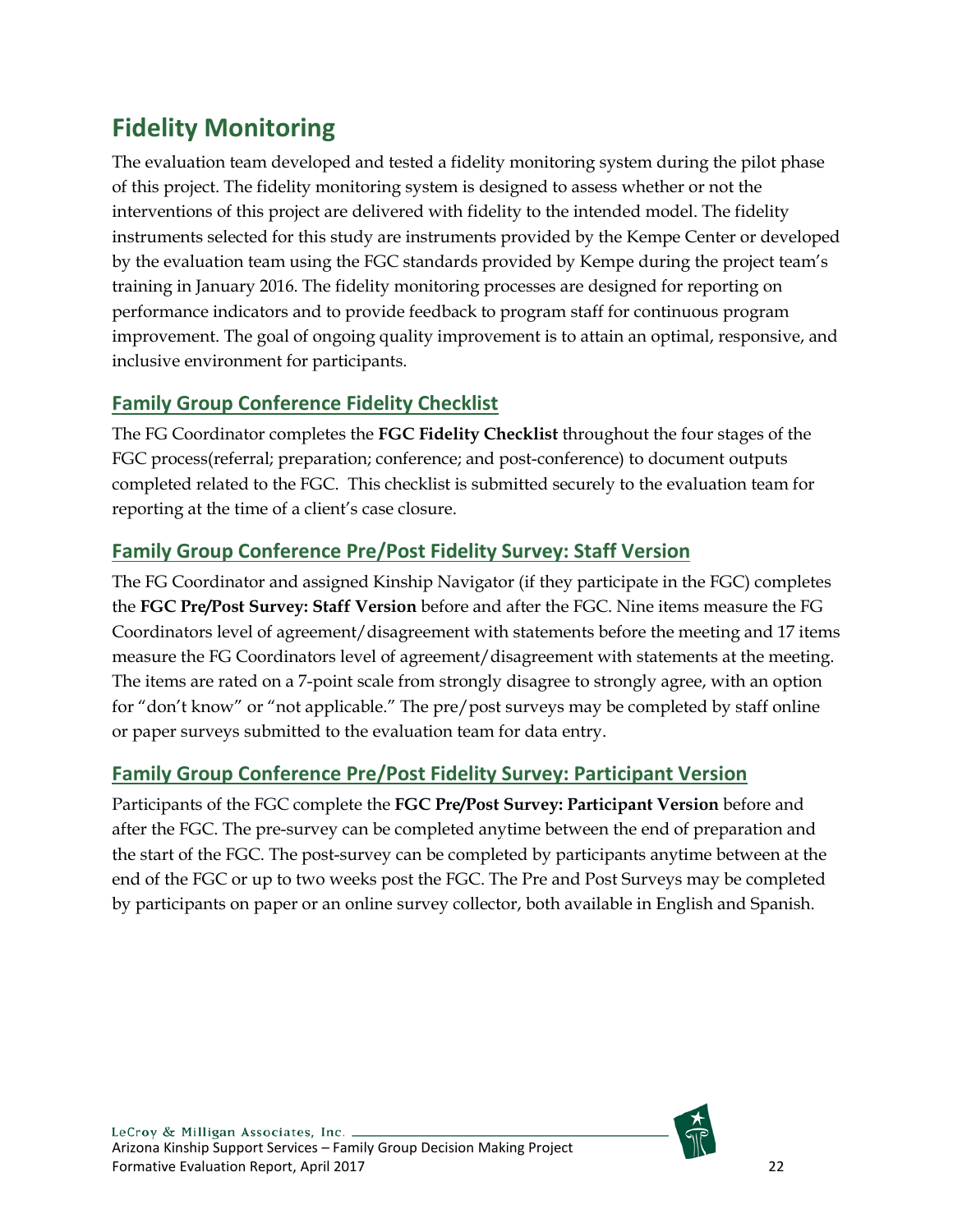# <span id="page-22-0"></span>**Fidelity Monitoring**

The evaluation team developed and tested a fidelity monitoring system during the pilot phase of this project. The fidelity monitoring system is designed to assess whether or not the interventions of this project are delivered with fidelity to the intended model. The fidelity instruments selected for this study are instruments provided by the Kempe Center or developed by the evaluation team using the FGC standards provided by Kempe during the project team's training in January 2016. The fidelity monitoring processes are designed for reporting on performance indicators and to provide feedback to program staff for continuous program improvement. The goal of ongoing quality improvement is to attain an optimal, responsive, and inclusive environment for participants.

# <span id="page-22-1"></span>**Family Group Conference Fidelity Checklist**

The FG Coordinator completes the **FGC Fidelity Checklist** throughout the four stages of the FGC process(referral; preparation; conference; and post-conference) to document outputs completed related to the FGC. This checklist is submitted securely to the evaluation team for reporting at the time of a client's case closure.

# <span id="page-22-2"></span>**Family Group Conference Pre/Post Fidelity Survey: Staff Version**

The FG Coordinator and assigned Kinship Navigator (if they participate in the FGC) completes the **FGC Pre/Post Survey: Staff Version** before and after the FGC. Nine items measure the FG Coordinators level of agreement/disagreement with statements before the meeting and 17 items measure the FG Coordinators level of agreement/disagreement with statements at the meeting. The items are rated on a 7-point scale from strongly disagree to strongly agree, with an option for "don't know" or "not applicable." The pre/post surveys may be completed by staff online or paper surveys submitted to the evaluation team for data entry.

# <span id="page-22-3"></span>**Family Group Conference Pre/Post Fidelity Survey: Participant Version**

Participants of the FGC complete the **FGC Pre/Post Survey: Participant Version** before and after the FGC. The pre-survey can be completed anytime between the end of preparation and the start of the FGC. The post-survey can be completed by participants anytime between at the end of the FGC or up to two weeks post the FGC. The Pre and Post Surveys may be completed by participants on paper or an online survey collector, both available in English and Spanish.

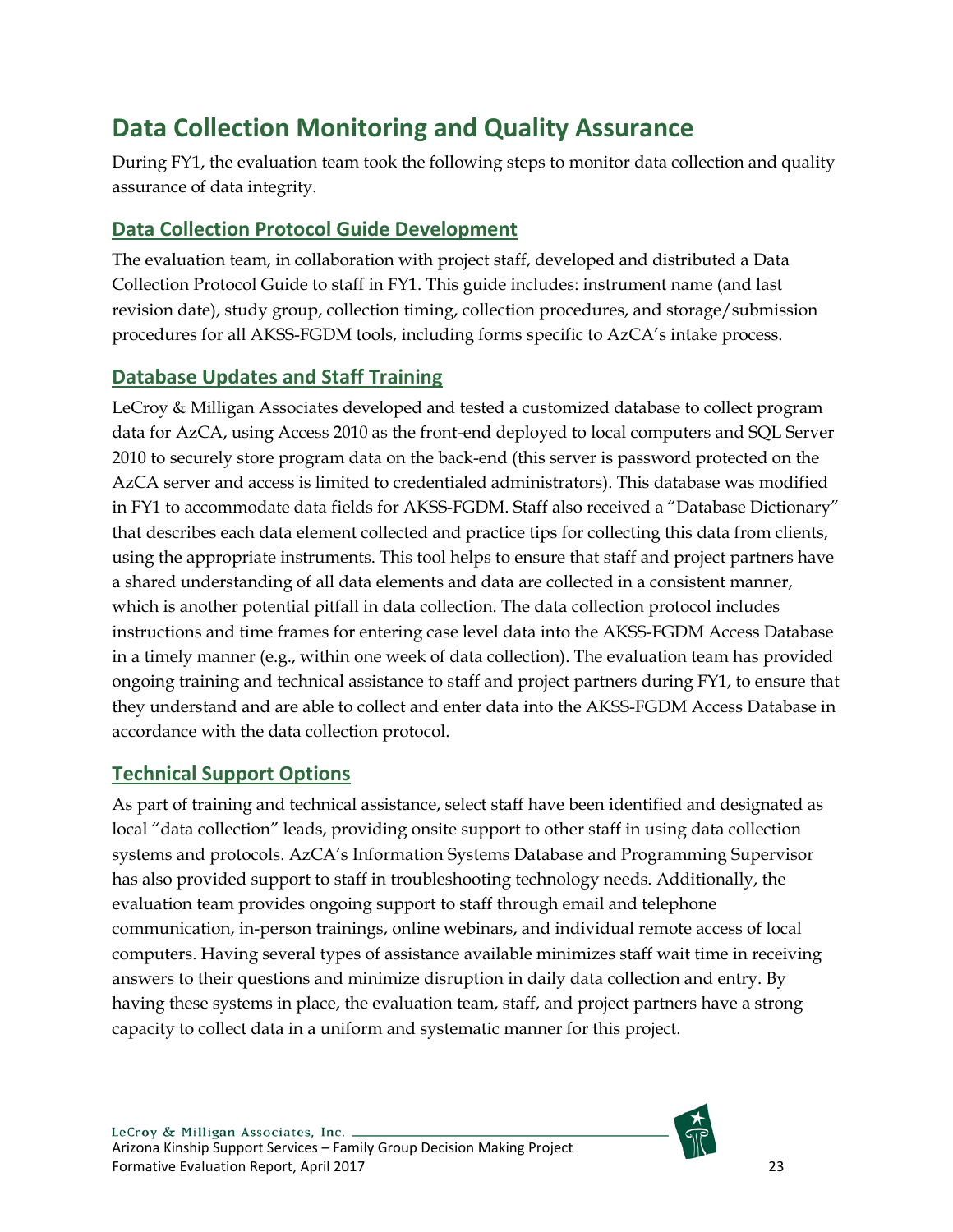# <span id="page-23-0"></span>**Data Collection Monitoring and Quality Assurance**

During FY1, the evaluation team took the following steps to monitor data collection and quality assurance of data integrity.

# <span id="page-23-1"></span>**Data Collection Protocol Guide Development**

The evaluation team, in collaboration with project staff, developed and distributed a Data Collection Protocol Guide to staff in FY1. This guide includes: instrument name (and last revision date), study group, collection timing, collection procedures, and storage/submission procedures for all AKSS-FGDM tools, including forms specific to AzCA's intake process.

# <span id="page-23-2"></span>**Database Updates and Staff Training**

LeCroy & Milligan Associates developed and tested a customized database to collect program data for AzCA, using Access 2010 as the front-end deployed to local computers and SQL Server 2010 to securely store program data on the back-end (this server is password protected on the AzCA server and access is limited to credentialed administrators). This database was modified in FY1 to accommodate data fields for AKSS-FGDM. Staff also received a "Database Dictionary" that describes each data element collected and practice tips for collecting this data from clients, using the appropriate instruments. This tool helps to ensure that staff and project partners have a shared understanding of all data elements and data are collected in a consistent manner, which is another potential pitfall in data collection. The data collection protocol includes instructions and time frames for entering case level data into the AKSS-FGDM Access Database in a timely manner (e.g., within one week of data collection). The evaluation team has provided ongoing training and technical assistance to staff and project partners during FY1, to ensure that they understand and are able to collect and enter data into the AKSS-FGDM Access Database in accordance with the data collection protocol.

# <span id="page-23-3"></span>**Technical Support Options**

As part of training and technical assistance, select staff have been identified and designated as local "data collection" leads, providing onsite support to other staff in using data collection systems and protocols. AzCA's Information Systems Database and Programming Supervisor has also provided support to staff in troubleshooting technology needs. Additionally, the evaluation team provides ongoing support to staff through email and telephone communication, in-person trainings, online webinars, and individual remote access of local computers. Having several types of assistance available minimizes staff wait time in receiving answers to their questions and minimize disruption in daily data collection and entry. By having these systems in place, the evaluation team, staff, and project partners have a strong capacity to collect data in a uniform and systematic manner for this project.

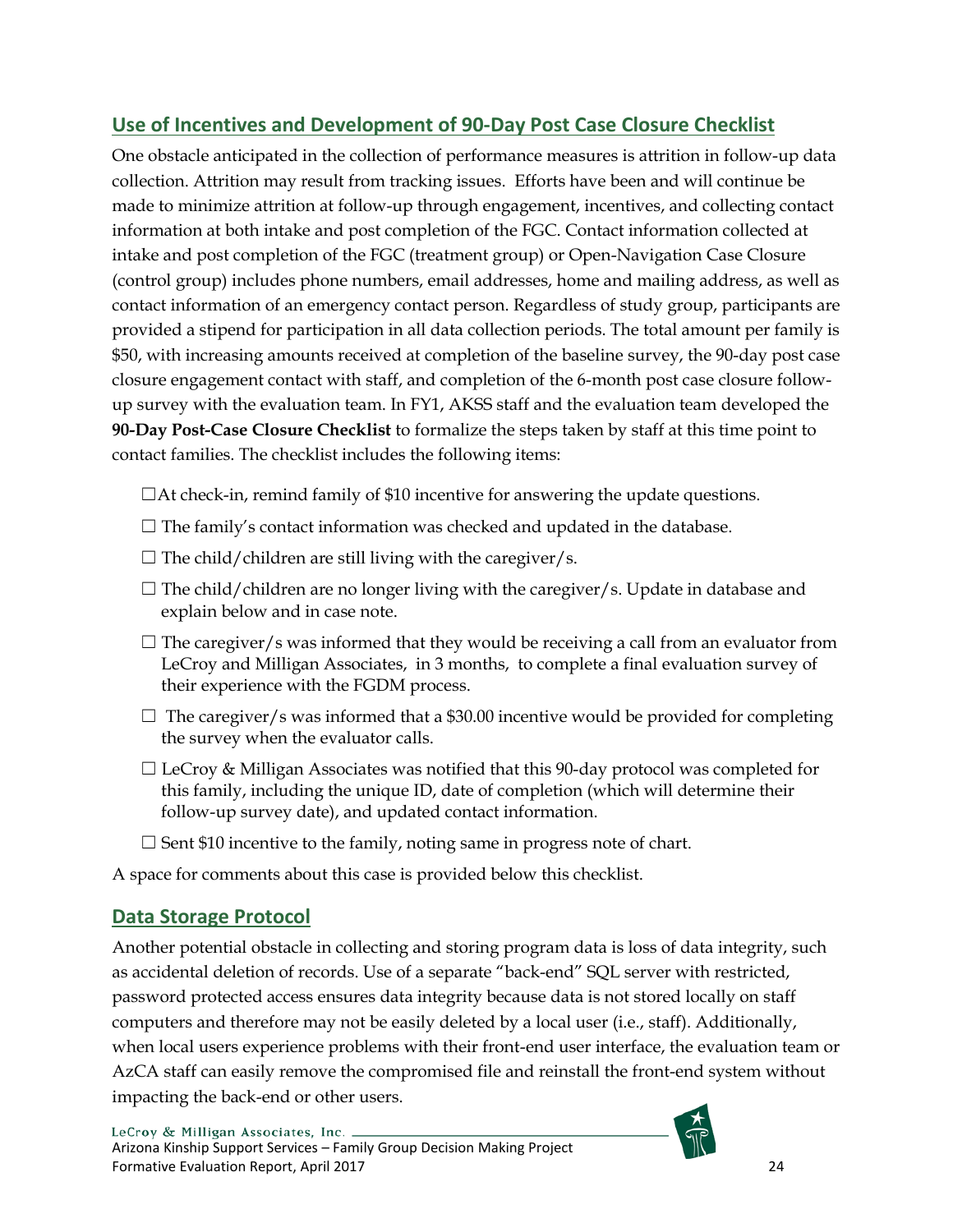# <span id="page-24-0"></span>**Use of Incentives and Development of 90-Day Post Case Closure Checklist**

One obstacle anticipated in the collection of performance measures is attrition in follow-up data collection. Attrition may result from tracking issues. Efforts have been and will continue be made to minimize attrition at follow-up through engagement, incentives, and collecting contact information at both intake and post completion of the FGC. Contact information collected at intake and post completion of the FGC (treatment group) or Open-Navigation Case Closure (control group) includes phone numbers, email addresses, home and mailing address, as well as contact information of an emergency contact person. Regardless of study group, participants are provided a stipend for participation in all data collection periods. The total amount per family is \$50, with increasing amounts received at completion of the baseline survey, the 90-day post case closure engagement contact with staff, and completion of the 6-month post case closure followup survey with the evaluation team. In FY1, AKSS staff and the evaluation team developed the **90-Day Post-Case Closure Checklist** to formalize the steps taken by staff at this time point to contact families. The checklist includes the following items:

- $\Box$ At check-in, remind family of \$10 incentive for answering the update questions.
- $\Box$  The family's contact information was checked and updated in the database.
- $\Box$  The child/children are still living with the caregiver/s.
- $\Box$  The child/children are no longer living with the caregiver/s. Update in database and explain below and in case note.
- $\Box$  The caregiver/s was informed that they would be receiving a call from an evaluator from LeCroy and Milligan Associates, in 3 months, to complete a final evaluation survey of their experience with the FGDM process.
- $\Box$  The caregiver/s was informed that a \$30.00 incentive would be provided for completing the survey when the evaluator calls.
- $\Box$  LeCroy & Milligan Associates was notified that this 90-day protocol was completed for this family, including the unique ID, date of completion (which will determine their follow-up survey date), and updated contact information.
- $\square$  Sent \$10 incentive to the family, noting same in progress note of chart.

A space for comments about this case is provided below this checklist.

# <span id="page-24-1"></span>**Data Storage Protocol**

Another potential obstacle in collecting and storing program data is loss of data integrity, such as accidental deletion of records. Use of a separate "back-end" SQL server with restricted, password protected access ensures data integrity because data is not stored locally on staff computers and therefore may not be easily deleted by a local user (i.e., staff). Additionally, when local users experience problems with their front-end user interface, the evaluation team or AzCA staff can easily remove the compromised file and reinstall the front-end system without impacting the back-end or other users.

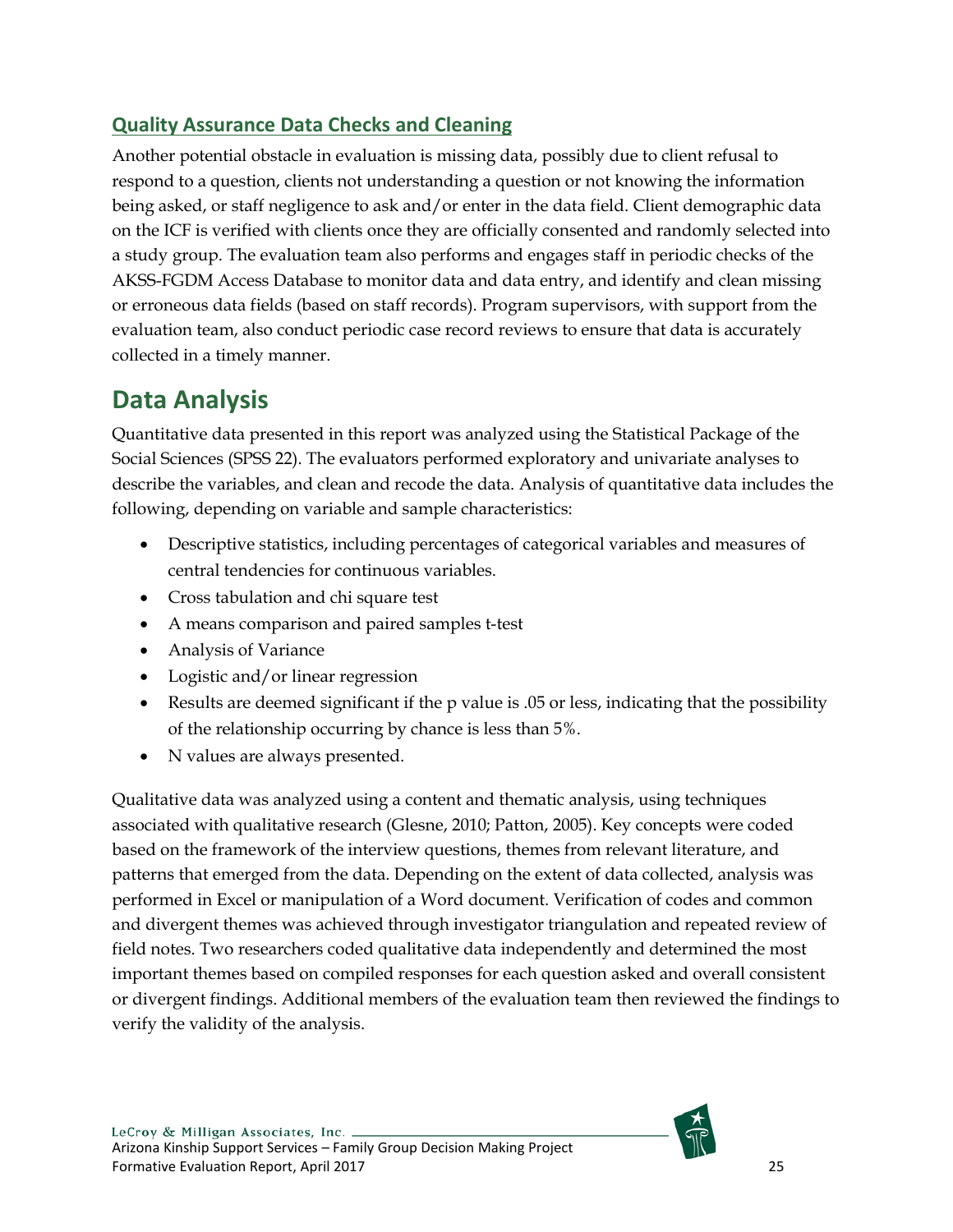# <span id="page-25-0"></span>**Quality Assurance Data Checks and Cleaning**

Another potential obstacle in evaluation is missing data, possibly due to client refusal to respond to a question, clients not understanding a question or not knowing the information being asked, or staff negligence to ask and/or enter in the data field. Client demographic data on the ICF is verified with clients once they are officially consented and randomly selected into a study group. The evaluation team also performs and engages staff in periodic checks of the AKSS-FGDM Access Database to monitor data and data entry, and identify and clean missing or erroneous data fields (based on staff records). Program supervisors, with support from the evaluation team, also conduct periodic case record reviews to ensure that data is accurately collected in a timely manner.

# <span id="page-25-1"></span>**Data Analysis**

Quantitative data presented in this report was analyzed using the Statistical Package of the Social Sciences (SPSS 22). The evaluators performed exploratory and univariate analyses to describe the variables, and clean and recode the data. Analysis of quantitative data includes the following, depending on variable and sample characteristics:

- Descriptive statistics, including percentages of categorical variables and measures of central tendencies for continuous variables.
- Cross tabulation and chi square test
- A means comparison and paired samples t-test
- Analysis of Variance
- Logistic and/or linear regression
- Results are deemed significant if the p value is .05 or less, indicating that the possibility of the relationship occurring by chance is less than 5%.
- N values are always presented.

Qualitative data was analyzed using a content and thematic analysis, using techniques associated with qualitative research (Glesne, 2010; Patton, 2005). Key concepts were coded based on the framework of the interview questions, themes from relevant literature, and patterns that emerged from the data. Depending on the extent of data collected, analysis was performed in Excel or manipulation of a Word document. Verification of codes and common and divergent themes was achieved through investigator triangulation and repeated review of field notes. Two researchers coded qualitative data independently and determined the most important themes based on compiled responses for each question asked and overall consistent or divergent findings. Additional members of the evaluation team then reviewed the findings to verify the validity of the analysis.

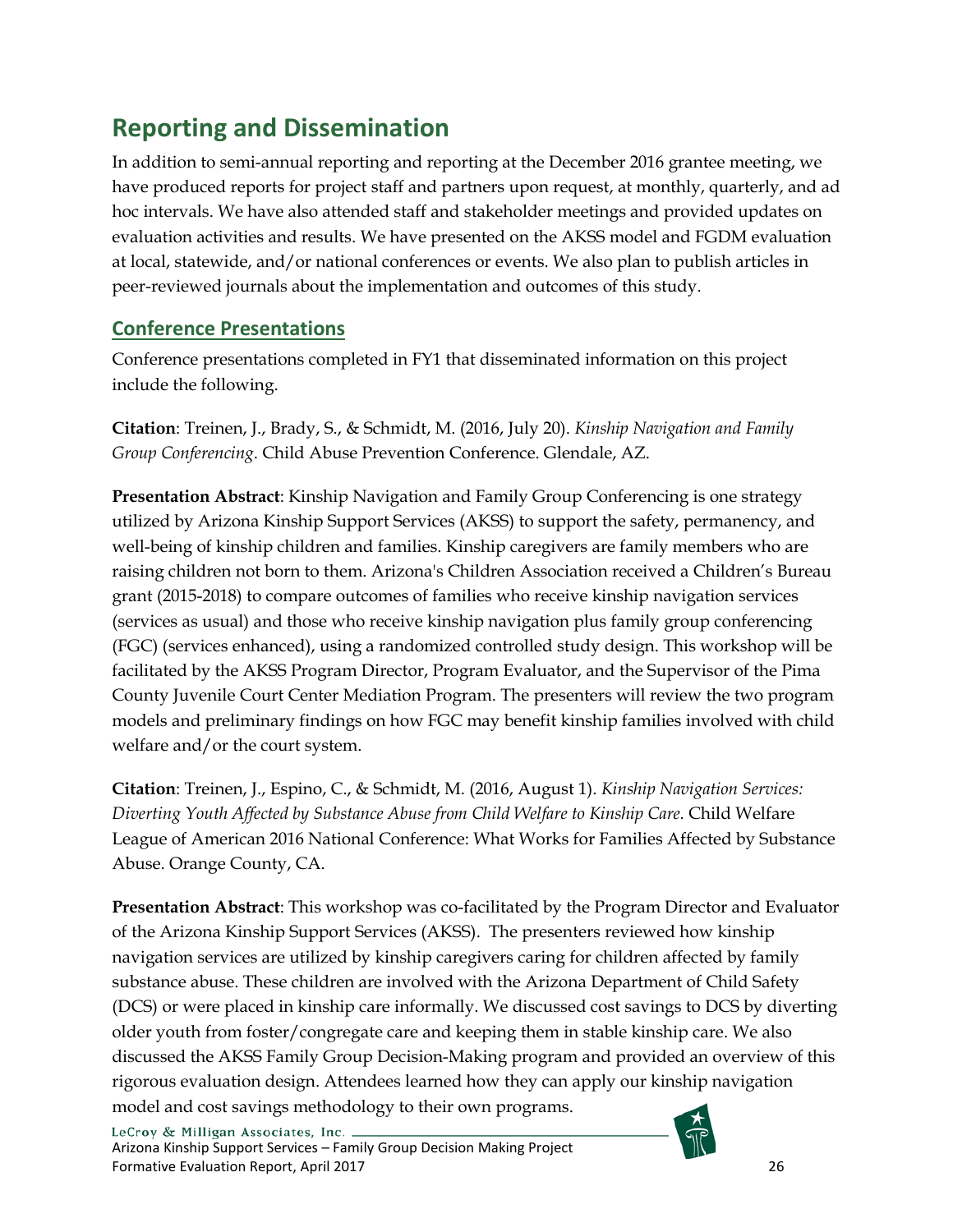# <span id="page-26-0"></span>**Reporting and Dissemination**

In addition to semi-annual reporting and reporting at the December 2016 grantee meeting, we have produced reports for project staff and partners upon request, at monthly, quarterly, and ad hoc intervals. We have also attended staff and stakeholder meetings and provided updates on evaluation activities and results. We have presented on the AKSS model and FGDM evaluation at local, statewide, and/or national conferences or events. We also plan to publish articles in peer-reviewed journals about the implementation and outcomes of this study.

# <span id="page-26-1"></span>**Conference Presentations**

Conference presentations completed in FY1 that disseminated information on this project include the following.

**Citation**: Treinen, J., Brady, S., & Schmidt, M. (2016, July 20). *Kinship Navigation and Family Group Conferencing*. Child Abuse Prevention Conference. Glendale, AZ.

**Presentation Abstract**: Kinship Navigation and Family Group Conferencing is one strategy utilized by Arizona Kinship Support Services (AKSS) to support the safety, permanency, and well-being of kinship children and families. Kinship caregivers are family members who are raising children not born to them. Arizona's Children Association received a Children's Bureau grant (2015-2018) to compare outcomes of families who receive kinship navigation services (services as usual) and those who receive kinship navigation plus family group conferencing (FGC) (services enhanced), using a randomized controlled study design. This workshop will be facilitated by the AKSS Program Director, Program Evaluator, and the Supervisor of the Pima County Juvenile Court Center Mediation Program. The presenters will review the two program models and preliminary findings on how FGC may benefit kinship families involved with child welfare and/or the court system.

**Citation**: Treinen, J., Espino, C., & Schmidt, M. (2016, August 1). *Kinship Navigation Services: Diverting Youth Affected by Substance Abuse from Child Welfare to Kinship Care*. Child Welfare League of American 2016 National Conference: What Works for Families Affected by Substance Abuse. Orange County, CA.

**Presentation Abstract**: This workshop was co-facilitated by the Program Director and Evaluator of the Arizona Kinship Support Services (AKSS). The presenters reviewed how kinship navigation services are utilized by kinship caregivers caring for children affected by family substance abuse. These children are involved with the Arizona Department of Child Safety (DCS) or were placed in kinship care informally. We discussed cost savings to DCS by diverting older youth from foster/congregate care and keeping them in stable kinship care. We also discussed the AKSS Family Group Decision-Making program and provided an overview of this rigorous evaluation design. Attendees learned how they can apply our kinship navigation model and cost savings methodology to their own programs.

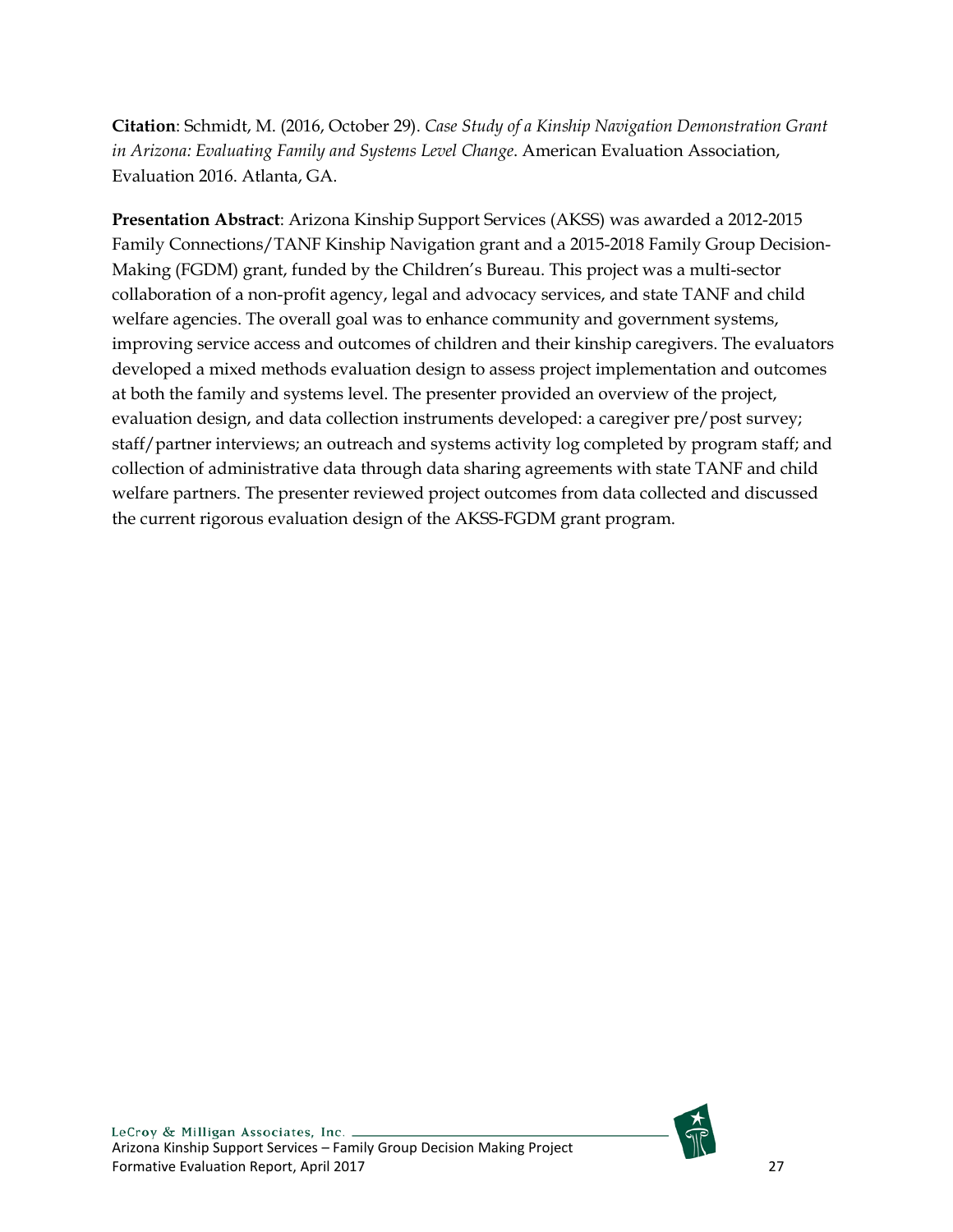**Citation**: Schmidt, M. (2016, October 29). *Case Study of a Kinship Navigation Demonstration Grant in Arizona: Evaluating Family and Systems Level Change*. American Evaluation Association, Evaluation 2016. Atlanta, GA.

**Presentation Abstract**: Arizona Kinship Support Services (AKSS) was awarded a 2012-2015 Family Connections/TANF Kinship Navigation grant and a 2015-2018 Family Group Decision-Making (FGDM) grant, funded by the Children's Bureau. This project was a multi-sector collaboration of a non-profit agency, legal and advocacy services, and state TANF and child welfare agencies. The overall goal was to enhance community and government systems, improving service access and outcomes of children and their kinship caregivers. The evaluators developed a mixed methods evaluation design to assess project implementation and outcomes at both the family and systems level. The presenter provided an overview of the project, evaluation design, and data collection instruments developed: a caregiver pre/post survey; staff/partner interviews; an outreach and systems activity log completed by program staff; and collection of administrative data through data sharing agreements with state TANF and child welfare partners. The presenter reviewed project outcomes from data collected and discussed the current rigorous evaluation design of the AKSS-FGDM grant program.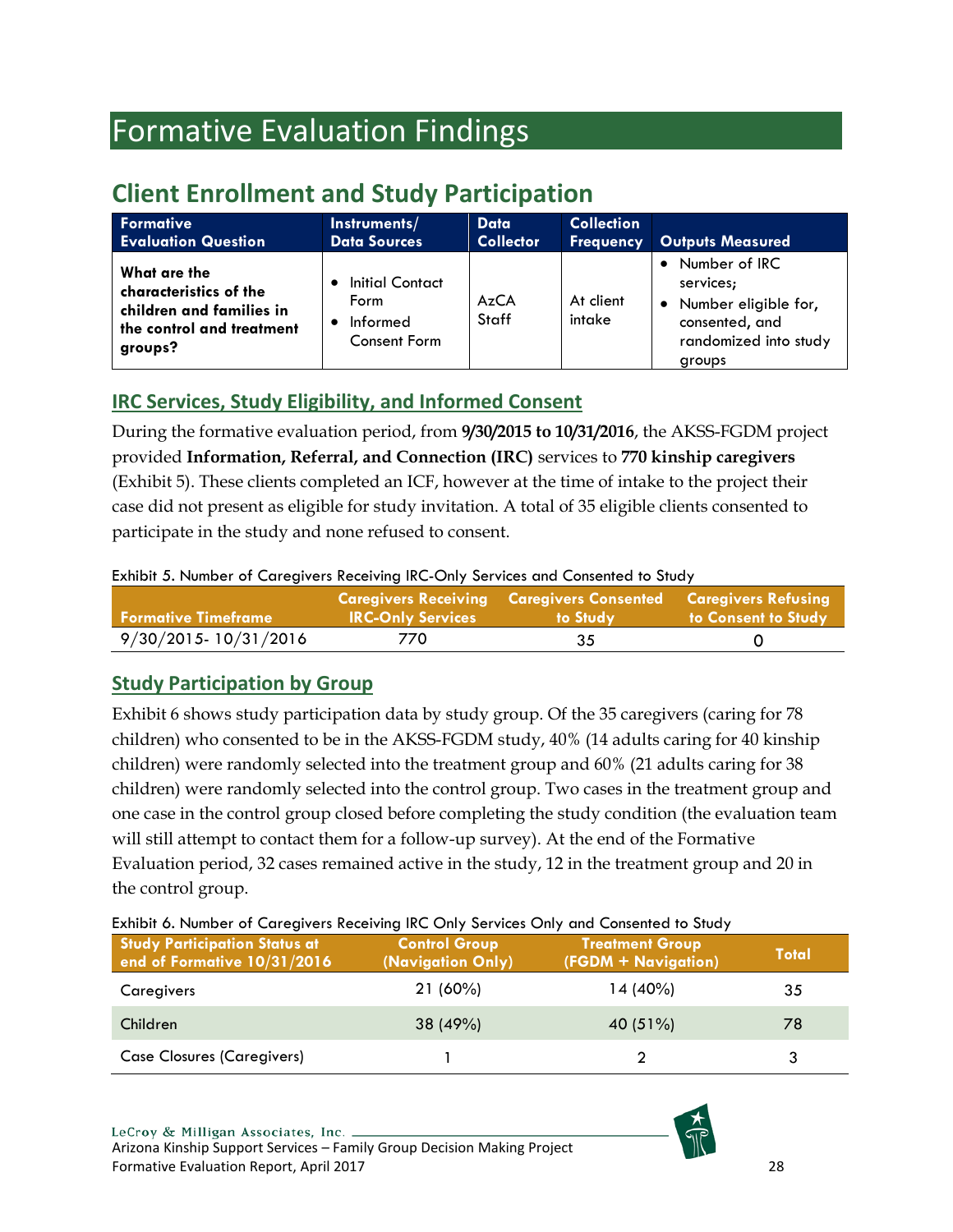# <span id="page-28-0"></span>Formative Evaluation Findings

# <span id="page-28-1"></span>**Client Enrollment and Study Participation**

| <b>Formative</b>                                                                                           | Instruments/                                               | Data             | <b>Collection</b>   | <b>Outputs Measured</b>                                                                                     |
|------------------------------------------------------------------------------------------------------------|------------------------------------------------------------|------------------|---------------------|-------------------------------------------------------------------------------------------------------------|
| <b>Evaluation Question</b>                                                                                 | <b>Data Sources</b>                                        | <b>Collector</b> | <b>Frequency</b>    |                                                                                                             |
| What are the<br>characteristics of the<br>children and families in<br>the control and treatment<br>groups? | Initial Contact<br>Form<br>Informed<br><b>Consent Form</b> | AzCA<br>Staff    | At client<br>intake | • Number of IRC<br>services;<br>• Number eligible for,<br>consented, and<br>randomized into study<br>groups |

# <span id="page-28-2"></span>**IRC Services, Study Eligibility, and Informed Consent**

During the formative evaluation period, from **9/30/2015 to 10/31/2016**, the AKSS-FGDM project provided **Information, Referral, and Connection (IRC)** services to **770 kinship caregivers** (Exhibit 5). These clients completed an ICF, however at the time of intake to the project their case did not present as eligible for study invitation. A total of 35 eligible clients consented to participate in the study and none refused to consent.

## <span id="page-28-4"></span>Exhibit 5. Number of Caregivers Receiving IRC-Only Services and Consented to Study

| l Formative Timeframe : | <b>IRC-Only Services</b> | <b>Caregivers Receiving Caregivers Consented Caregivers Refusing</b><br>to Study | to Consent to Study |
|-------------------------|--------------------------|----------------------------------------------------------------------------------|---------------------|
| 9/30/2015-10/31/2016    | 770                      | 35                                                                               |                     |

# <span id="page-28-3"></span>**Study Participation by Group**

Exhibit 6 shows study participation data by study group. Of the 35 caregivers (caring for 78 children) who consented to be in the AKSS-FGDM study, 40% (14 adults caring for 40 kinship children) were randomly selected into the treatment group and 60% (21 adults caring for 38 children) were randomly selected into the control group. Two cases in the treatment group and one case in the control group closed before completing the study condition (the evaluation team will still attempt to contact them for a follow-up survey). At the end of the Formative Evaluation period, 32 cases remained active in the study, 12 in the treatment group and 20 in the control group.

<span id="page-28-5"></span>Exhibit 6. Number of Caregivers Receiving IRC Only Services Only and Consented to Study **Study Participation Status at end of Formative 10/31/2016 Control Group (Navigation Only) Treatment Group (FGDM + Navigation) Total** Caregivers 21 (60%) 14 (40%) 35 Children 38 (49%) 40 (51%) 78

Case Closures (Caregivers) 1 2 3

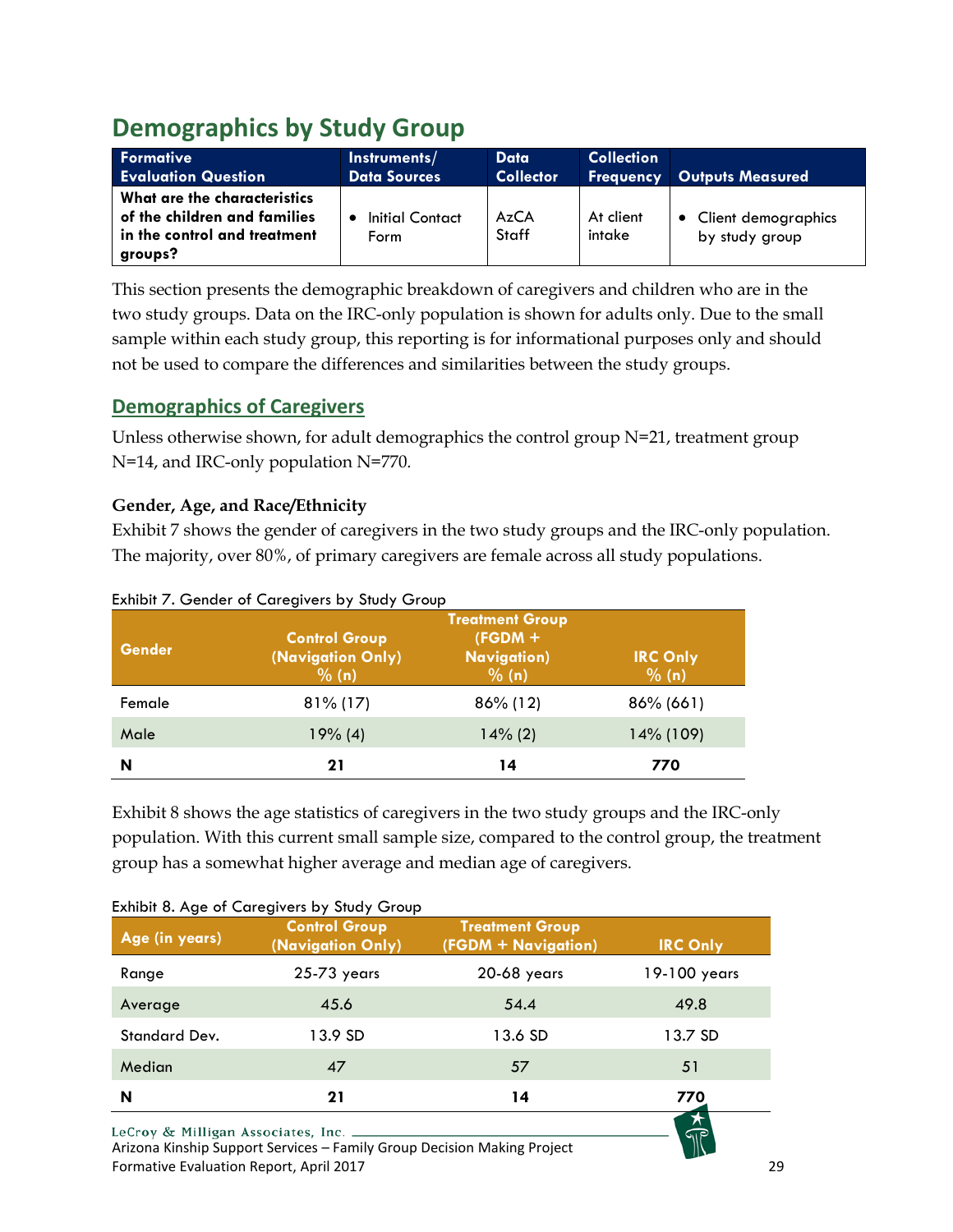# <span id="page-29-0"></span>**Demographics by Study Group**

| <b>Formative</b><br><b>Evaluation Question</b>                                                          | Instruments/<br><b>Data Sources</b> | Data<br><b>Collector</b> | <b>Collection</b>   | <b>Frequency Outputs Measured</b>       |
|---------------------------------------------------------------------------------------------------------|-------------------------------------|--------------------------|---------------------|-----------------------------------------|
| What are the characteristics<br>of the children and families<br>in the control and treatment<br>groups? | Initial Contact<br>Form             | AzCA<br><b>Staff</b>     | At client<br>intake | • Client demographics<br>by study group |

This section presents the demographic breakdown of caregivers and children who are in the two study groups. Data on the IRC-only population is shown for adults only. Due to the small sample within each study group, this reporting is for informational purposes only and should not be used to compare the differences and similarities between the study groups.

# <span id="page-29-1"></span>**Demographics of Caregivers**

Unless otherwise shown, for adult demographics the control group N=21, treatment group N=14, and IRC-only population N=770.

# **Gender, Age, and Race/Ethnicity**

Exhibit 7 shows the gender of caregivers in the two study groups and the IRC-only population. The majority, over 80%, of primary caregivers are female across all study populations.

| <b>Gender</b> | <b>Control Group</b><br>(Navigation Only)<br>% (n) | <b>Treatment Group</b><br>$(FGDM +$<br><b>Navigation</b> )<br>% (n) | <b>IRC Only</b><br>% (n) |
|---------------|----------------------------------------------------|---------------------------------------------------------------------|--------------------------|
| Female        | $81\%$ (17)                                        | 86% (12)                                                            | $86\% (661)$             |
| Male          | 19% (4)                                            | $14\%$ (2)                                                          | 14% (109)                |
| N             | 21                                                 | 14                                                                  | 770                      |

## <span id="page-29-2"></span>Exhibit 7. Gender of Caregivers by Study Group

Exhibit 8 shows the age statistics of caregivers in the two study groups and the IRC-only population. With this current small sample size, compared to the control group, the treatment group has a somewhat higher average and median age of caregivers.

| Age (in years) | <b>Control Group</b><br>(Navigation Only) | <b>Treatment Group</b><br>(FGDM + Navigation) | <b>IRC Only</b> |
|----------------|-------------------------------------------|-----------------------------------------------|-----------------|
| Range          | 25-73 years                               | 20-68 years                                   | 19-100 years    |
| Average        | 45.6                                      | 54.4                                          | 49.8            |
| Standard Dev.  | 13.9 SD                                   | 13.6 SD                                       | 13.7 SD         |
| Median         | 47                                        | 57                                            | 51              |
| N              | 21                                        | 14                                            | 770             |

## <span id="page-29-3"></span>Exhibit 8. Age of Caregivers by Study Group

Arizona Kinship Support Services – Family Group Decision Making Project Formative Evaluation Report, April 2017 29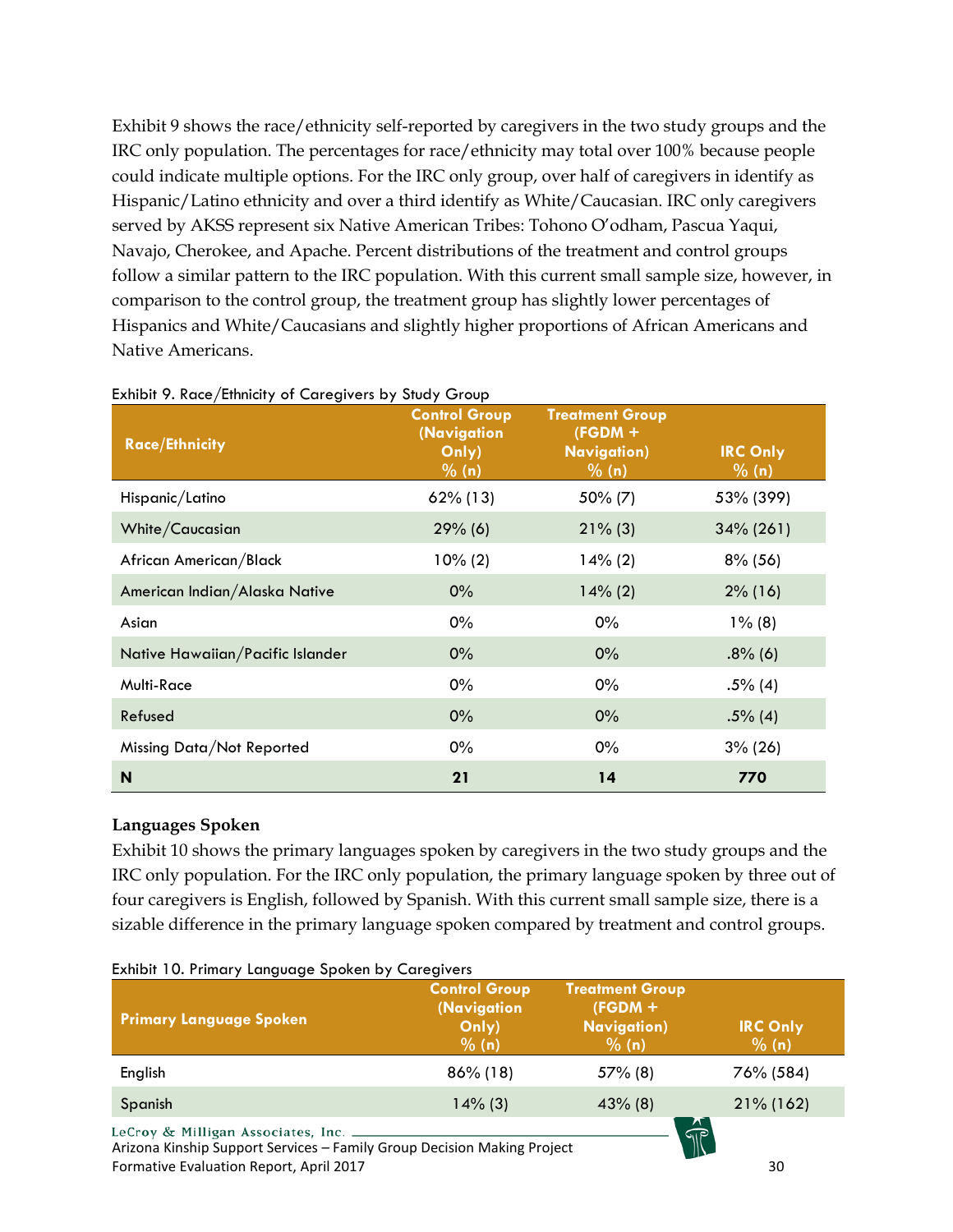Exhibit 9 shows the race/ethnicity self-reported by caregivers in the two study groups and the IRC only population. The percentages for race/ethnicity may total over 100% because people could indicate multiple options. For the IRC only group, over half of caregivers in identify as Hispanic/Latino ethnicity and over a third identify as White/Caucasian. IRC only caregivers served by AKSS represent six Native American Tribes: Tohono O'odham, Pascua Yaqui, Navajo, Cherokee, and Apache. Percent distributions of the treatment and control groups follow a similar pattern to the IRC population. With this current small sample size, however, in comparison to the control group, the treatment group has slightly lower percentages of Hispanics and White/Caucasians and slightly higher proportions of African Americans and Native Americans.

| <b>Race/Ethnicity</b>            | <b>Control Group</b><br>(Navigation<br>Only)<br>% (n) | <b>Treatment Group</b><br>$(FGDM +$<br><b>Navigation</b> )<br>% (n) | <b>IRC Only</b><br>$\frac{9}{6}$ (n) |
|----------------------------------|-------------------------------------------------------|---------------------------------------------------------------------|--------------------------------------|
| Hispanic/Latino                  | $62\%$ (13)                                           | $50\%$ (7)                                                          | 53% (399)                            |
| White/Caucasian                  | $29%$ (6)                                             | $21\%$ (3)                                                          | $34\% (261)$                         |
| African American/Black           | $10\% (2)$                                            | $14\%$ (2)                                                          | $8\%$ (56)                           |
| American Indian/Alaska Native    | $0\%$                                                 | $14\%$ (2)                                                          | $2\%$ (16)                           |
| Asian                            | 0%                                                    | $0\%$                                                               | $1\%$ (8)                            |
| Native Hawaiian/Pacific Islander | 0%                                                    | $0\%$                                                               | $.8\%$ (6)                           |
| Multi-Race                       | $0\%$                                                 | $0\%$                                                               | $.5\%$ (4)                           |
| Refused                          | 0%                                                    | 0%                                                                  | $.5\%$ (4)                           |
| Missing Data/Not Reported        | $0\%$                                                 | $0\%$                                                               | $3\% (26)$                           |
| N                                | 21                                                    | 14                                                                  | 770                                  |

#### <span id="page-30-0"></span>Exhibit 9. Race/Ethnicity of Caregivers by Study Group

#### **Languages Spoken**

Exhibit 10 shows the primary languages spoken by caregivers in the two study groups and the IRC only population. For the IRC only population, the primary language spoken by three out of four caregivers is English, followed by Spanish. With this current small sample size, there is a sizable difference in the primary language spoken compared by treatment and control groups.

| <b>Primary Language Spoken</b>                                                                                | <b>Control Group</b><br>(Navigation<br>Only)<br>% (n) | <b>Treatment Group</b><br>$(FGDM +$<br><b>Navigation</b> )<br>% (n) | <b>IRC Only</b><br>% (n) |
|---------------------------------------------------------------------------------------------------------------|-------------------------------------------------------|---------------------------------------------------------------------|--------------------------|
| English                                                                                                       | $86\%$ (18)                                           | $57\%$ (8)                                                          | 76% (584)                |
| Spanish                                                                                                       | $14\%$ (3)                                            | $43\%$ (8)                                                          | $21\%$ (162)             |
| LeCroy & Milligan Associates, Inc.<br>Arizona Kinship Support Services - Family Group Decision Making Project |                                                       |                                                                     |                          |

#### <span id="page-30-1"></span>Exhibit 10. Primary Language Spoken by Caregivers

Arizona Kinship Support Services – Family Group Decision Making Project Formative Evaluation Report, April 2017 30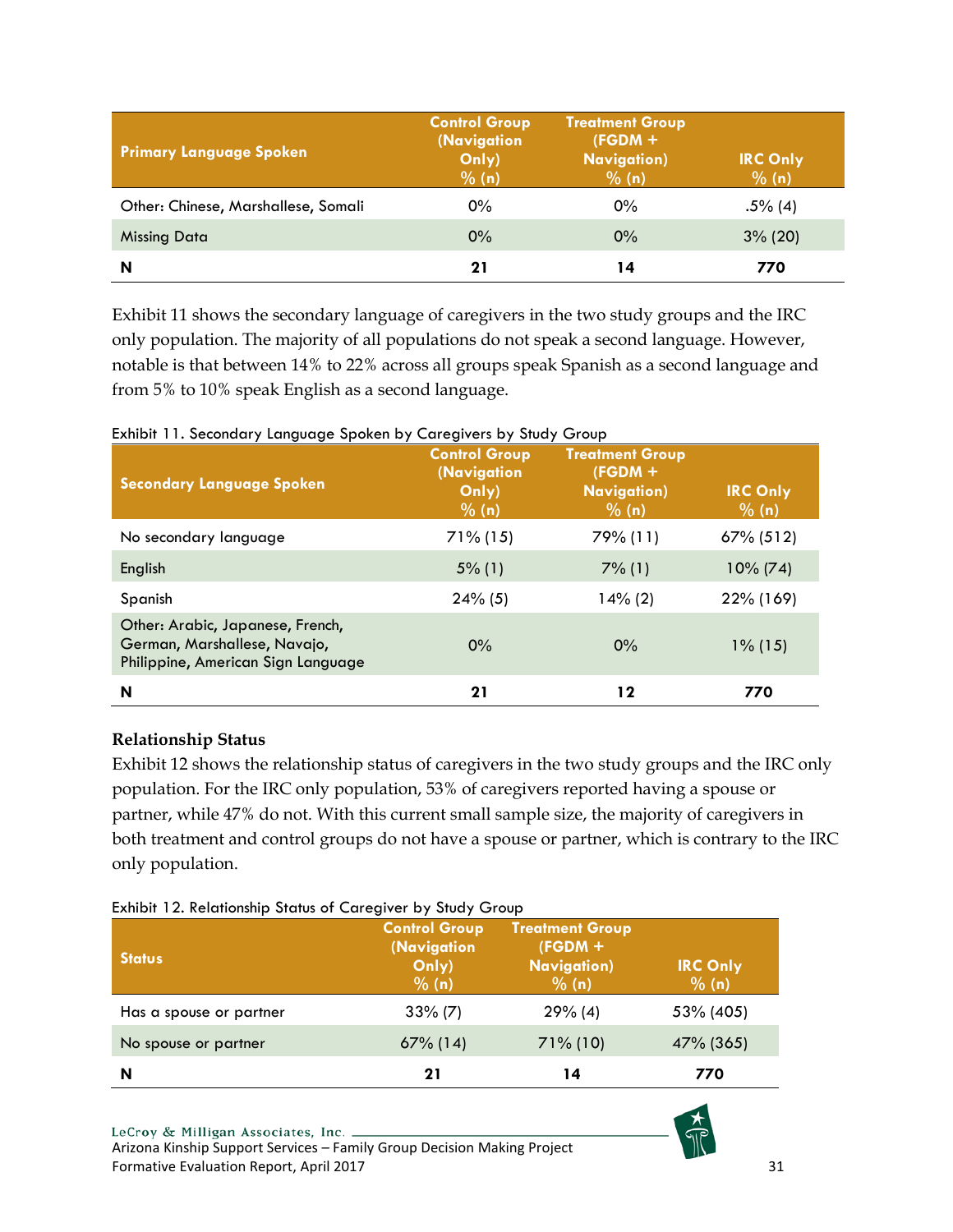| <b>Primary Language Spoken</b>      | <b>Control Group</b><br>(Navigation<br>Only)<br>% (n) | <b>Treatment Group</b><br>$(FGDM +$<br><b>Navigation</b> )<br>% (n) | <b>IRC Only</b><br>% (n) |
|-------------------------------------|-------------------------------------------------------|---------------------------------------------------------------------|--------------------------|
| Other: Chinese, Marshallese, Somali | $0\%$                                                 | 0%                                                                  | $.5\%$ (4)               |
| <b>Missing Data</b>                 | 0%                                                    | $0\%$                                                               | $3\%$ (20)               |
| N                                   | 21                                                    | 14                                                                  | 770                      |

Exhibit 11 shows the secondary language of caregivers in the two study groups and the IRC only population. The majority of all populations do not speak a second language. However, notable is that between 14% to 22% across all groups speak Spanish as a second language and from 5% to 10% speak English as a second language.

<span id="page-31-0"></span>Exhibit 11. Secondary Language Spoken by Caregivers by Study Group

| יון שפייטי<br><b>Secondary Language Spoken</b>                                                         | <b>Control Group</b><br>(Navigation<br>Only)<br>$\frac{9}{6}$ (n) | <b>Treatment Group</b><br>$(FGDM +$<br><b>Navigation</b> )<br>$\frac{9}{6}$ (n) | <b>IRC Only</b><br>% (n) |
|--------------------------------------------------------------------------------------------------------|-------------------------------------------------------------------|---------------------------------------------------------------------------------|--------------------------|
| No secondary language                                                                                  | $71\%$ (15)                                                       | 79% (11)                                                                        | $67\% (512)$             |
| English                                                                                                | $5\%$ (1)                                                         | $7\%$ (1)                                                                       | $10\% (74)$              |
| Spanish                                                                                                | $24\%$ (5)                                                        | $14\%$ (2)                                                                      | 22% (169)                |
| Other: Arabic, Japanese, French,<br>German, Marshallese, Navajo,<br>Philippine, American Sign Language | $0\%$                                                             | 0%                                                                              | $1\%$ (15)               |
| N                                                                                                      | 21                                                                | $12 \$                                                                          | 770                      |

## **Relationship Status**

Exhibit 12 shows the relationship status of caregivers in the two study groups and the IRC only population. For the IRC only population, 53% of caregivers reported having a spouse or partner, while 47% do not. With this current small sample size, the majority of caregivers in both treatment and control groups do not have a spouse or partner, which is contrary to the IRC only population.

<span id="page-31-1"></span>

|  | Exhibit 12. Relationship Status of Caregiver by Study Group |  |  |  |  |
|--|-------------------------------------------------------------|--|--|--|--|

| <b>Status</b>           | <b>Control Group</b><br>(Navigation<br>Only)<br>% (n) | <b>Treatment Group</b><br>$(FGDM +$<br><b>Navigation</b> )<br>% (n) | <b>IRC Only</b><br>$\sqrt{96}$ (n) |
|-------------------------|-------------------------------------------------------|---------------------------------------------------------------------|------------------------------------|
| Has a spouse or partner | $33\%$ (7)                                            | 29% (4)                                                             | 53% (405)                          |
| No spouse or partner    | $67\%$ (14)                                           | $71\%$ (10)                                                         | 47% (365)                          |
| N                       | 21                                                    | 14                                                                  | 770                                |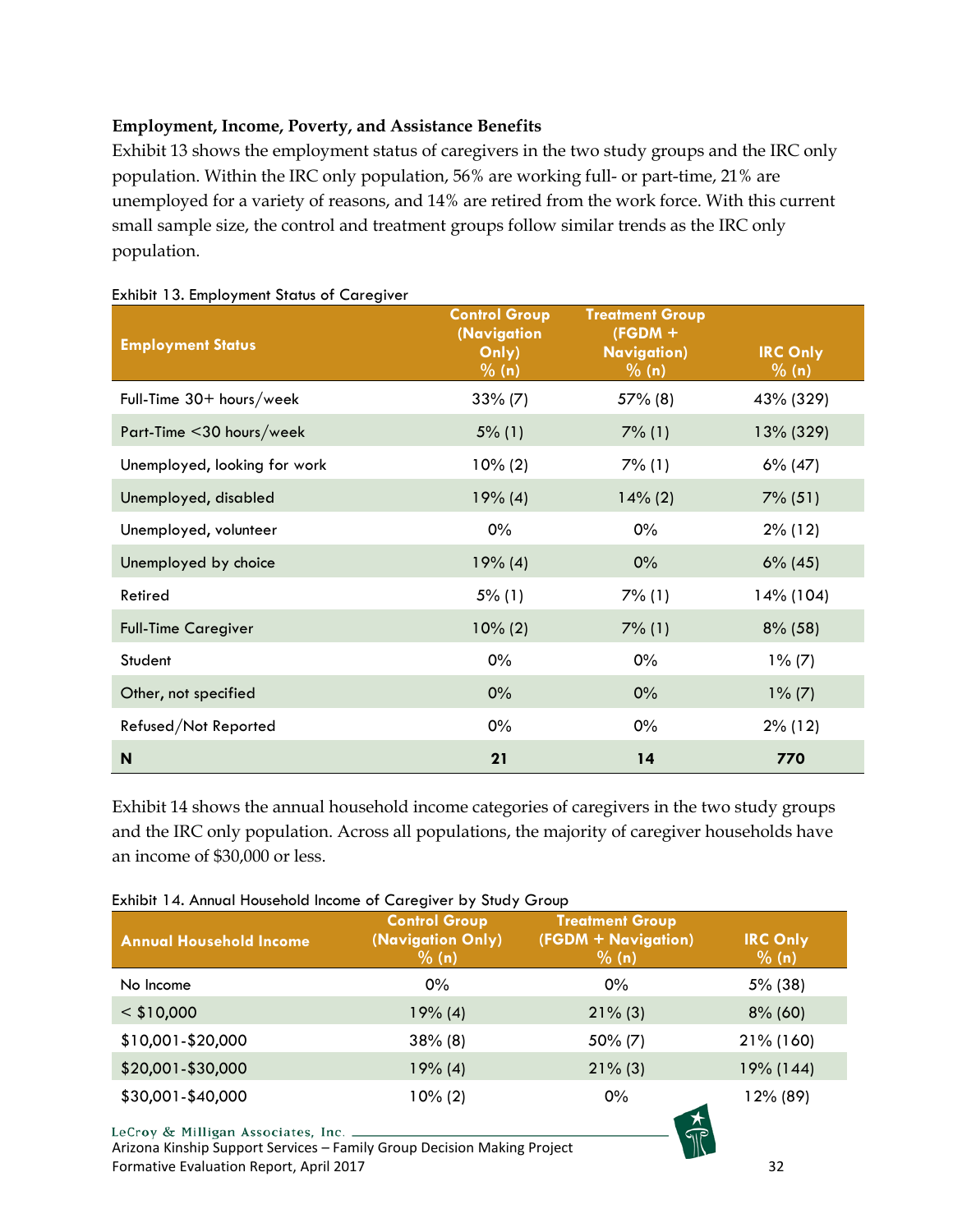## **Employment, Income, Poverty, and Assistance Benefits**

Exhibit 13 shows the employment status of caregivers in the two study groups and the IRC only population. Within the IRC only population, 56% are working full- or part-time, 21% are unemployed for a variety of reasons, and 14% are retired from the work force. With this current small sample size, the control and treatment groups follow similar trends as the IRC only population.

| <b>Employment Status</b>     | <b>Control Group</b><br>(Navigation<br>Only)<br>$\frac{9}{6}$ (n) | <b>Treatment Group</b><br>$(FGDM +$<br><b>Navigation</b> )<br>% (n) | <b>IRC Only</b><br>% (n) |
|------------------------------|-------------------------------------------------------------------|---------------------------------------------------------------------|--------------------------|
| Full-Time 30+ hours/week     | $33\% (7)$                                                        | $57\%$ (8)                                                          | 43% (329)                |
| Part-Time <30 hours/week     | $5\%$ (1)                                                         | $7\%$ (1)                                                           | 13% (329)                |
| Unemployed, looking for work | $10\% (2)$                                                        | $7\%$ (1)                                                           | $6\%$ (47)               |
| Unemployed, disabled         | 19% (4)                                                           | $14\%$ (2)                                                          | $7\%$ (51)               |
| Unemployed, volunteer        | $0\%$                                                             | $0\%$                                                               | $2\%$ (12)               |
| Unemployed by choice         | 19% (4)                                                           | $0\%$                                                               | $6\%$ (45)               |
| Retired                      | $5\%$ (1)                                                         | $7\%$ (1)                                                           | 14% (104)                |
| <b>Full-Time Caregiver</b>   | $10\% (2)$                                                        | $7\%$ (1)                                                           | $8\%$ (58)               |
| Student                      | 0%                                                                | $0\%$                                                               | $1\% (7)$                |
| Other, not specified         | 0%                                                                | 0%                                                                  | $1\% (7)$                |
| Refused/Not Reported         | $0\%$                                                             | $0\%$                                                               | $2\%$ (12)               |
| N                            | 21                                                                | 14                                                                  | 770                      |

#### <span id="page-32-0"></span>Exhibit 13. Employment Status of Caregiver

Exhibit 14 shows the annual household income categories of caregivers in the two study groups and the IRC only population. Across all populations, the majority of caregiver households have an income of \$30,000 or less.

| <b>Annual Household Income</b> | <b>Control Group</b><br>(Navigation Only)<br>% (n) | <b>Treatment Group</b><br>(FGDM + Navigation)<br>% (n) | <b>IRC Only</b><br>% (n) |
|--------------------------------|----------------------------------------------------|--------------------------------------------------------|--------------------------|
| No Income                      | $0\%$                                              | $0\%$                                                  | $5\%$ (38)               |
| $<$ \$10,000                   | 19% (4)                                            | $21\%$ (3)                                             | $8\%$ (60)               |
| \$10,001-\$20,000              | $38\%$ (8)                                         | $50\%$ (7)                                             | 21% (160)                |
| \$20,001-\$30,000              | 19% (4)                                            | $21\%$ (3)                                             | 19% (144)                |
| \$30,001-\$40,000              | $10\%(2)$                                          | $0\%$                                                  | 12% (89)                 |

## <span id="page-32-1"></span>Exhibit 14. Annual Household Income of Caregiver by Study Group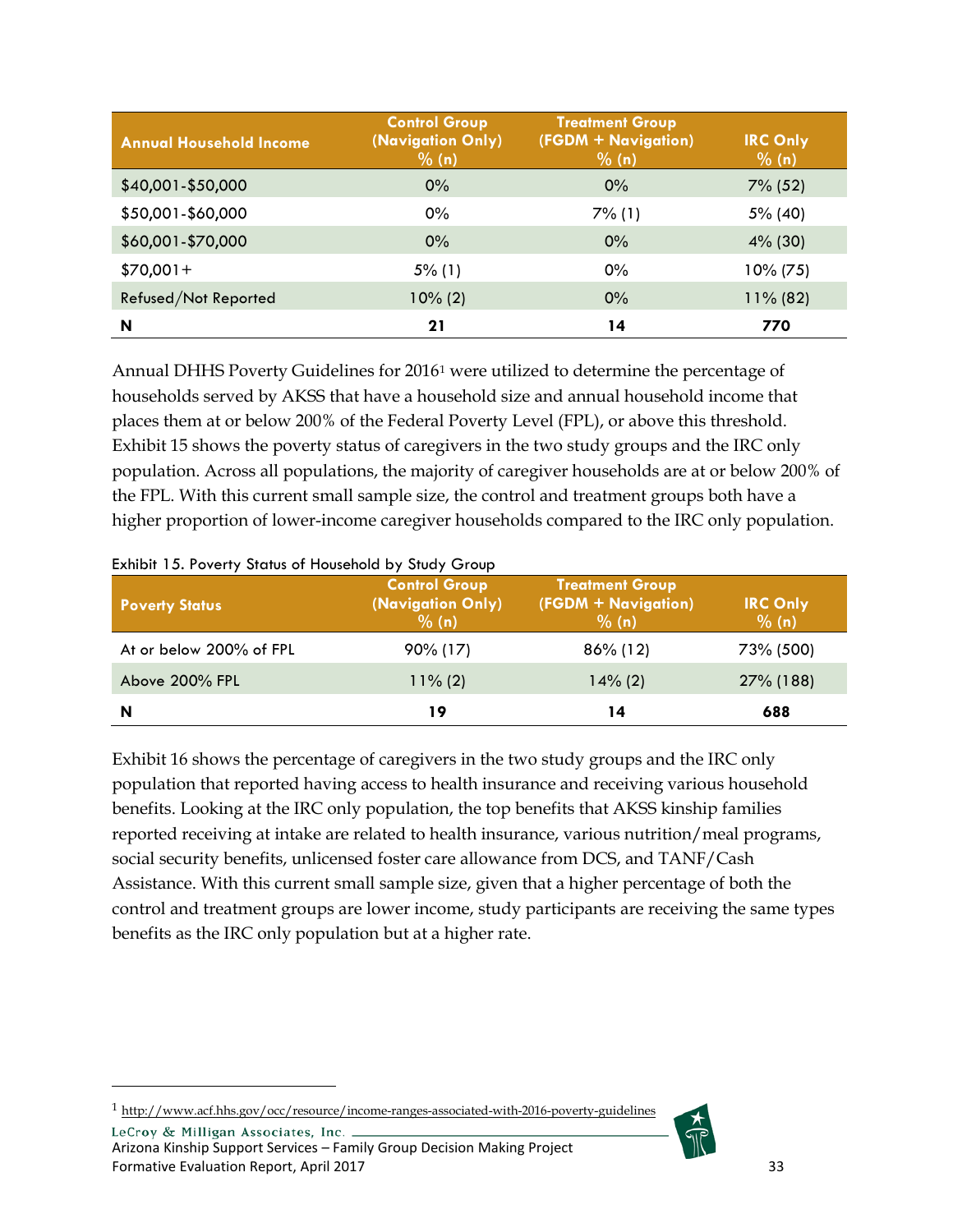| <b>Annual Household Income</b> | <b>Control Group</b><br>(Navigation Only)<br>% (n) | <b>Treatment Group</b><br>(FGDM + Navigation)<br>% (n) | <b>IRC Only</b><br>% (n) |
|--------------------------------|----------------------------------------------------|--------------------------------------------------------|--------------------------|
| \$40,001-\$50,000              | $0\%$                                              | 0%                                                     | $7\%$ (52)               |
| \$50,001-\$60,000              | 0%                                                 | $7\%$ (1)                                              | 5% (40)                  |
| \$60,001-\$70,000              | $0\%$                                              | 0%                                                     | $4\%$ (30)               |
| $$70,001+$                     | $5\%$ (1)                                          | 0%                                                     | $10\% (75)$              |
| Refused/Not Reported           | $10\% (2)$                                         | 0%                                                     | $11\%$ (82)              |
| N                              | 21                                                 | 14                                                     | 770                      |

Annual DHHS Poverty Guidelines for 2016[1](#page-33-1) were utilized to determine the percentage of households served by AKSS that have a household size and annual household income that places them at or below 200% of the Federal Poverty Level (FPL), or above this threshold. Exhibit 15 shows the poverty status of caregivers in the two study groups and the IRC only population. Across all populations, the majority of caregiver households are at or below 200% of the FPL. With this current small sample size, the control and treatment groups both have a higher proportion of lower-income caregiver households compared to the IRC only population.

| <b>Poverty Status</b>   | <b>Control Group</b><br>(Navigation Only)<br>% (n) | <b>Treatment Group</b><br>(FGDM + Navigation)<br>% (n) | <b>IRC Only</b><br>% (n) |
|-------------------------|----------------------------------------------------|--------------------------------------------------------|--------------------------|
| At or below 200% of FPL | $90\%$ (17)                                        | $86\%$ (12)                                            | 73% (500)                |
| Above 200% FPL          | $11\%$ (2)                                         | $14\%$ (2)                                             | 27% (188)                |
| N                       | 19                                                 | 14                                                     | 688                      |

<span id="page-33-0"></span>Exhibit 15. Poverty Status of Household by Study Group

Exhibit 16 shows the percentage of caregivers in the two study groups and the IRC only population that reported having access to health insurance and receiving various household benefits. Looking at the IRC only population, the top benefits that AKSS kinship families reported receiving at intake are related to health insurance, various nutrition/meal programs, social security benefits, unlicensed foster care allowance from DCS, and TANF/Cash Assistance. With this current small sample size, given that a higher percentage of both the control and treatment groups are lower income, study participants are receiving the same types benefits as the IRC only population but at a higher rate.

<span id="page-33-1"></span>1 <http://www.acf.hhs.gov/occ/resource/income-ranges-associated-with-2016-poverty-guidelines>

 $\overline{a}$ 

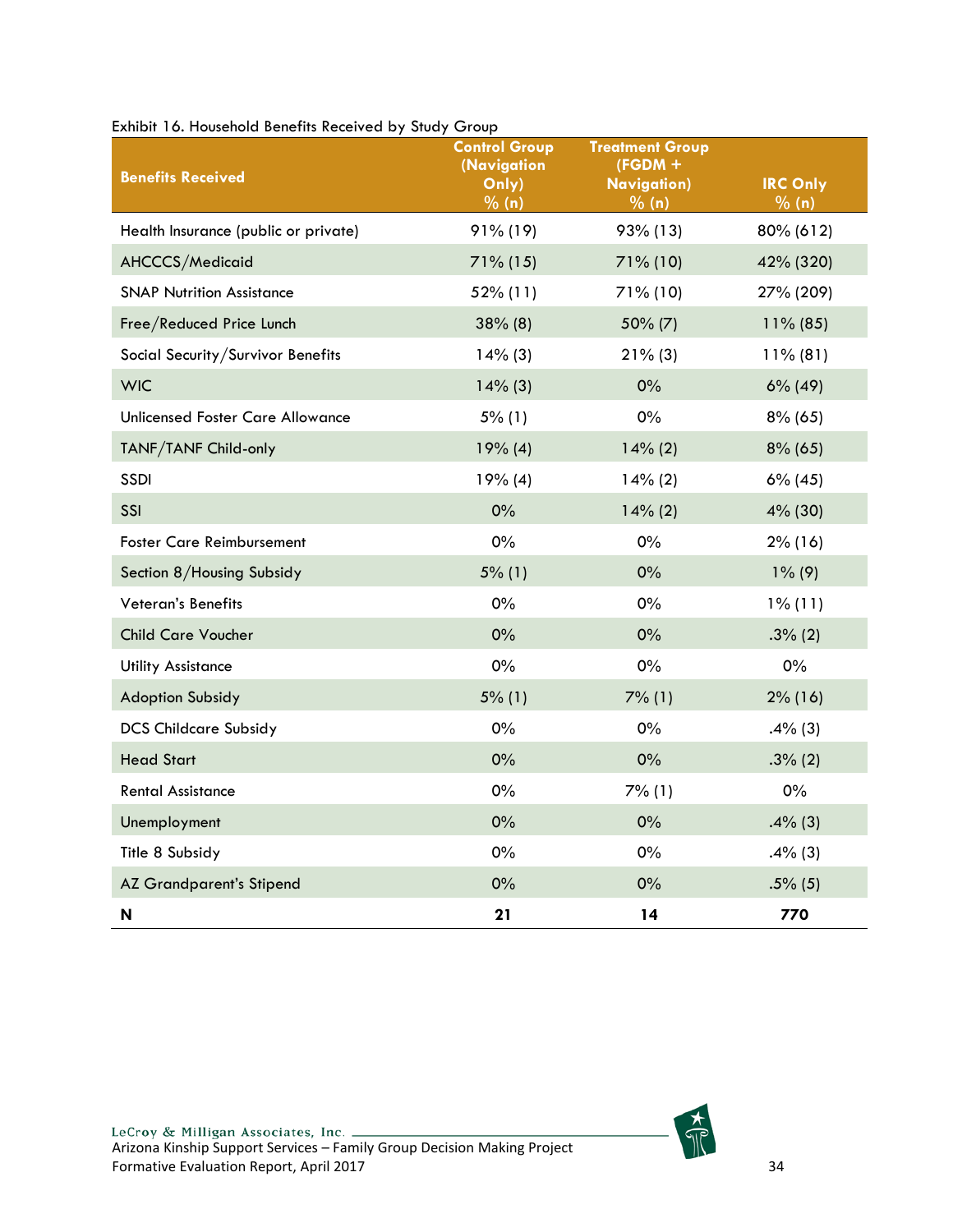| $\sim$<br><b>Benefits Received</b>   | o vop<br><b>Control Group</b><br>(Navigation<br>$\overline{O}$ nly)<br>% (n) | <b>Treatment Group</b><br>$(FGDM +$<br><b>Navigation</b> )<br>% (n) | <b>IRC Only</b><br>% (n) |
|--------------------------------------|------------------------------------------------------------------------------|---------------------------------------------------------------------|--------------------------|
| Health Insurance (public or private) | $91\%$ (19)                                                                  | 93% (13)                                                            | 80% (612)                |
| AHCCCS/Medicaid                      | $71\%$ (15)                                                                  | $71\%$ (10)                                                         | 42% (320)                |
| <b>SNAP Nutrition Assistance</b>     | 52% (11)                                                                     | 71% (10)                                                            | 27% (209)                |
| Free/Reduced Price Lunch             | $38\%$ (8)                                                                   | 50% (7)                                                             | $11\%$ (85)              |
| Social Security/Survivor Benefits    | $14\%$ (3)                                                                   | $21\%$ (3)                                                          | $11\%$ (81)              |
| <b>WIC</b>                           | $14\%$ (3)                                                                   | 0%                                                                  | $6\%$ (49)               |
| Unlicensed Foster Care Allowance     | 5% (1)                                                                       | $0\%$                                                               | $8\%$ (65)               |
| TANF/TANF Child-only                 | 19% (4)                                                                      | 14% (2)                                                             | $8\%$ (65)               |
| <b>SSDI</b>                          | 19% (4)                                                                      | 14% (2)                                                             | $6\%$ (45)               |
| SSI                                  | $0\%$                                                                        | 14% (2)                                                             | 4% (30)                  |
| <b>Foster Care Reimbursement</b>     | 0%                                                                           | $0\%$                                                               | $2\%$ (16)               |
| Section 8/Housing Subsidy            | 5% (1)                                                                       | 0%                                                                  | $1\%$ (9)                |
| Veteran's Benefits                   | 0%                                                                           | $0\%$                                                               | $1\%$ (11)               |
| <b>Child Care Voucher</b>            | 0%                                                                           | $0\%$                                                               | $.3\%$ (2)               |
| <b>Utility Assistance</b>            | $0\%$                                                                        | $0\%$                                                               | $0\%$                    |
| <b>Adoption Subsidy</b>              | $5\%$ (1)                                                                    | 7% (1)                                                              | $2\%$ (16)               |
| <b>DCS Childcare Subsidy</b>         | 0%                                                                           | $0\%$                                                               | $.4\%$ (3)               |
| <b>Head Start</b>                    | 0%                                                                           | 0%                                                                  | $.3\%$ (2)               |
| <b>Rental Assistance</b>             | 0%                                                                           | 7% (1)                                                              | $0\%$                    |
| Unemployment                         | 0%                                                                           | 0%                                                                  | $.4\%$ (3)               |
| Title 8 Subsidy                      | 0%                                                                           | $0\%$                                                               | $.4\%$ (3)               |
| <b>AZ Grandparent's Stipend</b>      | 0%                                                                           | 0%                                                                  | $.5\%$ (5)               |
| N                                    | 21                                                                           | 14                                                                  | 770                      |

<span id="page-34-0"></span>Exhibit 16. Household Benefits Received by Study Group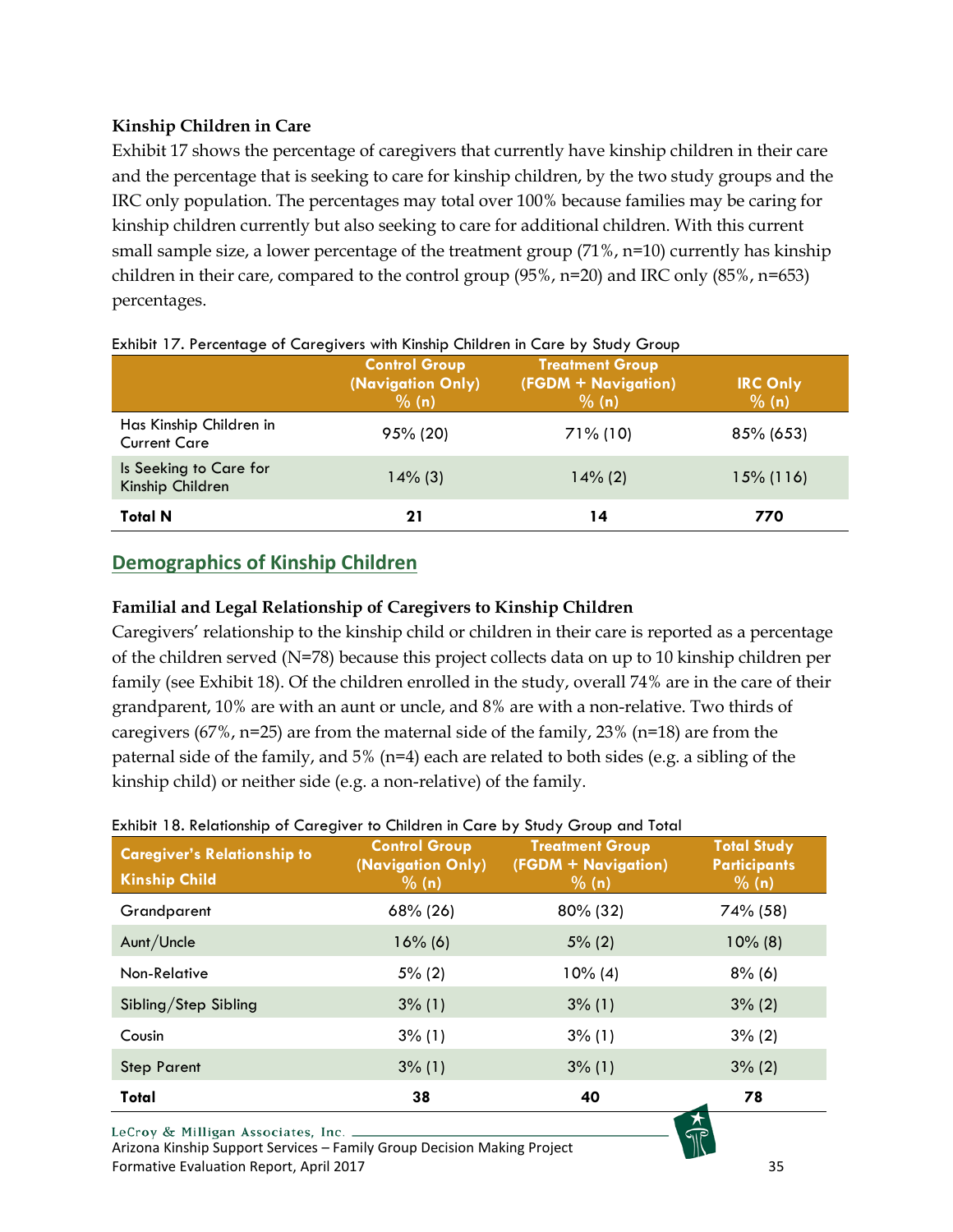## **Kinship Children in Care**

Exhibit 17 shows the percentage of caregivers that currently have kinship children in their care and the percentage that is seeking to care for kinship children, by the two study groups and the IRC only population. The percentages may total over 100% because families may be caring for kinship children currently but also seeking to care for additional children. With this current small sample size, a lower percentage of the treatment group (71%, n=10) currently has kinship children in their care, compared to the control group (95%, n=20) and IRC only (85%, n=653) percentages.

|                                                | <b>Control Group</b><br>(Navigation Only)<br>% (n) | <b>Treatment Group</b><br>(FGDM + Navigation)<br>% (n) | <b>IRC Only</b><br>% (n) |
|------------------------------------------------|----------------------------------------------------|--------------------------------------------------------|--------------------------|
| Has Kinship Children in<br><b>Current Care</b> | 95% (20)                                           | $71\%$ (10)                                            | 85% (653)                |
| Is Seeking to Care for<br>Kinship Children     | $14\%$ (3)                                         | $14\%$ (2)                                             | $15\%$ (116)             |
| <b>Total N</b>                                 | 21                                                 | 14                                                     | 770                      |

#### <span id="page-35-1"></span>Exhibit 17. Percentage of Caregivers with Kinship Children in Care by Study Group

## <span id="page-35-0"></span>**Demographics of Kinship Children**

### **Familial and Legal Relationship of Caregivers to Kinship Children**

Caregivers' relationship to the kinship child or children in their care is reported as a percentage of the children served (N=78) because this project collects data on up to 10 kinship children per family (see Exhibit 18). Of the children enrolled in the study, overall 74% are in the care of their grandparent, 10% are with an aunt or uncle, and 8% are with a non-relative. Two thirds of caregivers (67%,  $n=25$ ) are from the maternal side of the family, 23% ( $n=18$ ) are from the paternal side of the family, and 5% (n=4) each are related to both sides (e.g. a sibling of the kinship child) or neither side (e.g. a non-relative) of the family.

#### <span id="page-35-2"></span>Exhibit 18. Relationship of Caregiver to Children in Care by Study Group and Total

| <b>Caregiver's Relationship to</b><br><b>Kinship Child</b> | <b>Control Group</b><br>(Navigation Only)<br>$\frac{9}{6}$ (n) | <b>Treatment Group</b><br>(FGDM + Navigation)<br>% (n) | <b>Total Study</b><br><b>Participants</b><br>$\frac{1}{2}$ (n) |
|------------------------------------------------------------|----------------------------------------------------------------|--------------------------------------------------------|----------------------------------------------------------------|
| Grandparent                                                | 68% (26)                                                       | 80% (32)                                               | 74% (58)                                                       |
| Aunt/Uncle                                                 | $16\%$ (6)                                                     | $5\%$ (2)                                              | $10\%$ (8)                                                     |
| Non-Relative                                               | $5\%$ (2)                                                      | $10\%$ (4)                                             | $8\%$ (6)                                                      |
| Sibling/Step Sibling                                       | $3\%$ (1)                                                      | $3\%$ (1)                                              | $3\%$ (2)                                                      |
| Cousin                                                     | $3\%$ (1)                                                      | $3\%$ (1)                                              | $3\%$ (2)                                                      |
| <b>Step Parent</b>                                         | $3\%$ (1)                                                      | $3\%$ (1)                                              | $3\%$ (2)                                                      |
| Total                                                      | 38                                                             | 40                                                     | 78                                                             |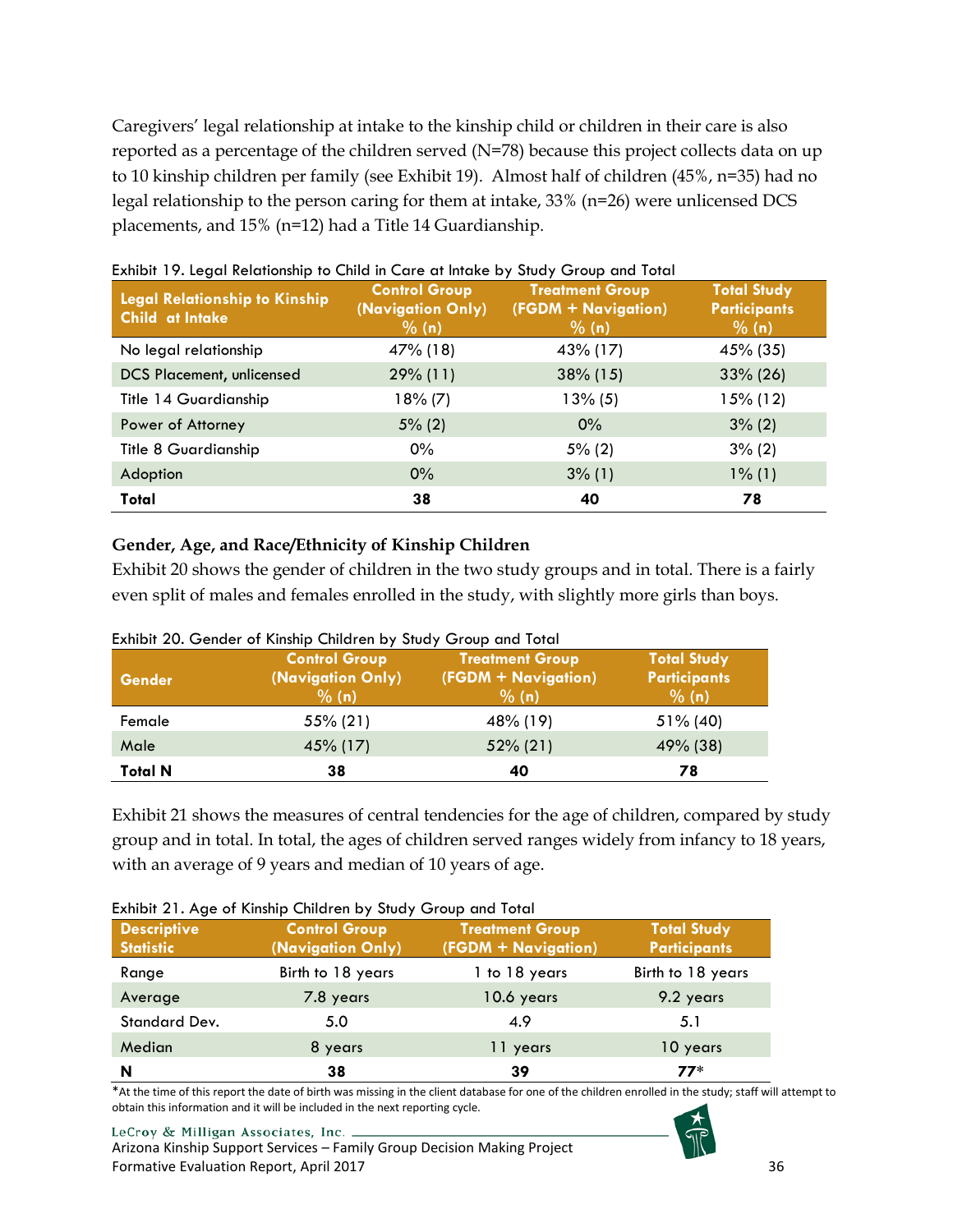Caregivers' legal relationship at intake to the kinship child or children in their care is also reported as a percentage of the children served (N=78) because this project collects data on up to 10 kinship children per family (see Exhibit 19). Almost half of children (45%, n=35) had no legal relationship to the person caring for them at intake, 33% (n=26) were unlicensed DCS placements, and 15% (n=12) had a Title 14 Guardianship.

| <b>Legal Relationship to Kinship</b><br>Child at Intake | <b>Control Group</b><br>(Navigation Only)<br>% (n) | <b>Treatment Group</b><br>(FGDM + Navigation)<br>% (n) | <b>Total Study</b><br><b>Participants</b><br>% (n) |
|---------------------------------------------------------|----------------------------------------------------|--------------------------------------------------------|----------------------------------------------------|
| No legal relationship                                   | 47% (18)                                           | 43% (17)                                               | 45% (35)                                           |
| <b>DCS Placement, unlicensed</b>                        | $29\%$ (11)                                        | $38\%$ (15)                                            | $33\% (26)$                                        |
| Title 14 Guardianship                                   | 18% (7)                                            | $13\%$ (5)                                             | 15% (12)                                           |
| Power of Attorney                                       | $5\%$ (2)                                          | $0\%$                                                  | $3\%$ (2)                                          |
| Title 8 Guardianship                                    | $0\%$                                              | $5\%$ (2)                                              | $3\%$ (2)                                          |
| Adoption                                                | $0\%$                                              | $3\%$ (1)                                              | $1\%$ (1)                                          |
| Total                                                   | 38                                                 | 40                                                     | 78                                                 |

## <span id="page-36-0"></span>Exhibit 19. Legal Relationship to Child in Care at Intake by Study Group and Total

#### **Gender, Age, and Race/Ethnicity of Kinship Children**

Exhibit 20 shows the gender of children in the two study groups and in total. There is a fairly even split of males and females enrolled in the study, with slightly more girls than boys.

| <b>Gender</b>  | <b>Control Group</b><br>(Navigation Only)<br>% (n) | <b>Treatment Group</b><br>(FGDM + Navigation)<br>% (n) | <b>Total Study</b><br><b>Participants</b><br>% (n) |
|----------------|----------------------------------------------------|--------------------------------------------------------|----------------------------------------------------|
| Female         | 55% (21)                                           | 48% (19)                                               | $51\%$ (40)                                        |
| Male           | 45% (17)                                           | $52\%$ (21)                                            | 49% (38)                                           |
| <b>Total N</b> | 38                                                 | 40                                                     | 78                                                 |

#### <span id="page-36-1"></span>Exhibit 20. Gender of Kinship Children by Study Group and Total

Exhibit 21 shows the measures of central tendencies for the age of children, compared by study group and in total. In total, the ages of children served ranges widely from infancy to 18 years, with an average of 9 years and median of 10 years of age.

<span id="page-36-2"></span>

| <b>Descriptive</b><br><b>Statistic</b> | <b>Control Group</b><br>(Navigation Only) | <b>Treatment Group</b><br>(FGDM + Navigation) | <b>Total Study</b><br><b>Participants</b> |
|----------------------------------------|-------------------------------------------|-----------------------------------------------|-------------------------------------------|
| Range                                  | Birth to 18 years                         | 1 to 18 years                                 | Birth to 18 years                         |
| Average                                | 7.8 years                                 | 10.6 years                                    | 9.2 years                                 |
| <b>Standard Dev.</b>                   | 5.0                                       | 4.9                                           | 5.1                                       |
| Median                                 | 8 years                                   | 11 years                                      | 10 years                                  |
| N                                      | 38                                        | 39                                            | $77*$                                     |

\*At the time of this report the date of birth was missing in the client database for one of the children enrolled in the study; staff will attempt to obtain this information and it will be included in the next reporting cycle.

#### LeCroy & Milligan Associates, Inc.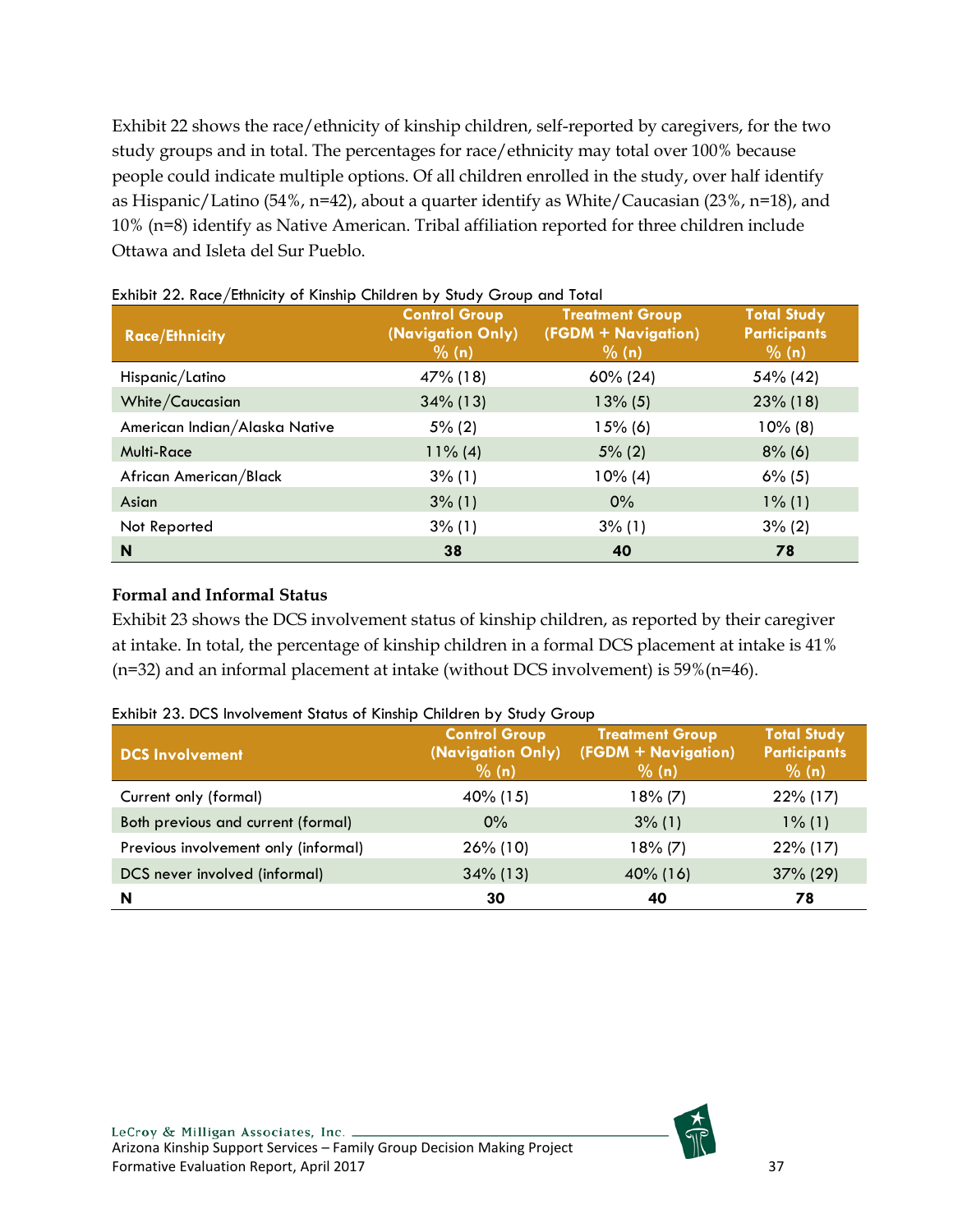Exhibit 22 shows the race/ethnicity of kinship children, self-reported by caregivers, for the two study groups and in total. The percentages for race/ethnicity may total over 100% because people could indicate multiple options. Of all children enrolled in the study, over half identify as Hispanic/Latino (54%, n=42), about a quarter identify as White/Caucasian (23%, n=18), and 10% (n=8) identify as Native American. Tribal affiliation reported for three children include Ottawa and Isleta del Sur Pueblo.

| <b>Race/Ethnicity</b>         | <b>Control Group</b><br>(Navigation Only)<br>% (n) | <b>Treatment Group</b><br>(FGDM + Navigation)<br>% (n) | <b>Total Study</b><br><b>Participants</b><br>% (n) |
|-------------------------------|----------------------------------------------------|--------------------------------------------------------|----------------------------------------------------|
| Hispanic/Latino               | 47% (18)                                           | $60\% (24)$                                            | 54% (42)                                           |
| White/Caucasian               | $34\%$ (13)                                        | $13\% (5)$                                             | $23\%$ (18)                                        |
| American Indian/Alaska Native | $5\%$ (2)                                          | $15%$ (6)                                              | $10\%$ (8)                                         |
| <b>Multi-Race</b>             | $11\%$ (4)                                         | $5\%$ (2)                                              | $8\%$ (6)                                          |
| African American/Black        | $3\%$ (1)                                          | $10\%$ (4)                                             | $6\%$ (5)                                          |
| Asian                         | $3\%$ (1)                                          | $0\%$                                                  | $1\%$ (1)                                          |
| Not Reported                  | $3\%$ (1)                                          | $3\%$ (1)                                              | $3\%$ (2)                                          |
| N                             | 38                                                 | 40                                                     | 78                                                 |

<span id="page-37-0"></span>Exhibit 22. Race/Ethnicity of Kinship Children by Study Group and Total

## **Formal and Informal Status**

Exhibit 23 shows the DCS involvement status of kinship children, as reported by their caregiver at intake. In total, the percentage of kinship children in a formal DCS placement at intake is 41% (n=32) and an informal placement at intake (without DCS involvement) is 59%(n=46).

| <b>DCS Involvement</b>               | <b>Control Group</b><br>(Navigation Only)<br>% (n) | <b>Treatment Group</b><br>(FGDM + Navigation)<br>% (n) | <b>Total Study</b><br><b>Participants</b><br>% (n) |
|--------------------------------------|----------------------------------------------------|--------------------------------------------------------|----------------------------------------------------|
| Current only (formal)                | 40% (15)                                           | $18\%$ (7)                                             | 22% (17)                                           |
| Both previous and current (formal)   | $0\%$                                              | $3\%$ (1)                                              | $1\%$ (1)                                          |
| Previous involvement only (informal) | $26\%$ (10)                                        | $18\%$ (7)                                             | 22% (17)                                           |
| DCS never involved (informal)        | $34\%$ (13)                                        | $40\%$ (16)                                            | 37% (29)                                           |
| N                                    | 30                                                 | 40                                                     | 78                                                 |

<span id="page-37-1"></span>Exhibit 23. DCS Involvement Status of Kinship Children by Study Group

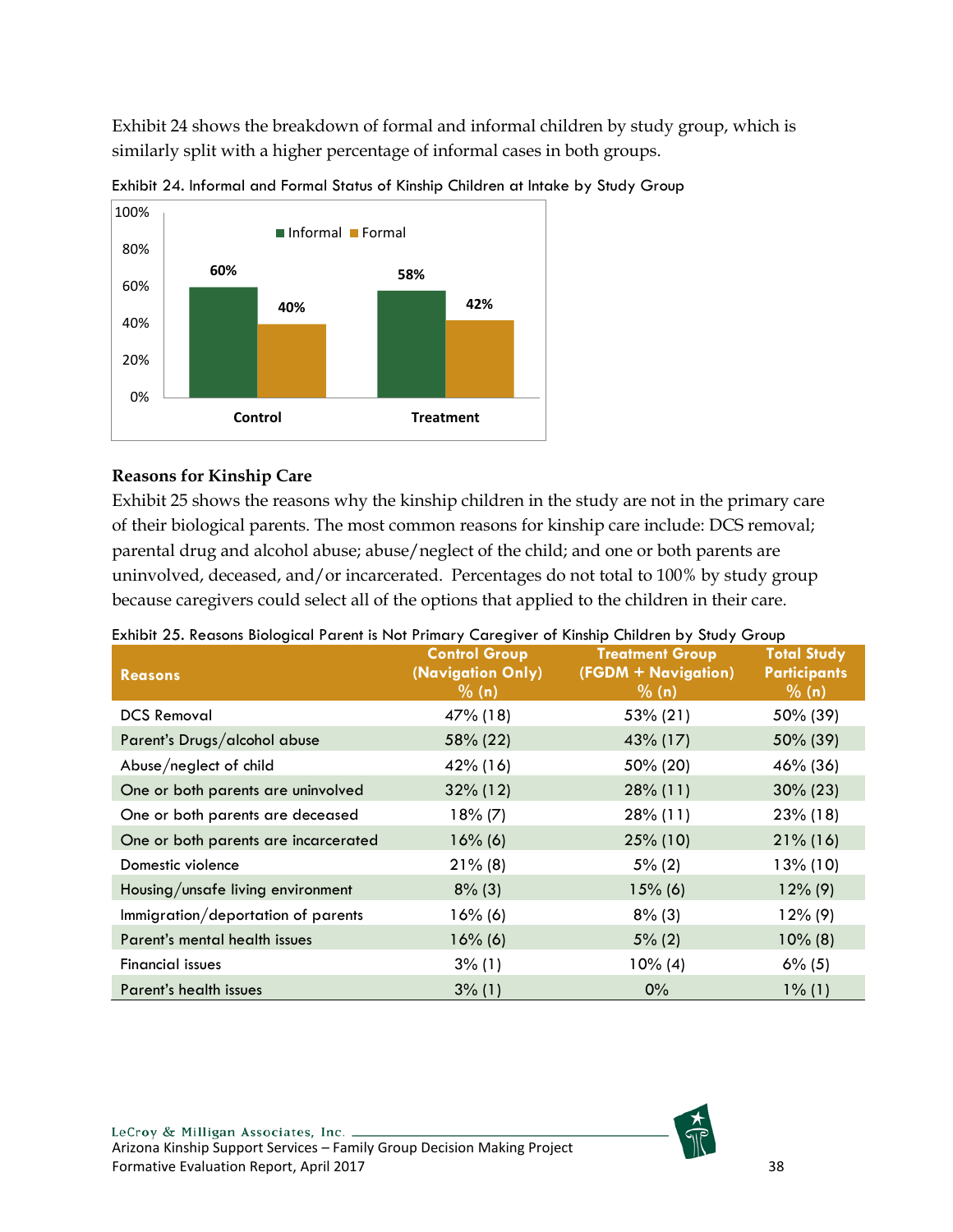Exhibit 24 shows the breakdown of formal and informal children by study group, which is similarly split with a higher percentage of informal cases in both groups.



<span id="page-38-0"></span>Exhibit 24. Informal and Formal Status of Kinship Children at Intake by Study Group

## **Reasons for Kinship Care**

Exhibit 25 shows the reasons why the kinship children in the study are not in the primary care of their biological parents. The most common reasons for kinship care include: DCS removal; parental drug and alcohol abuse; abuse/neglect of the child; and one or both parents are uninvolved, deceased, and/or incarcerated. Percentages do not total to 100% by study group because caregivers could select all of the options that applied to the children in their care.

| <b>Reasons</b>                       | <b>Control Group</b><br>(Navigation Only)<br>% (n) | <b>Treatment Group</b><br>(FGDM + Navigation)<br>% (n) | <b>Total Study</b><br><b>Participants</b><br>% (n) |  |
|--------------------------------------|----------------------------------------------------|--------------------------------------------------------|----------------------------------------------------|--|
| <b>DCS Removal</b>                   | 47% (18)                                           | 53% (21)                                               | 50% (39)                                           |  |
| Parent's Drugs/alcohol abuse         | 58% (22)                                           | 43% (17)                                               | 50% (39)                                           |  |
| Abuse/neglect of child               | 42% (16)                                           | 50% (20)                                               | 46% (36)                                           |  |
| One or both parents are uninvolved   | $32\%$ (12)                                        | $28\%$ (11)                                            | $30\% (23)$                                        |  |
| One or both parents are deceased     | $18\% (7)$                                         | 28% (11)                                               | $23\%$ (18)                                        |  |
| One or both parents are incarcerated | $16\%$ (6)                                         | $25\%$ (10)                                            | $21\%$ (16)                                        |  |
| Domestic violence                    | $21\%$ (8)                                         | $5\%$ (2)                                              | $13\%$ (10)                                        |  |
| Housing/unsafe living environment    | $8\%$ (3)                                          | $15\%$ (6)                                             | $12\%$ (9)                                         |  |
| Immigration/deportation of parents   | $16\%$ (6)                                         | $8\%$ (3)                                              | $12\%$ (9)                                         |  |
| Parent's mental health issues        | $16\%$ (6)                                         | $5\%$ (2)                                              | $10\%$ (8)                                         |  |
| <b>Financial issues</b>              | $3\%$ (1)                                          | $10\%$ (4)                                             | $6\%$ (5)                                          |  |
| Parent's health issues               | $3\%$ (1)                                          | $0\%$                                                  | $1\%$ (1)                                          |  |

<span id="page-38-1"></span>

| Exhibit 25. Reasons Biological Parent is Not Primary Caregiver of Kinship Children by Study Group |  |  |
|---------------------------------------------------------------------------------------------------|--|--|
|                                                                                                   |  |  |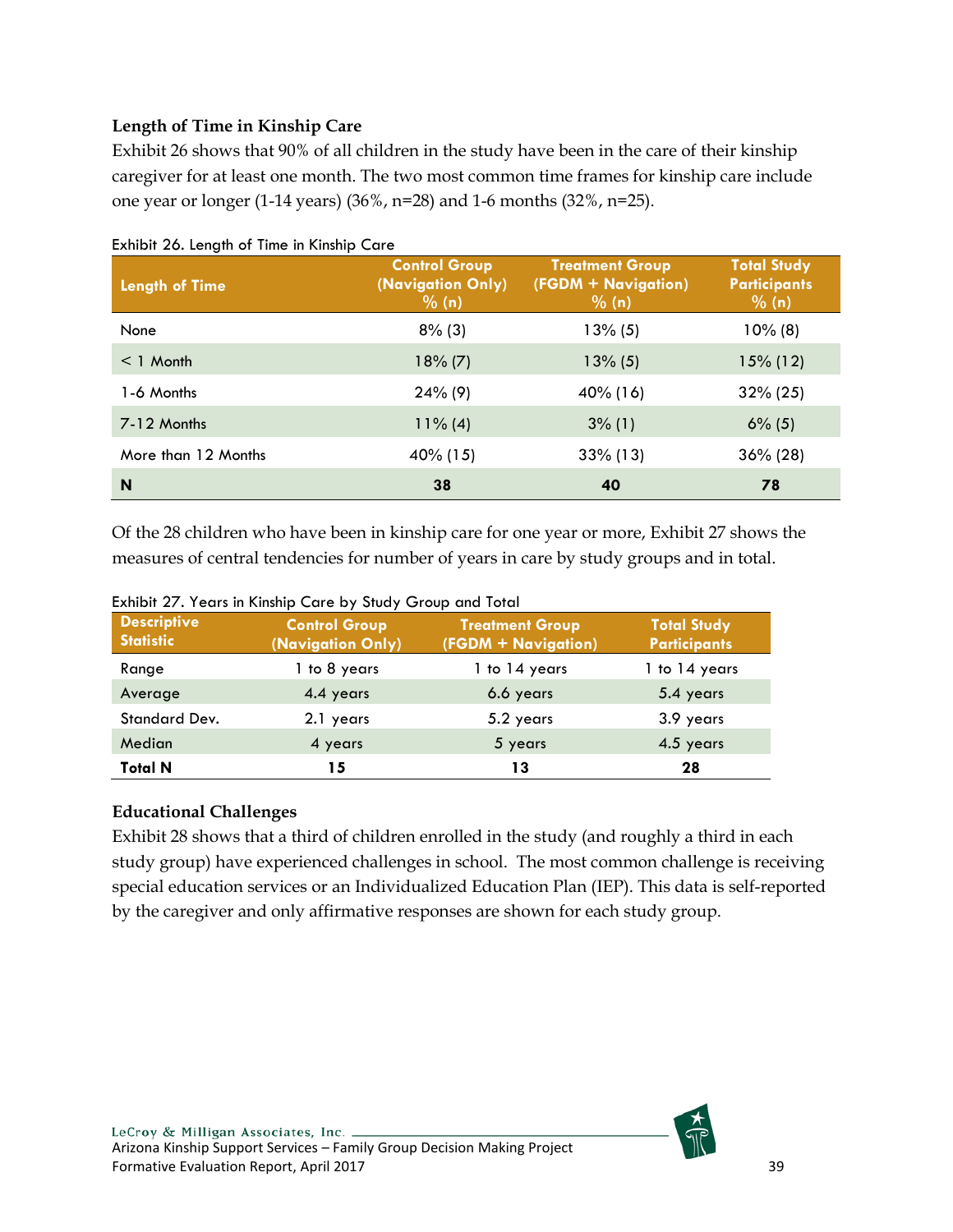# **Length of Time in Kinship Care**

Exhibit 26 shows that 90% of all children in the study have been in the care of their kinship caregiver for at least one month. The two most common time frames for kinship care include one year or longer (1-14 years) (36%, n=28) and 1-6 months (32%, n=25).

| <b>Length of Time</b> | <b>Control Group</b><br>(Navigation Only)<br>% (n) | <b>Treatment Group</b><br>(FGDM + Navigation)<br>% (n) | <b>Total Study</b><br><b>Participants</b><br>$\frac{9}{6}$ (n) |
|-----------------------|----------------------------------------------------|--------------------------------------------------------|----------------------------------------------------------------|
| None                  | $8\%$ (3)                                          | $13\%$ (5)                                             | $10\%$ (8)                                                     |
| $<$ 1 Month           | $18\% (7)$                                         | $13\%$ (5)                                             | $15\%$ (12)                                                    |
| 1-6 Months            | $24\%$ (9)                                         | 40% (16)                                               | $32\% (25)$                                                    |
| 7-12 Months           | $11\%$ (4)                                         | $3\%$ (1)                                              | $6\%$ (5)                                                      |
| More than 12 Months   | 40% (15)                                           | $33\%$ (13)                                            | $36\% (28)$                                                    |
| N                     | 38                                                 | 40                                                     | 78                                                             |

<span id="page-39-0"></span>Exhibit 26. Length of Time in Kinship Care

Of the 28 children who have been in kinship care for one year or more, Exhibit 27 shows the measures of central tendencies for number of years in care by study groups and in total.

| <b>Descriptive</b><br><b>Statistic</b> | <b>Control Group</b><br>(Navigation Only) | <b>Treatment Group</b><br>(FGDM + Navigation) | <b>Total Study</b><br><b>Participants</b> |
|----------------------------------------|-------------------------------------------|-----------------------------------------------|-------------------------------------------|
| Range                                  | 1 to 8 years                              | 1 to 14 years                                 | 1 to 14 years                             |
| Average                                | 4.4 years                                 | 6.6 years                                     | 5.4 years                                 |
| Standard Dev.                          | 2.1 years                                 | 5.2 years                                     | 3.9 years                                 |
| Median                                 | 4 years                                   | 5 years                                       | 4.5 years                                 |
| <b>Total N</b>                         | 15                                        | 13                                            | 28                                        |

<span id="page-39-1"></span>Exhibit 27. Years in Kinship Care by Study Group and Total

## **Educational Challenges**

Exhibit 28 shows that a third of children enrolled in the study (and roughly a third in each study group) have experienced challenges in school. The most common challenge is receiving special education services or an Individualized Education Plan (IEP). This data is self-reported by the caregiver and only affirmative responses are shown for each study group.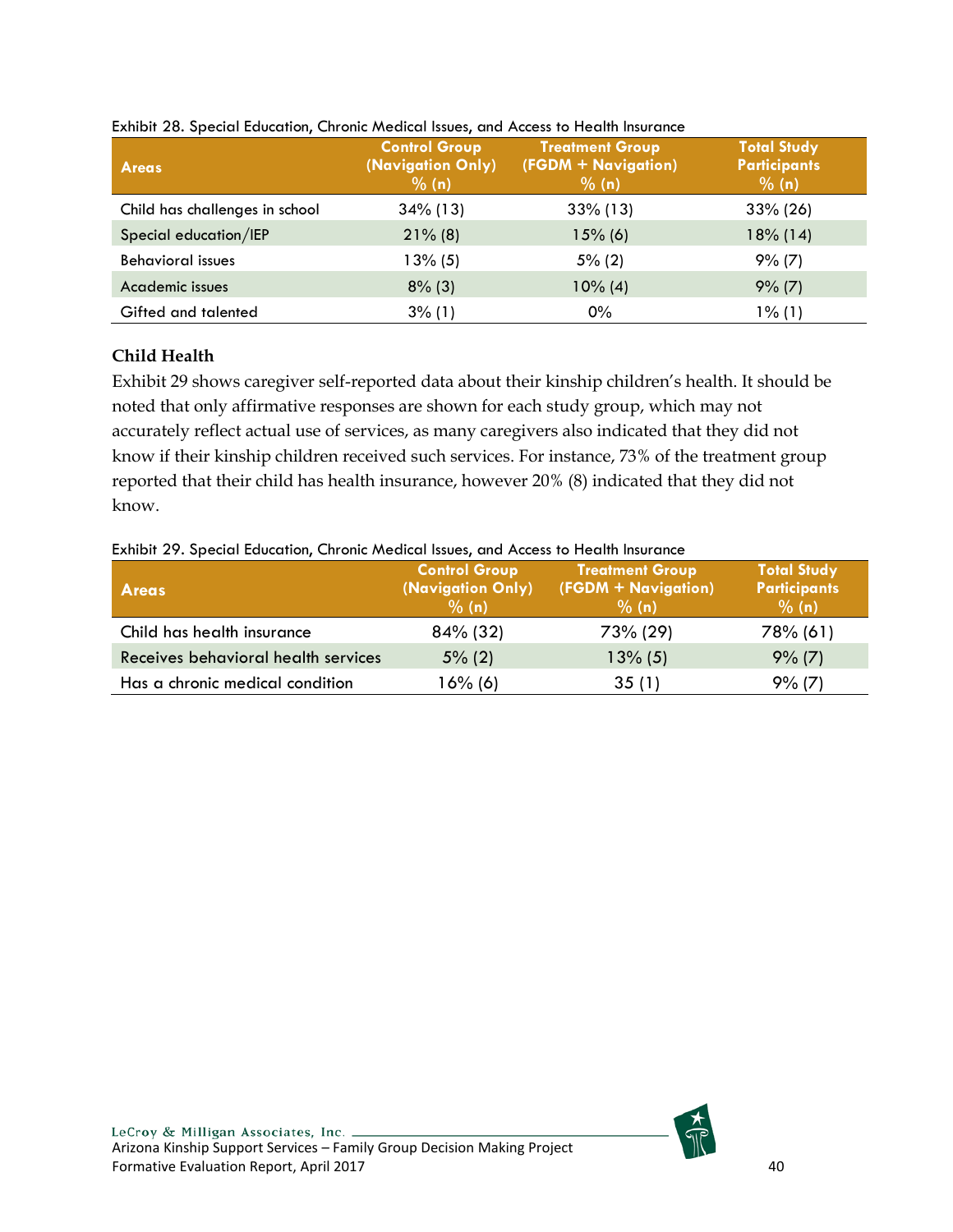| <b>Areas</b>                   | <b>Control Group</b><br>(Navigation Only)<br>% (n) | <b>Treatment Group</b><br>(FGDM + Navigation)<br>% (n) | <b>Total Study</b><br><b>Participants</b><br>% (n) |
|--------------------------------|----------------------------------------------------|--------------------------------------------------------|----------------------------------------------------|
| Child has challenges in school | $34\%$ (13)                                        | $33\%$ (13)                                            | $33\% (26)$                                        |
| Special education/IEP          | $21\%$ (8)                                         | $15%$ (6)                                              | $18\%$ (14)                                        |
| <b>Behavioral issues</b>       | $13\%$ (5)                                         | $5\%$ (2)                                              | 9% (7)                                             |
| Academic issues                | $8\%$ (3)                                          | $10\%$ (4)                                             | $9\%$ (7)                                          |
| Gifted and talented            | $3\%$ (1)                                          | $0\%$                                                  | $1\%$ (1)                                          |

#### <span id="page-40-0"></span>Exhibit 28. Special Education, Chronic Medical Issues, and Access to Health Insurance

## **Child Health**

Exhibit 29 shows caregiver self-reported data about their kinship children's health. It should be noted that only affirmative responses are shown for each study group, which may not accurately reflect actual use of services, as many caregivers also indicated that they did not know if their kinship children received such services. For instance, 73% of the treatment group reported that their child has health insurance, however 20% (8) indicated that they did not know.

| <b>Areas</b>                        | <b>Control Group</b><br>(Navigation Only)<br>% (n) | <b>Treatment Group</b><br>(FGDM + Navigation)<br>% (n) | <b>Total Study</b><br><b>Participants</b><br>% (n) |
|-------------------------------------|----------------------------------------------------|--------------------------------------------------------|----------------------------------------------------|
| Child has health insurance          | 84% (32)                                           | 73% (29)                                               | 78% (61)                                           |
| Receives behavioral health services | $5\%$ (2)                                          | $13\%$ (5)                                             | $9\%$ (7)                                          |
| Has a chronic medical condition     | 16% (6)                                            | 35(1)                                                  | 9% (7)                                             |

#### <span id="page-40-1"></span>Exhibit 29. Special Education, Chronic Medical Issues, and Access to Health Insurance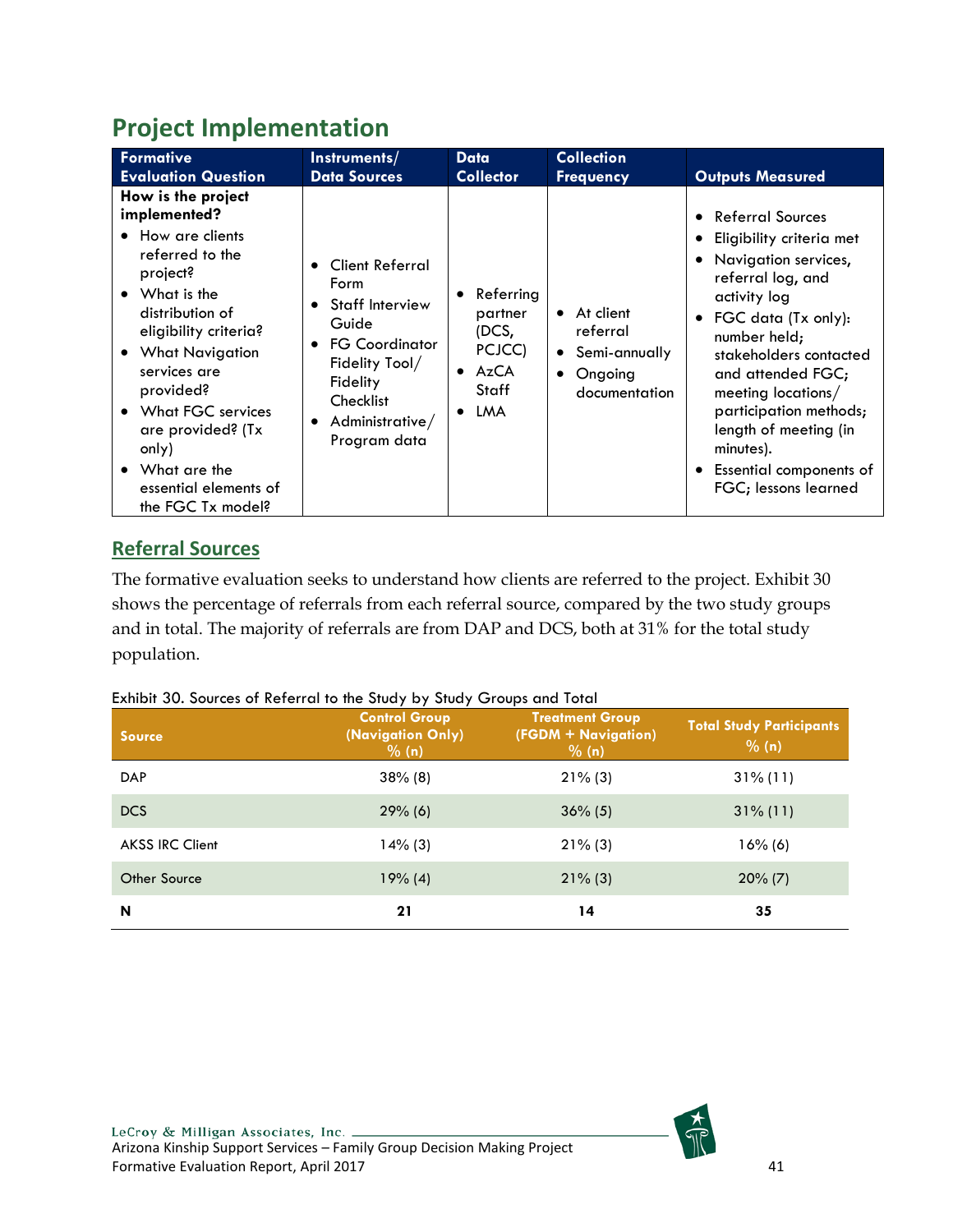# <span id="page-41-0"></span>**Project Implementation**

| Formative                                                                                                                                                                                                                                                                                                                                             | Instruments/                                                                                                                                                                                                                 | Data                                                                                                       | <b>Collection</b>                                                                              | <b>Outputs Measured</b>                                                                                                                                                                                                                                                                                                                                      |
|-------------------------------------------------------------------------------------------------------------------------------------------------------------------------------------------------------------------------------------------------------------------------------------------------------------------------------------------------------|------------------------------------------------------------------------------------------------------------------------------------------------------------------------------------------------------------------------------|------------------------------------------------------------------------------------------------------------|------------------------------------------------------------------------------------------------|--------------------------------------------------------------------------------------------------------------------------------------------------------------------------------------------------------------------------------------------------------------------------------------------------------------------------------------------------------------|
| <b>Evaluation Question</b>                                                                                                                                                                                                                                                                                                                            | <b>Data Sources</b>                                                                                                                                                                                                          | <b>Collector</b>                                                                                           | <b>Frequency</b>                                                                               |                                                                                                                                                                                                                                                                                                                                                              |
| How is the project<br>implemented?<br>How are clients<br>$\bullet$<br>referred to the<br>project?<br>$\bullet$ What is the<br>distribution of<br>eligibility criteria?<br>• What Navigation<br>services are<br>provided?<br>• What FGC services<br>are provided? (Tx<br>only)<br>$\bullet$ What are the<br>essential elements of<br>the FGC Tx model? | <b>Client Referral</b><br>$\bullet$<br>Form<br><b>Staff Interview</b><br>$\bullet$<br>Guide<br><b>FG Coordinator</b><br>$\bullet$<br>Fidelity Tool/<br>Fidelity<br>Checklist<br>Administrative/<br>$\bullet$<br>Program data | Referring<br>$\bullet$<br>partner<br>(DCS,<br>PCJCC)<br>$\bullet$ AzCA<br><b>Staff</b><br>LMA<br>$\bullet$ | • At client<br>referral<br>Semi-annually<br>$\bullet$<br>Ongoing<br>$\bullet$<br>documentation | <b>Referral Sources</b><br>Eligibility criteria met<br>Navigation services,<br>referral log, and<br>activity log<br>FGC data (Tx only):<br>$\bullet$<br>number held;<br>stakeholders contacted<br>and attended FGC;<br>meeting locations/<br>participation methods;<br>length of meeting (in<br>minutes).<br>Essential components of<br>FGC; lessons learned |

# <span id="page-41-1"></span>**Referral Sources**

The formative evaluation seeks to understand how clients are referred to the project. Exhibit 30 shows the percentage of referrals from each referral source, compared by the two study groups and in total. The majority of referrals are from DAP and DCS, both at 31% for the total study population.

## <span id="page-41-2"></span>Exhibit 30. Sources of Referral to the Study by Study Groups and Total

| <b>Source</b>          | <b>Control Group</b><br>(Navigation Only)<br>% (n) | <b>Treatment Group</b><br>(FGDM + Navigation)<br>% (n) | <b>Total Study Participants</b><br>% (n) |
|------------------------|----------------------------------------------------|--------------------------------------------------------|------------------------------------------|
| <b>DAP</b>             | $38\%$ (8)                                         | $21\%$ (3)                                             | $31\%$ (11)                              |
| <b>DCS</b>             | $29%$ (6)                                          | $36\%$ (5)                                             | $31\%$ (11)                              |
| <b>AKSS IRC Client</b> | $14\%$ (3)                                         | $21\%$ (3)                                             | $16\%$ (6)                               |
| <b>Other Source</b>    | $19\% (4)$                                         | $21\%$ (3)                                             | $20\%$ (7)                               |
| N                      | 21                                                 | 14                                                     | 35                                       |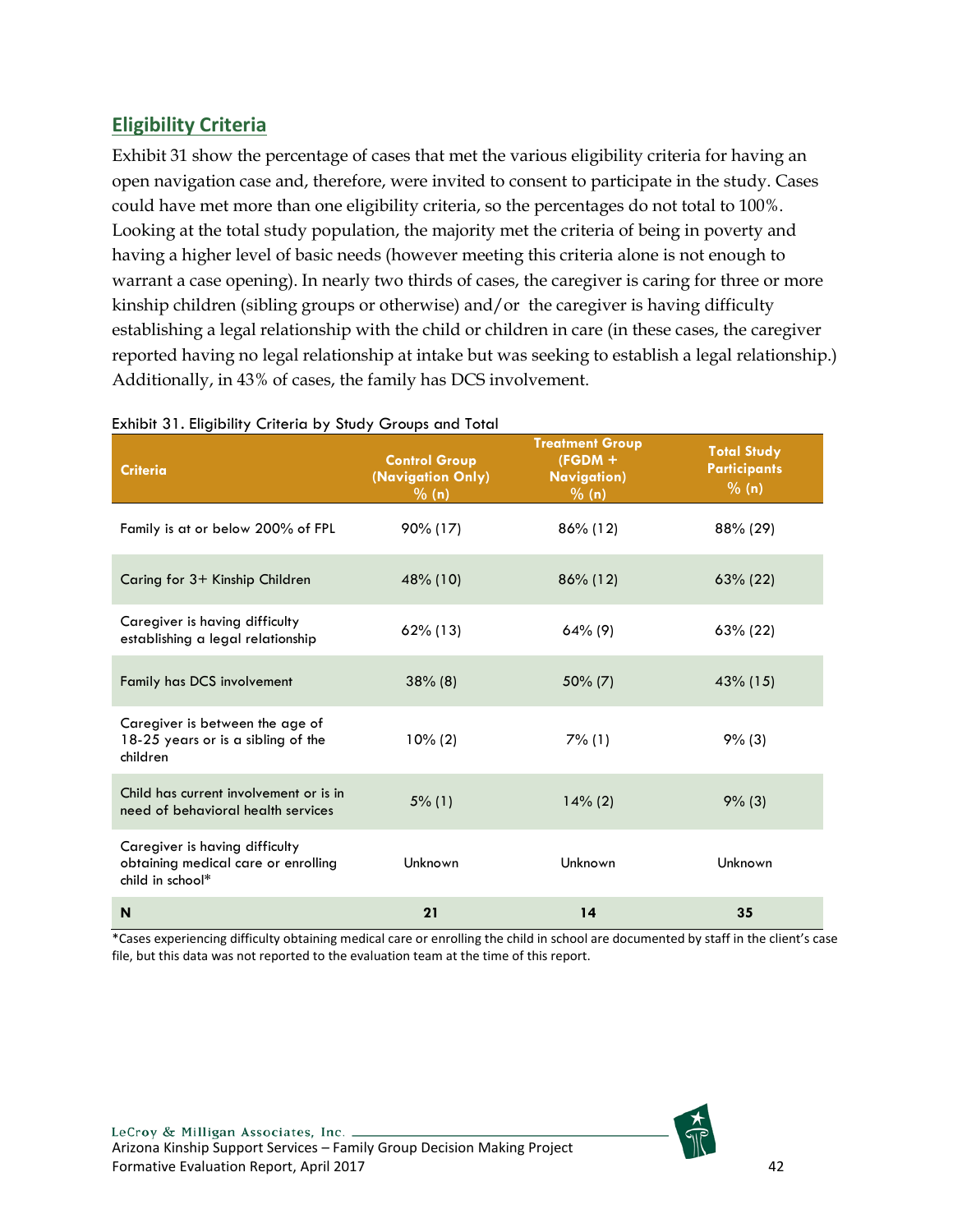# <span id="page-42-0"></span>**Eligibility Criteria**

Exhibit 31 show the percentage of cases that met the various eligibility criteria for having an open navigation case and, therefore, were invited to consent to participate in the study. Cases could have met more than one eligibility criteria, so the percentages do not total to 100%. Looking at the total study population, the majority met the criteria of being in poverty and having a higher level of basic needs (however meeting this criteria alone is not enough to warrant a case opening). In nearly two thirds of cases, the caregiver is caring for three or more kinship children (sibling groups or otherwise) and/or the caregiver is having difficulty establishing a legal relationship with the child or children in care (in these cases, the caregiver reported having no legal relationship at intake but was seeking to establish a legal relationship.) Additionally, in 43% of cases, the family has DCS involvement.

| <b>Criteria</b>                                                                           | <b>Control Group</b><br>(Navigation Only)<br>$\frac{9}{6}$ (n) | <b>Treatment Group</b><br>$(FGDM +$<br><b>Navigation</b> )<br>% (n) | <b>Total Study</b><br><b>Participants</b><br>% (n) |
|-------------------------------------------------------------------------------------------|----------------------------------------------------------------|---------------------------------------------------------------------|----------------------------------------------------|
| Family is at or below 200% of FPL                                                         | 90% (17)                                                       | 86% (12)                                                            | 88% (29)                                           |
| Caring for 3+ Kinship Children                                                            | 48% (10)                                                       | $86\%$ (12)                                                         | $63\% (22)$                                        |
| Caregiver is having difficulty<br>establishing a legal relationship                       | $62\%$ (13)                                                    | $64\%$ (9)                                                          | $63\%$ (22)                                        |
| Family has DCS involvement                                                                | $38\%$ (8)                                                     | 50% (7)                                                             | 43% (15)                                           |
| Caregiver is between the age of<br>18-25 years or is a sibling of the<br>children         | $10\%$ (2)                                                     | $7\%$ (1)                                                           | 9% (3)                                             |
| Child has current involvement or is in<br>need of behavioral health services              | $5\%$ (1)                                                      | $14\%$ (2)                                                          | 9% (3)                                             |
| Caregiver is having difficulty<br>obtaining medical care or enrolling<br>child in school* | Unknown                                                        | Unknown                                                             | Unknown                                            |
| N                                                                                         | 21                                                             | 14                                                                  | 35                                                 |

#### <span id="page-42-1"></span>Exhibit 31. Eligibility Criteria by Study Groups and Total

\*Cases experiencing difficulty obtaining medical care or enrolling the child in school are documented by staff in the client's case file, but this data was not reported to the evaluation team at the time of this report.

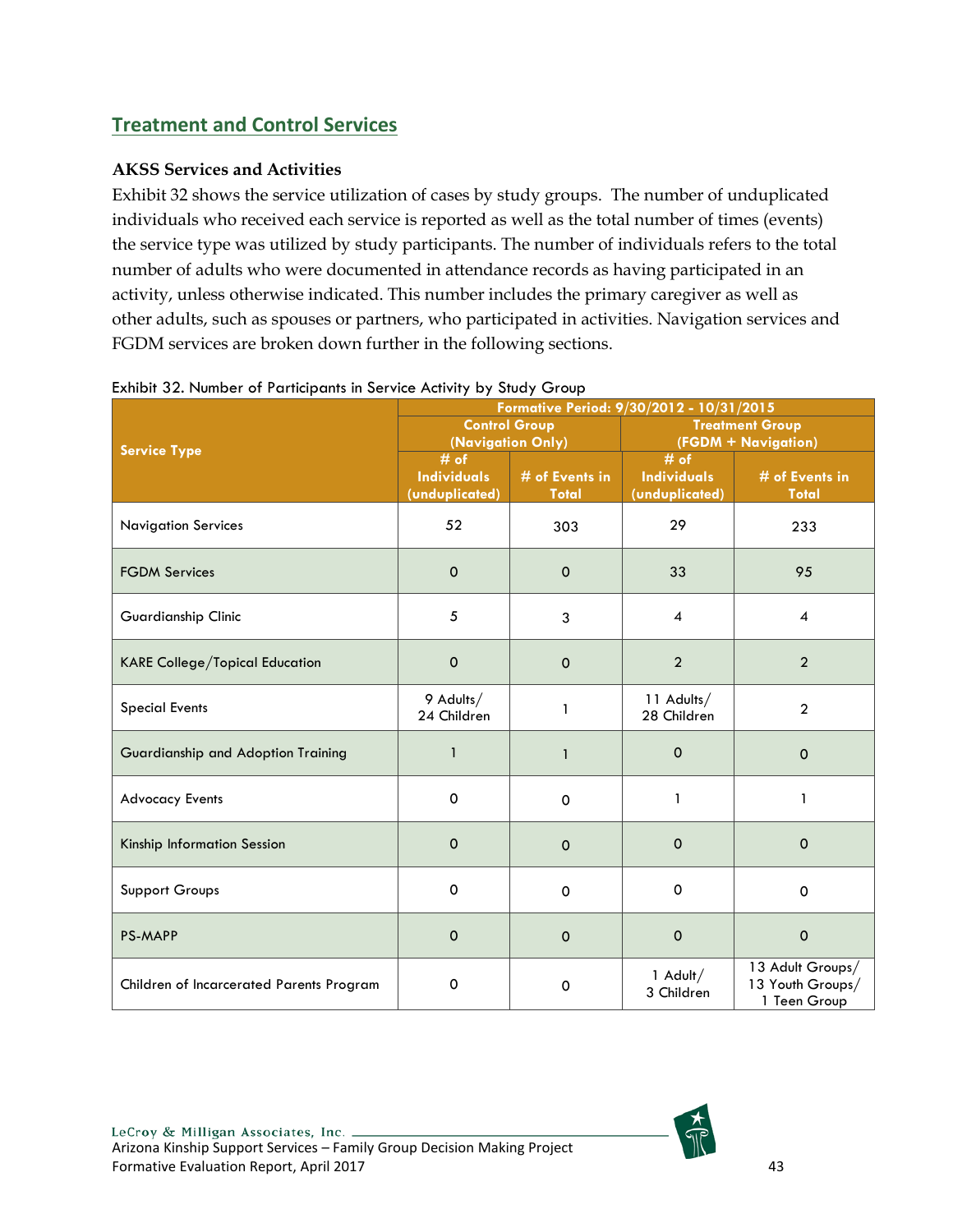# <span id="page-43-0"></span>**Treatment and Control Services**

## **AKSS Services and Activities**

Exhibit 32 shows the service utilization of cases by study groups. The number of unduplicated individuals who received each service is reported as well as the total number of times (events) the service type was utilized by study participants. The number of individuals refers to the total number of adults who were documented in attendance records as having participated in an activity, unless otherwise indicated. This number includes the primary caregiver as well as other adults, such as spouses or partners, who participated in activities. Navigation services and FGDM services are broken down further in the following sections.

|                                          | Formative Period: 9/30/2012 - 10/31/2015       |                                           |                                                |                                                      |  |  |  |
|------------------------------------------|------------------------------------------------|-------------------------------------------|------------------------------------------------|------------------------------------------------------|--|--|--|
|                                          |                                                | <b>Control Group</b><br>(Navigation Only) |                                                | <b>Treatment Group</b><br>(FGDM + Navigation)        |  |  |  |
| <b>Service Type</b>                      | $#$ of<br><b>Individuals</b><br>(unduplicated) | # of Events in<br><b>Total</b>            | $#$ of<br><b>Individuals</b><br>(unduplicated) | # of Events in<br><b>Total</b>                       |  |  |  |
| <b>Navigation Services</b>               | 52                                             | 303                                       | 29                                             | 233                                                  |  |  |  |
| <b>FGDM Services</b>                     | $\mathbf 0$                                    | $\mathbf 0$                               | 33                                             | 95                                                   |  |  |  |
| Guardianship Clinic                      | 5                                              | 3                                         | $\boldsymbol{4}$                               | $\overline{\mathcal{A}}$                             |  |  |  |
| <b>KARE College/Topical Education</b>    | $\mathbf 0$                                    | $\mathbf 0$                               | $\overline{2}$                                 | $\overline{2}$                                       |  |  |  |
| <b>Special Events</b>                    | 9 Adults/<br>24 Children                       | 1                                         | 11 Adults/<br>28 Children                      | $\mathbf{2}$                                         |  |  |  |
| Guardianship and Adoption Training       | $\mathbf{1}$                                   | $\mathbf{1}$                              | $\mathbf 0$                                    | $\Omega$                                             |  |  |  |
| <b>Advocacy Events</b>                   | $\Omega$                                       | $\Omega$                                  | $\mathbf{1}$                                   | 1                                                    |  |  |  |
| Kinship Information Session              | $\Omega$                                       | $\Omega$                                  | $\Omega$                                       | $\Omega$                                             |  |  |  |
| Support Groups                           | $\mathbf 0$                                    | $\mathbf 0$                               | $\Omega$                                       | $\Omega$                                             |  |  |  |
| <b>PS-MAPP</b>                           | $\Omega$                                       | $\mathbf 0$                               | $\mathbf 0$                                    | $\mathbf 0$                                          |  |  |  |
| Children of Incarcerated Parents Program | $\mathbf 0$                                    | $\Omega$                                  | 1 Adult/<br>3 Children                         | 13 Adult Groups/<br>13 Youth Groups/<br>1 Teen Group |  |  |  |

<span id="page-43-1"></span>

|  |  | Exhibit 32. Number of Participants in Service Activity by Study Group |  |  |  |
|--|--|-----------------------------------------------------------------------|--|--|--|
|  |  |                                                                       |  |  |  |

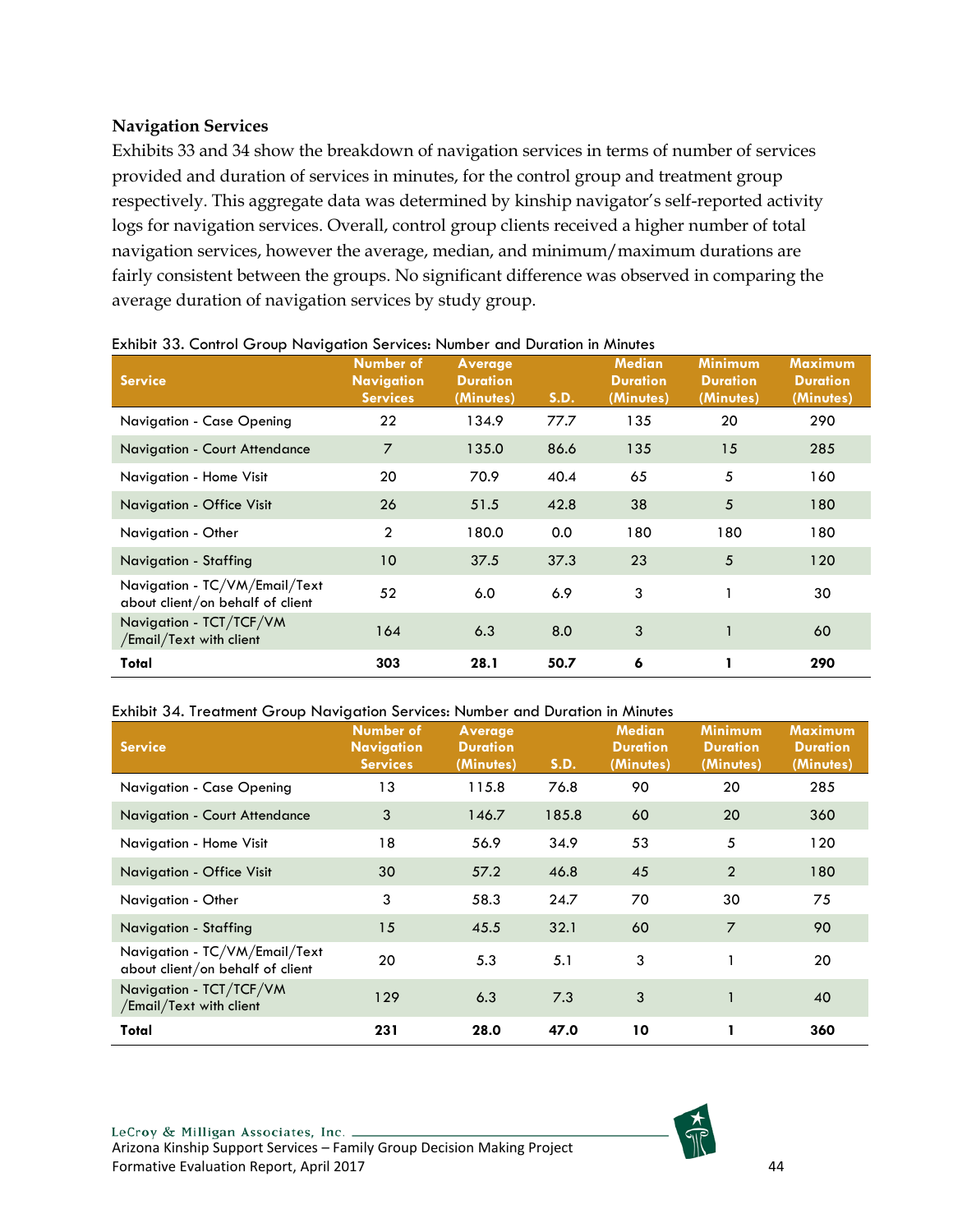## **Navigation Services**

Exhibits 33 and 34 show the breakdown of navigation services in terms of number of services provided and duration of services in minutes, for the control group and treatment group respectively. This aggregate data was determined by kinship navigator's self-reported activity logs for navigation services. Overall, control group clients received a higher number of total navigation services, however the average, median, and minimum/maximum durations are fairly consistent between the groups. No significant difference was observed in comparing the average duration of navigation services by study group.

| - P 2 2 2 3<br><b>Service</b>                                     | Number of<br><b>Navigation</b><br><b>Services</b> | Average<br><b>Duration</b><br>(Minutes) | <b>S.D.</b> | <b>Median</b><br><b>Duration</b><br>(Minutes) | <b>Minimum</b><br><b>Duration</b><br>(Minutes) | <b>Maximum</b><br><b>Duration</b><br>(Minutes) |
|-------------------------------------------------------------------|---------------------------------------------------|-----------------------------------------|-------------|-----------------------------------------------|------------------------------------------------|------------------------------------------------|
| Navigation - Case Opening                                         | 22                                                | 134.9                                   | 77.7        | 135                                           | 20                                             | 290                                            |
| Navigation - Court Attendance                                     | $\overline{7}$                                    | 135.0                                   | 86.6        | 135                                           | 15                                             | 285                                            |
| Navigation - Home Visit                                           | 20                                                | 70.9                                    | 40.4        | 65                                            | 5                                              | 160                                            |
| Navigation - Office Visit                                         | 26                                                | 51.5                                    | 42.8        | 38                                            | 5                                              | 180                                            |
| Navigation - Other                                                | $\overline{2}$                                    | 180.0                                   | 0.0         | 180                                           | 180                                            | 180                                            |
| Navigation - Staffing                                             | 10                                                | 37.5                                    | 37.3        | 23                                            | 5                                              | 120                                            |
| Navigation - TC/VM/Email/Text<br>about client/on behalf of client | 52                                                | 6.0                                     | 6.9         | 3                                             |                                                | 30                                             |
| Navigation - TCT/TCF/VM<br>/Email/Text with client                | 164                                               | 6.3                                     | 8.0         | $\overline{3}$                                |                                                | 60                                             |
| Total                                                             | 303                                               | 28.1                                    | 50.7        | 6                                             |                                                | 290                                            |

#### <span id="page-44-0"></span>Exhibit 33. Control Group Navigation Services: Number and Duration in Minutes

#### <span id="page-44-1"></span>Exhibit 34. Treatment Group Navigation Services: Number and Duration in Minutes

| <b>Service</b>                                                    | <b>Number of</b><br><b>Navigation</b><br><b>Services</b> | Average<br><b>Duration</b><br>(Minutes) | <b>S.D.</b> | <b>Median</b><br><b>Duration</b><br>(Minutes) | <b>Minimum</b><br><b>Duration</b><br>(Minutes) | <b>Maximum</b><br><b>Duration</b><br>(Minutes) |
|-------------------------------------------------------------------|----------------------------------------------------------|-----------------------------------------|-------------|-----------------------------------------------|------------------------------------------------|------------------------------------------------|
| Navigation - Case Opening                                         | 13                                                       | 115.8                                   | 76.8        | 90                                            | 20                                             | 285                                            |
| <b>Navigation - Court Attendance</b>                              | 3                                                        | 146.7                                   | 185.8       | 60                                            | 20                                             | 360                                            |
| Navigation - Home Visit                                           | 18                                                       | 56.9                                    | 34.9        | 53                                            | 5                                              | 120                                            |
| Navigation - Office Visit                                         | 30                                                       | 57.2                                    | 46.8        | 45                                            | $\overline{2}$                                 | 180                                            |
| Navigation - Other                                                | 3                                                        | 58.3                                    | 24.7        | 70                                            | 30                                             | 75                                             |
| Navigation - Staffing                                             | 15                                                       | 45.5                                    | 32.1        | 60                                            | $\overline{7}$                                 | 90                                             |
| Navigation - TC/VM/Email/Text<br>about client/on behalf of client | 20                                                       | 5.3                                     | 5.1         | 3                                             |                                                | 20                                             |
| Navigation - TCT/TCF/VM<br>/Email/Text with client                | 129                                                      | 6.3                                     | 7.3         | 3                                             |                                                | 40                                             |
| Total                                                             | 231                                                      | 28.0                                    | 47.0        | 10                                            |                                                | 360                                            |

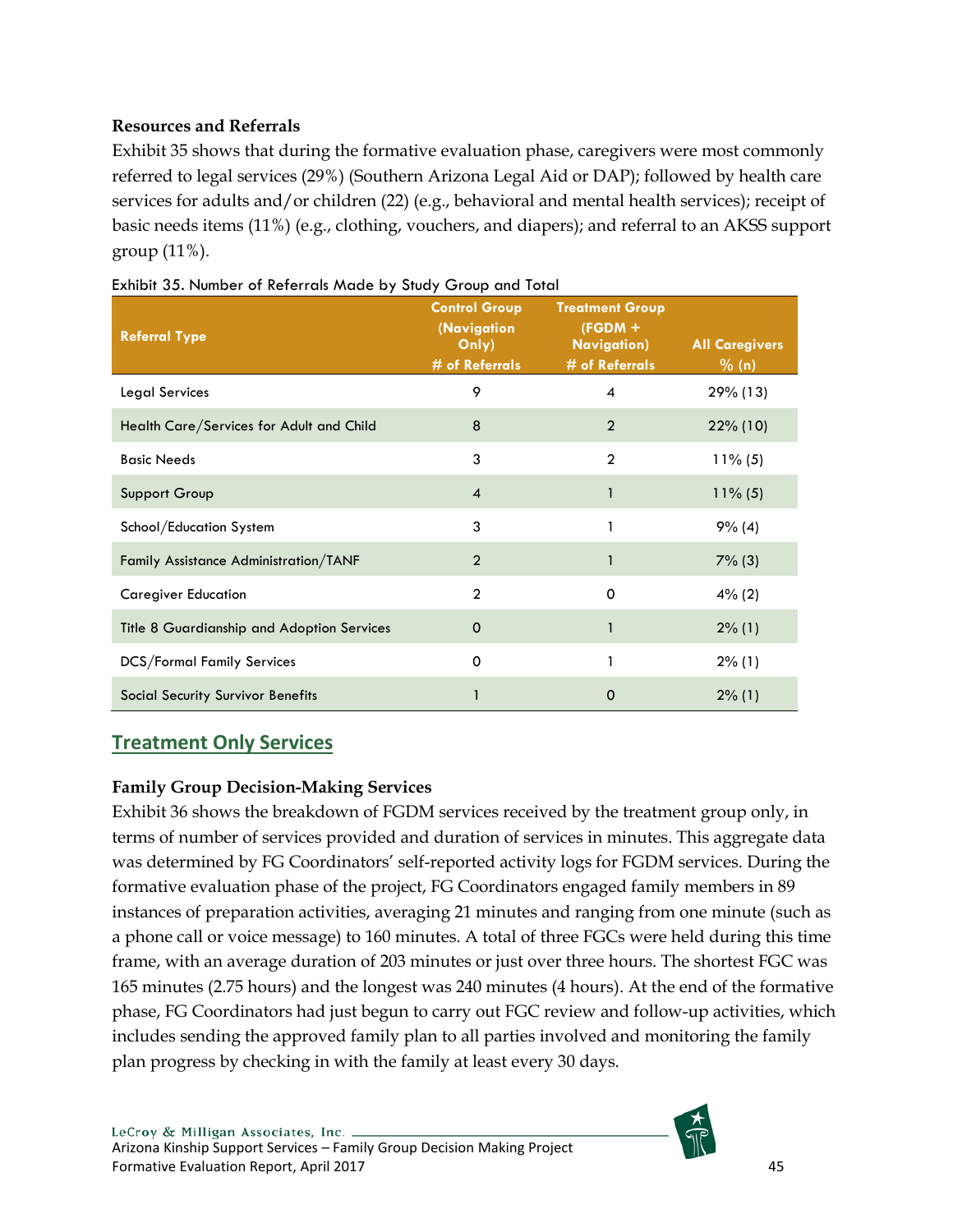# **Resources and Referrals**

Exhibit 35 shows that during the formative evaluation phase, caregivers were most commonly referred to legal services (29%) (Southern Arizona Legal Aid or DAP); followed by health care services for adults and/or children (22) (e.g., behavioral and mental health services); receipt of basic needs items (11%) (e.g., clothing, vouchers, and diapers); and referral to an AKSS support group (11%).

| <b>Referral Type</b>                       | <b>Control Group</b><br>(Navigation<br>Only)<br># of Referrals | <b>Treatment Group</b><br>$(FGDM +$<br><b>Navigation</b> )<br># of Referrals | <b>All Caregivers</b><br>% (n) |
|--------------------------------------------|----------------------------------------------------------------|------------------------------------------------------------------------------|--------------------------------|
| <b>Legal Services</b>                      | 9                                                              | 4                                                                            | 29% (13)                       |
| Health Care/Services for Adult and Child   | 8                                                              | $\overline{2}$                                                               | 22% (10)                       |
| <b>Basic Needs</b>                         | 3                                                              | $\overline{2}$                                                               | $11\%$ (5)                     |
| Support Group                              | $\overline{4}$                                                 | 1                                                                            | $11\%$ (5)                     |
| School/Education System                    | 3                                                              | 1                                                                            | 9% (4)                         |
| Family Assistance Administration/TANF      | $\overline{2}$                                                 | 1                                                                            | $7\%$ (3)                      |
| <b>Caregiver Education</b>                 | $\overline{2}$                                                 | 0                                                                            | $4\%$ (2)                      |
| Title 8 Guardianship and Adoption Services | $\mathbf 0$                                                    | 1                                                                            | $2\%$ (1)                      |
| <b>DCS/Formal Family Services</b>          | 0                                                              | 1                                                                            | $2\%$ (1)                      |
| Social Security Survivor Benefits          |                                                                | O                                                                            | $2\%$ (1)                      |

<span id="page-45-1"></span>

# <span id="page-45-0"></span>**Treatment Only Services**

## **Family Group Decision-Making Services**

Exhibit 36 shows the breakdown of FGDM services received by the treatment group only, in terms of number of services provided and duration of services in minutes. This aggregate data was determined by FG Coordinators' self-reported activity logs for FGDM services. During the formative evaluation phase of the project, FG Coordinators engaged family members in 89 instances of preparation activities, averaging 21 minutes and ranging from one minute (such as a phone call or voice message) to 160 minutes. A total of three FGCs were held during this time frame, with an average duration of 203 minutes or just over three hours. The shortest FGC was 165 minutes (2.75 hours) and the longest was 240 minutes (4 hours). At the end of the formative phase, FG Coordinators had just begun to carry out FGC review and follow-up activities, which includes sending the approved family plan to all parties involved and monitoring the family plan progress by checking in with the family at least every 30 days.

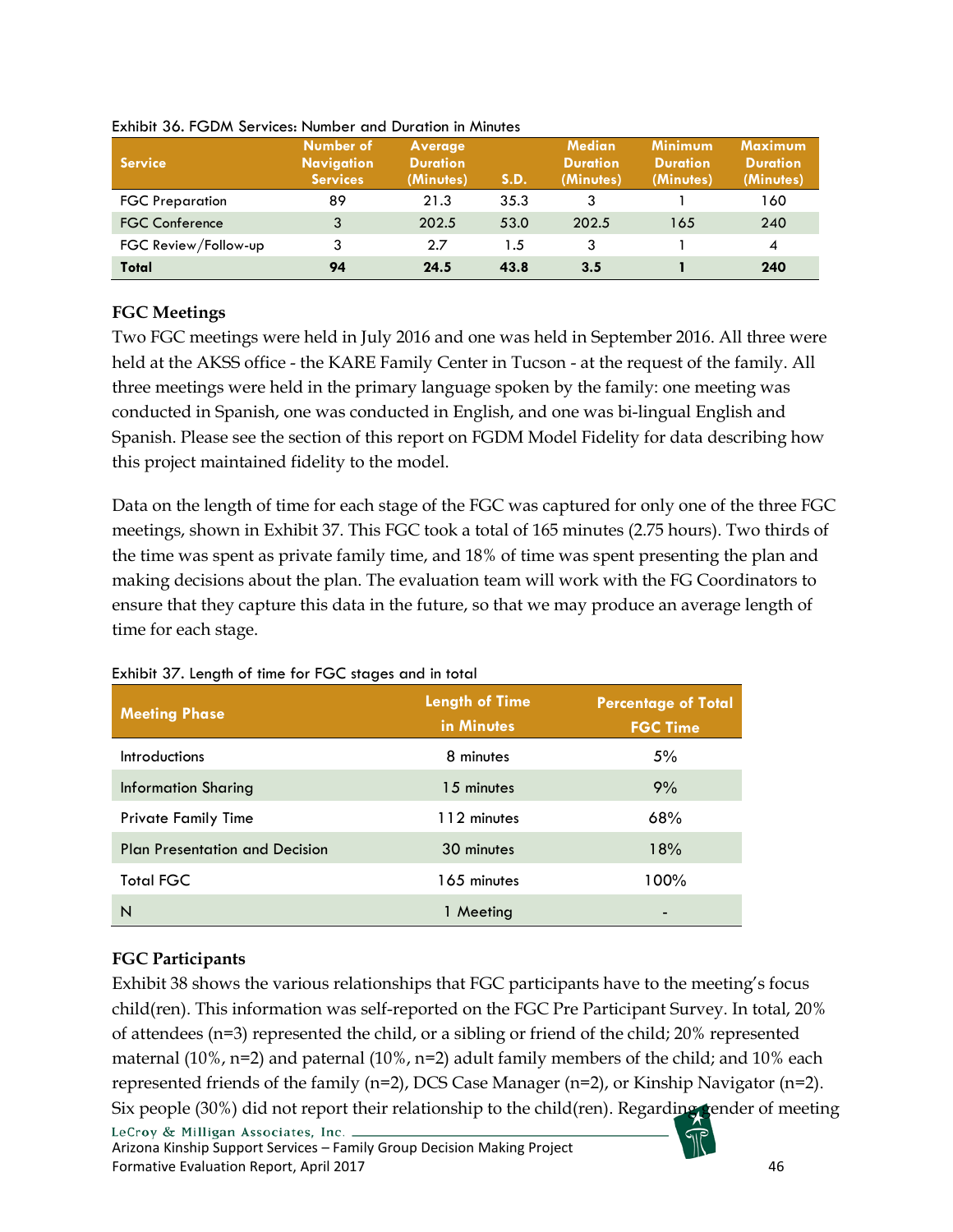| <b>Service</b>         | Number of<br><b>Navigation</b><br><b>Services</b> | Average<br><b>Duration</b><br>(Minutes) | S.D. | <b>Median</b><br><b>Duration</b><br>(Minutes) | <b>Minimum</b><br><b>Duration</b><br>(Minutes) | <b>Maximum</b><br><b>Duration</b><br>(Minutes) |
|------------------------|---------------------------------------------------|-----------------------------------------|------|-----------------------------------------------|------------------------------------------------|------------------------------------------------|
| <b>FGC Preparation</b> | 89                                                | 21.3                                    | 35.3 | 3                                             |                                                | 160                                            |
| <b>FGC Conference</b>  | 3                                                 | 202.5                                   | 53.0 | 202.5                                         | 165                                            | 240                                            |
| FGC Review/Follow-up   | 3                                                 | 2.7                                     | 1.5  | 3                                             |                                                | 4                                              |
| Total                  | 94                                                | 24.5                                    | 43.8 | 3.5                                           |                                                | 240                                            |

<span id="page-46-0"></span>Exhibit 36. FGDM Services: Number and Duration in Minutes

## **FGC Meetings**

Two FGC meetings were held in July 2016 and one was held in September 2016. All three were held at the AKSS office - the KARE Family Center in Tucson - at the request of the family. All three meetings were held in the primary language spoken by the family: one meeting was conducted in Spanish, one was conducted in English, and one was bi-lingual English and Spanish. Please see the section of this report on FGDM Model Fidelity for data describing how this project maintained fidelity to the model.

Data on the length of time for each stage of the FGC was captured for only one of the three FGC meetings, shown in Exhibit 37. This FGC took a total of 165 minutes (2.75 hours). Two thirds of the time was spent as private family time, and 18% of time was spent presenting the plan and making decisions about the plan. The evaluation team will work with the FG Coordinators to ensure that they capture this data in the future, so that we may produce an average length of time for each stage.

| <b>Meeting Phase</b>                  | <b>Length of Time</b><br>in Minutes | <b>Percentage of Total</b><br><b>FGC Time</b> |
|---------------------------------------|-------------------------------------|-----------------------------------------------|
| <b>Introductions</b>                  | 8 minutes                           | 5%                                            |
| <b>Information Sharing</b>            | 15 minutes                          | 9%                                            |
| <b>Private Family Time</b>            | 112 minutes                         | 68%                                           |
| <b>Plan Presentation and Decision</b> | 30 minutes                          | 18%                                           |
| <b>Total FGC</b>                      | 165 minutes                         | 100%                                          |
| N                                     | 1 Meeting                           | ٠                                             |

#### <span id="page-46-1"></span>Exhibit 37. Length of time for FGC stages and in total

## **FGC Participants**

Exhibit 38 shows the various relationships that FGC participants have to the meeting's focus child(ren). This information was self-reported on the FGC Pre Participant Survey. In total, 20% of attendees (n=3) represented the child, or a sibling or friend of the child; 20% represented maternal  $(10\%$ , n=2) and paternal  $(10\%$ , n=2) adult family members of the child; and 10% each represented friends of the family (n=2), DCS Case Manager (n=2), or Kinship Navigator (n=2). Six people (30%) did not report their relationship to the child(ren). Regarding gender of meeting LeCroy & Milligan Associates, Inc. .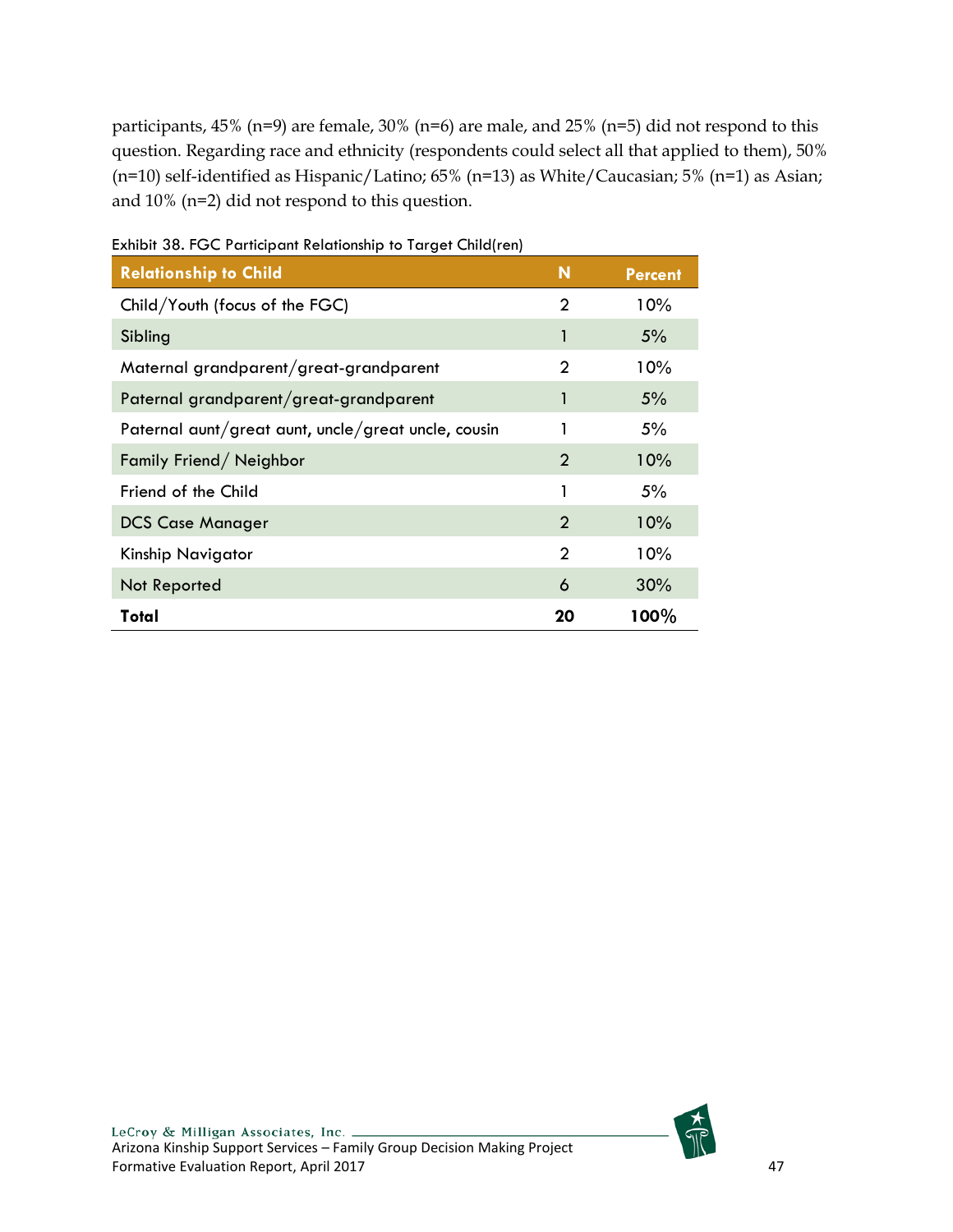participants, 45% (n=9) are female, 30% (n=6) are male, and 25% (n=5) did not respond to this question. Regarding race and ethnicity (respondents could select all that applied to them), 50% (n=10) self-identified as Hispanic/Latino; 65% (n=13) as White/Caucasian; 5% (n=1) as Asian; and 10% (n=2) did not respond to this question.

| <b>Relationship to Child</b>                        | N              | <b>Percent</b> |
|-----------------------------------------------------|----------------|----------------|
| Child/Youth (focus of the FGC)                      | 2              | $10\%$         |
| Sibling                                             |                | 5%             |
| Maternal grandparent/great-grandparent              | 2              | $10\%$         |
| Paternal grandparent/great-grandparent              |                | 5%             |
| Paternal aunt/great aunt, uncle/great uncle, cousin |                | 5%             |
| Family Friend/Neighbor                              | 2              | 10%            |
| Friend of the Child                                 | 1              | 5%             |
| <b>DCS Case Manager</b>                             | $\overline{2}$ | 10%            |
| Kinship Navigator                                   | 2              | $10\%$         |
| Not Reported                                        | 6              | 30%            |
| Total                                               | 20             | 100%           |

<span id="page-47-0"></span>Exhibit 38. FGC Participant Relationship to Target Child(ren)

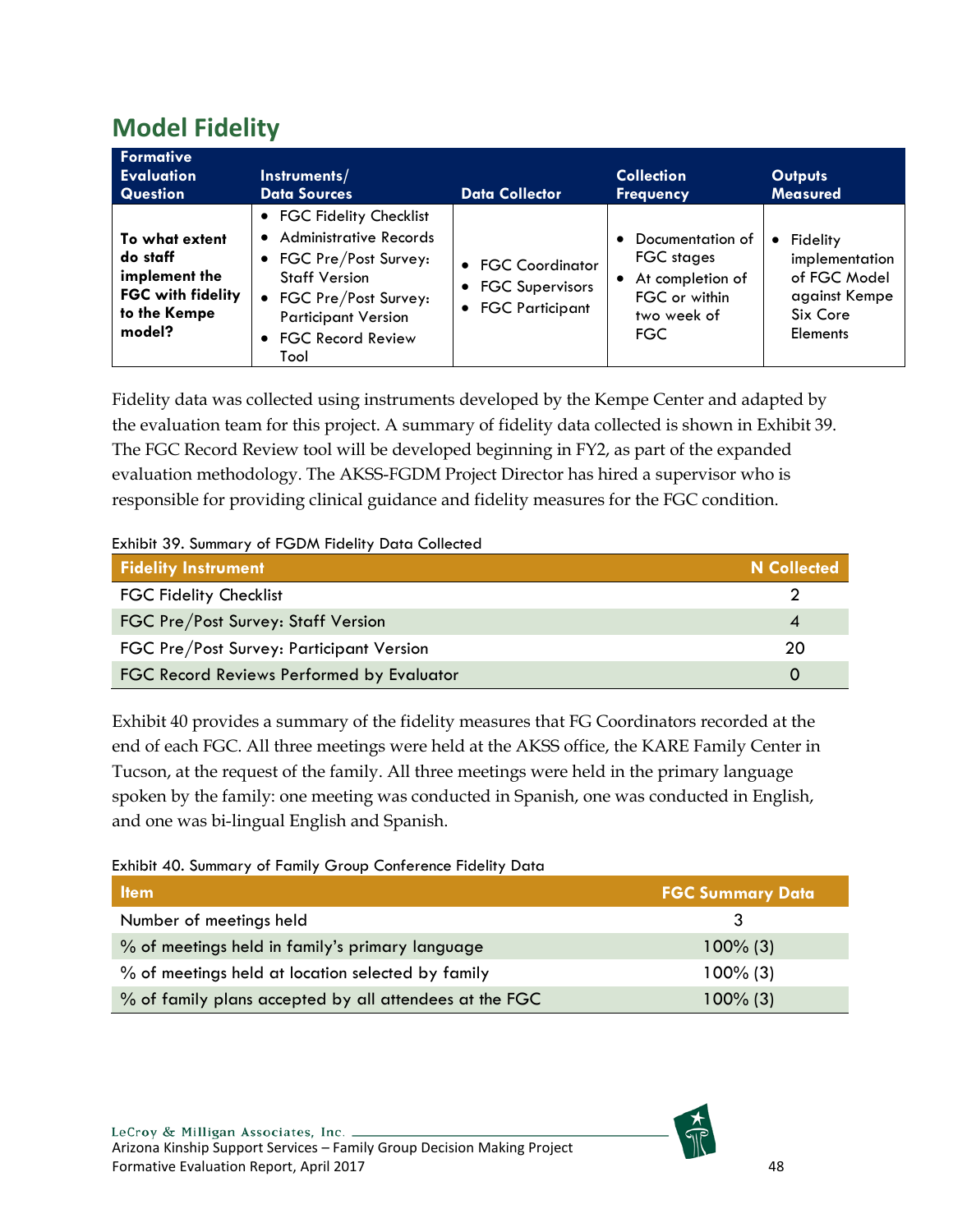# <span id="page-48-0"></span>**Model Fidelity**

| <b>Formative</b><br><b>Evaluation</b><br><b>Question</b>                                          | Instruments/<br><b>Data Sources</b>                                                                                                                                                           | <b>Data Collector</b>                                       | <b>Collection</b><br><b>Frequency</b>                                                              | <b>Outputs</b><br><b>Measured</b>                                                                       |
|---------------------------------------------------------------------------------------------------|-----------------------------------------------------------------------------------------------------------------------------------------------------------------------------------------------|-------------------------------------------------------------|----------------------------------------------------------------------------------------------------|---------------------------------------------------------------------------------------------------------|
| To what extent<br>do staff<br>implement the<br><b>FGC with fidelity</b><br>to the Kempe<br>model? | • FGC Fidelity Checklist<br>• Administrative Records<br>• FGC Pre/Post Survey:<br><b>Staff Version</b><br>• FGC Pre/Post Survey:<br><b>Participant Version</b><br>• FGC Record Review<br>Tool | • FGC Coordinator<br>• FGC Supervisors<br>• FGC Participant | Documentation of<br>FGC stages<br>• At completion of<br>FGC or within<br>two week of<br><b>FGC</b> | Fidelity<br>$\bullet$<br>implementation<br>of FGC Model<br>against Kempe<br>Six Core<br><b>Elements</b> |

Fidelity data was collected using instruments developed by the Kempe Center and adapted by the evaluation team for this project. A summary of fidelity data collected is shown in Exhibit 39. The FGC Record Review tool will be developed beginning in FY2, as part of the expanded evaluation methodology. The AKSS-FGDM Project Director has hired a supervisor who is responsible for providing clinical guidance and fidelity measures for the FGC condition.

#### <span id="page-48-1"></span>Exhibit 39. Summary of FGDM Fidelity Data Collected

| <b>Fidelity Instrument</b>                | N Collected |
|-------------------------------------------|-------------|
| <b>FGC Fidelity Checklist</b>             |             |
| FGC Pre/Post Survey: Staff Version        |             |
| FGC Pre/Post Survey: Participant Version  | 20          |
| FGC Record Reviews Performed by Evaluator |             |

Exhibit 40 provides a summary of the fidelity measures that FG Coordinators recorded at the end of each FGC. All three meetings were held at the AKSS office, the KARE Family Center in Tucson, at the request of the family. All three meetings were held in the primary language spoken by the family: one meeting was conducted in Spanish, one was conducted in English, and one was bi-lingual English and Spanish.

#### <span id="page-48-2"></span>Exhibit 40. Summary of Family Group Conference Fidelity Data

| <b>Item</b>                                            | <b>FGC Summary Data</b> |
|--------------------------------------------------------|-------------------------|
| Number of meetings held                                |                         |
| % of meetings held in family's primary language        | $100\%$ (3)             |
| % of meetings held at location selected by family      | $100\%$ (3)             |
| % of family plans accepted by all attendees at the FGC | $100\%$ (3)             |

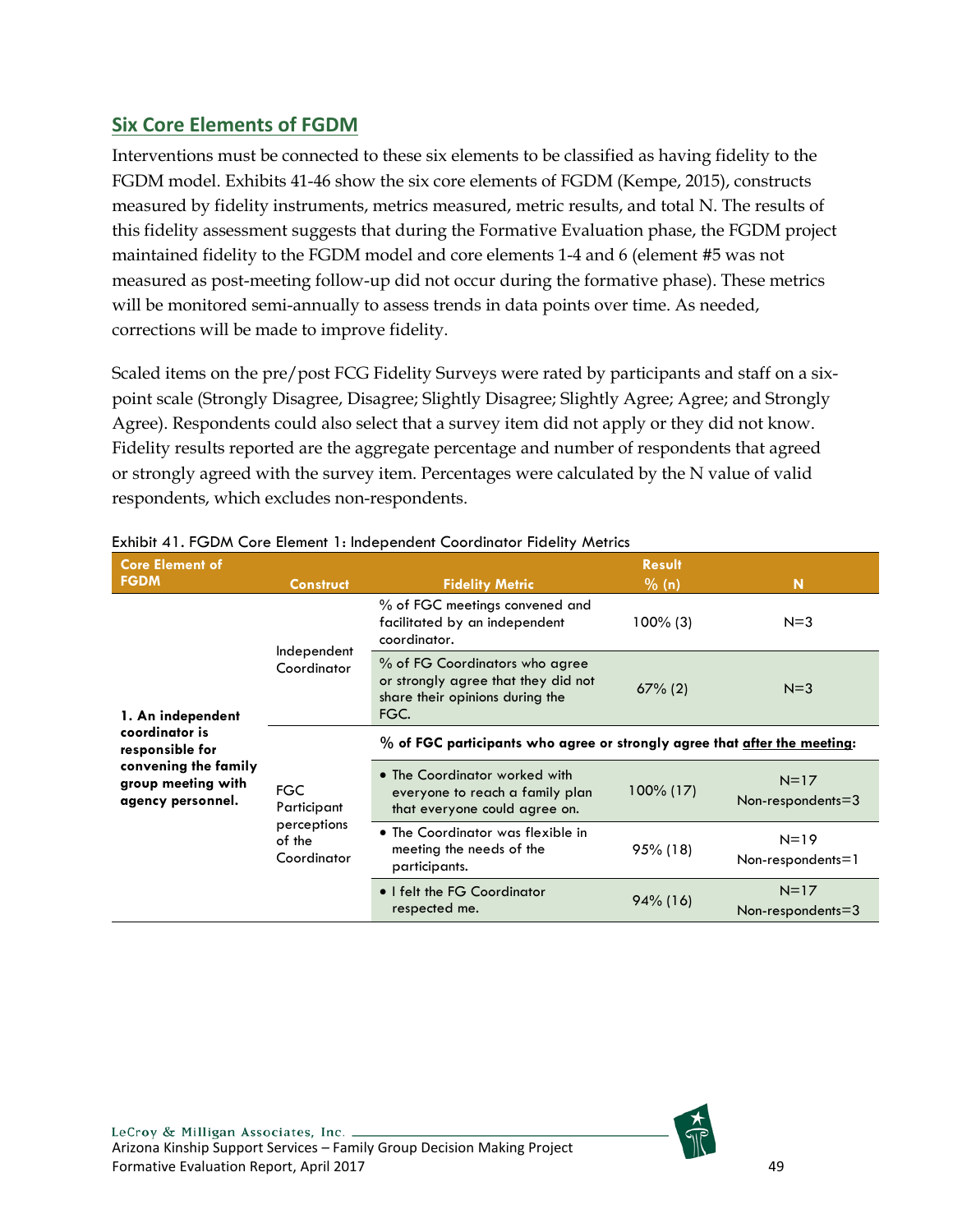# <span id="page-49-0"></span>**Six Core Elements of FGDM**

Interventions must be connected to these six elements to be classified as having fidelity to the FGDM model. Exhibits 41-46 show the six core elements of FGDM (Kempe, 2015), constructs measured by fidelity instruments, metrics measured, metric results, and total N. The results of this fidelity assessment suggests that during the Formative Evaluation phase, the FGDM project maintained fidelity to the FGDM model and core elements 1-4 and 6 (element #5 was not measured as post-meeting follow-up did not occur during the formative phase). These metrics will be monitored semi-annually to assess trends in data points over time. As needed, corrections will be made to improve fidelity.

Scaled items on the pre/post FCG Fidelity Surveys were rated by participants and staff on a sixpoint scale (Strongly Disagree, Disagree; Slightly Disagree; Slightly Agree; Agree; and Strongly Agree). Respondents could also select that a survey item did not apply or they did not know. Fidelity results reported are the aggregate percentage and number of respondents that agreed or strongly agreed with the survey item. Percentages were calculated by the N value of valid respondents, which excludes non-respondents.

| <b>Core Element of</b>                                                                               |                                                                   | <b>Result</b>                                                                                                    |             |                                   |  |  |
|------------------------------------------------------------------------------------------------------|-------------------------------------------------------------------|------------------------------------------------------------------------------------------------------------------|-------------|-----------------------------------|--|--|
| <b>FGDM</b>                                                                                          | <b>Construct</b>                                                  | <b>Fidelity Metric</b>                                                                                           | % (n)       | N                                 |  |  |
|                                                                                                      | Independent<br>Coordinator                                        | % of FGC meetings convened and<br>facilitated by an independent<br>coordinator.                                  | $100\%$ (3) | $N = 3$                           |  |  |
| 1. An independent                                                                                    |                                                                   | % of FG Coordinators who agree<br>or strongly agree that they did not<br>share their opinions during the<br>FGC. | $67\%$ (2)  | $N=3$                             |  |  |
| coordinator is<br>responsible for<br>convening the family<br>group meeting with<br>agency personnel. |                                                                   | % of FGC participants who agree or strongly agree that <u>after the meeting</u> :                                |             |                                   |  |  |
|                                                                                                      | <b>FGC</b><br>Participant<br>perceptions<br>of the<br>Coordinator | • The Coordinator worked with<br>everyone to reach a family plan<br>that everyone could agree on.                | 100% (17)   | $N=17$<br>Non-respondents $=$ 3   |  |  |
|                                                                                                      |                                                                   | $\bullet$ The Coordinator was flexible in<br>meeting the needs of the<br>participants.                           | $95\%$ (18) | $N = 19$<br>$Non-respondents = 1$ |  |  |
|                                                                                                      |                                                                   | • I felt the FG Coordinator<br>respected me.                                                                     | $94\%$ (16) | $N = 17$<br>Non-respondents $=$ 3 |  |  |

#### <span id="page-49-1"></span>Exhibit 41. FGDM Core Element 1: Independent Coordinator Fidelity Metrics

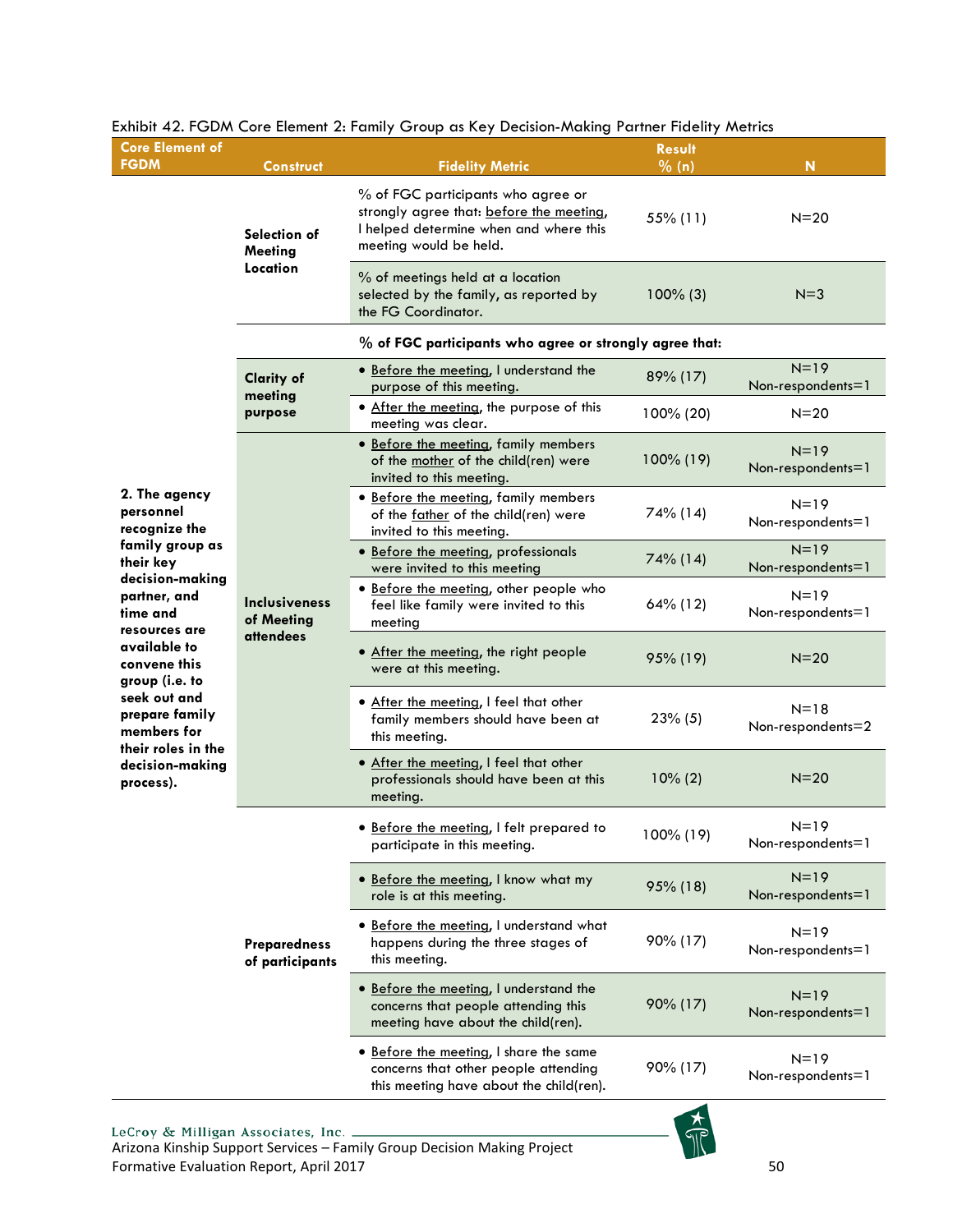| <b>Core Element of</b><br><b>FGDM</b>                               | <b>Construct</b>                                       | <b>Fidelity Metric</b>                                                                                                                             | <b>Result</b><br>% (n) | N                             |
|---------------------------------------------------------------------|--------------------------------------------------------|----------------------------------------------------------------------------------------------------------------------------------------------------|------------------------|-------------------------------|
|                                                                     | Selection of<br><b>Meeting</b>                         | % of FGC participants who agree or<br>strongly agree that: before the meeting,<br>I helped determine when and where this<br>meeting would be held. | 55% (11)               | $N = 20$                      |
|                                                                     | Location                                               | % of meetings held at a location<br>selected by the family, as reported by<br>the FG Coordinator.                                                  | $100\%$ (3)            | $N = 3$                       |
|                                                                     |                                                        | % of FGC participants who agree or strongly agree that:                                                                                            |                        |                               |
|                                                                     | <b>Clarity of</b><br>meeting                           | · Before the meeting, I understand the<br>purpose of this meeting.                                                                                 | 89% (17)               | $N=19$<br>Non-respondents=1   |
|                                                                     | purpose                                                | . After the meeting, the purpose of this<br>meeting was clear.                                                                                     | 100% (20)              | $N = 20$                      |
|                                                                     |                                                        | · Before the meeting, family members<br>of the mother of the child(ren) were<br>invited to this meeting.                                           | 100% (19)              | $N=19$<br>Non-respondents=1   |
| 2. The agency<br>personnel<br>recognize the                         | <b>Inclusiveness</b><br>of Meeting<br><b>attendees</b> | · Before the meeting, family members<br>of the father of the child(ren) were<br>invited to this meeting.                                           | 74% (14)               | $N = 19$<br>Non-respondents=1 |
| family group as<br>their key<br>decision-making                     |                                                        | · Before the meeting, professionals<br>were invited to this meeting                                                                                | 74% (14)               | $N=19$<br>Non-respondents=1   |
| partner, and<br>time and<br>resources are                           |                                                        | · Before the meeting, other people who<br>feel like family were invited to this<br>meeting                                                         | 64% (12)               | $N = 19$<br>Non-respondents=1 |
| available to<br>convene this<br>group (i.e. to                      |                                                        | • After the meeting, the right people<br>were at this meeting.                                                                                     | 95% (19)               | $N = 20$                      |
| seek out and<br>prepare family<br>members for<br>their roles in the |                                                        | . After the meeting, I feel that other<br>family members should have been at<br>this meeting.                                                      | 23% (5)                | $N = 18$<br>Non-respondents=2 |
| decision-making<br>process).                                        |                                                        | . After the meeting, I feel that other<br>professionals should have been at this<br>meeting.                                                       | $10\% (2)$             | $N=20$                        |
|                                                                     | <b>Preparedness</b><br>of participants                 | · Before the meeting, I felt prepared to<br>participate in this meeting.                                                                           | 100% (19)              | $N = 19$<br>Non-respondents=1 |
|                                                                     |                                                        | • Before the meeting, I know what my<br>role is at this meeting.                                                                                   | 95% (18)               | $N=19$<br>Non-respondents=1   |
|                                                                     |                                                        | • Before the meeting, I understand what<br>happens during the three stages of<br>this meeting.                                                     | 90% (17)               | $N = 19$<br>Non-respondents=1 |
|                                                                     |                                                        | • Before the meeting, I understand the<br>concerns that people attending this<br>meeting have about the child(ren).                                | 90% (17)               | $N=19$<br>Non-respondents=1   |
|                                                                     |                                                        | · Before the meeting, I share the same<br>concerns that other people attending<br>this meeting have about the child(ren).                          | 90% (17)               | $N = 19$<br>Non-respondents=1 |
|                                                                     |                                                        |                                                                                                                                                    |                        |                               |

#### <span id="page-50-0"></span>Exhibit 42. FGDM Core Element 2: Family Group as Key Decision-Making Partner Fidelity Metrics

LeCroy & Milligan Associates, Inc. \_ Arizona Kinship Support Services – Family Group Decision Making Project Formative Evaluation Report, April 2017 50

 $\widehat{\mathbb{T}}$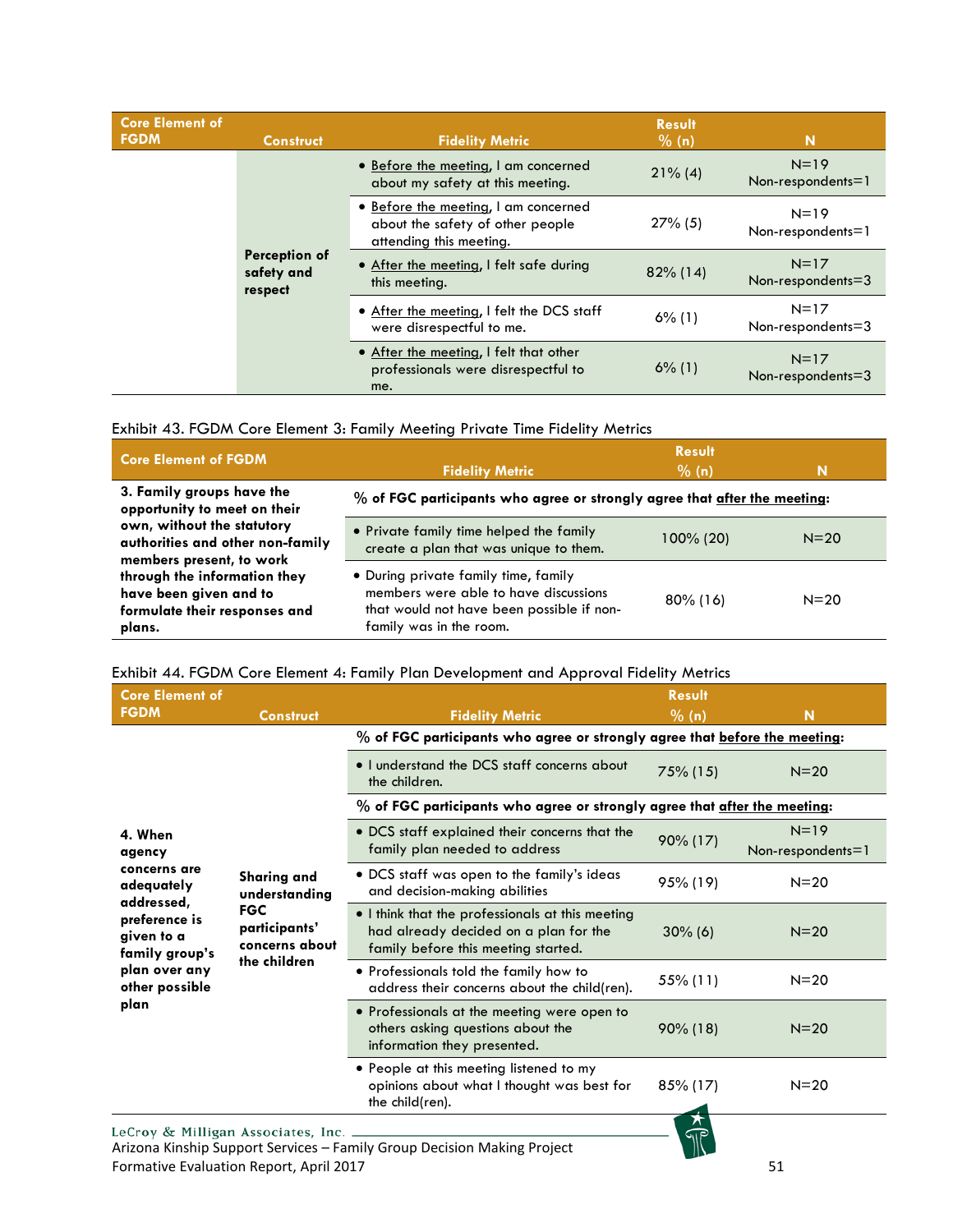| <b>Core Element of</b><br><b>FGDM</b> | <b>Construct</b>                       | <b>Fidelity Metric</b>                                                                              | <b>Result</b><br>% (n) | N                                 |
|---------------------------------------|----------------------------------------|-----------------------------------------------------------------------------------------------------|------------------------|-----------------------------------|
|                                       |                                        | • Before the meeting, I am concerned<br>about my safety at this meeting.                            | $21\%$ (4)             | $N = 19$<br>Non-respondents= $1$  |
|                                       |                                        | • Before the meeting, I am concerned<br>about the safety of other people<br>attending this meeting. | $27\%$ (5)             | $N = 19$<br>$Non-respondents = 1$ |
|                                       | Perception of<br>safety and<br>respect | . After the meeting, I felt safe during<br>this meeting.                                            | $82\%$ (14)            | $N=17$<br>Non-respondents $=$ 3   |
|                                       |                                        | • After the meeting, I felt the DCS staff<br>were disrespectful to me.                              | $6\%$ (1)              | $N=17$<br>Non-respondents $=$ 3   |
|                                       |                                        | • After the meeting, I felt that other<br>professionals were disrespectful to<br>me.                | $6\%$ (1)              | $N=17$<br>Non-respondents=3       |

<span id="page-51-0"></span>

|  | Exhibit 43. FGDM Core Element 3: Family Meeting Private Time Fidelity Metrics |  |  |  |
|--|-------------------------------------------------------------------------------|--|--|--|
|--|-------------------------------------------------------------------------------|--|--|--|

| <b>Core Element of FGDM</b>                                                                       | <b>Result</b>                                                                                                                                         |             |          |  |  |
|---------------------------------------------------------------------------------------------------|-------------------------------------------------------------------------------------------------------------------------------------------------------|-------------|----------|--|--|
|                                                                                                   | <b>Fidelity Metric</b>                                                                                                                                | % (n)       | N        |  |  |
| 3. Family groups have the<br>opportunity to meet on their                                         | % of FGC participants who agree or strongly agree that after the meeting:                                                                             |             |          |  |  |
| own, without the statutory<br>authorities and other non-family<br>members present, to work        | • Private family time helped the family<br>create a plan that was unique to them.                                                                     | 100% (20)   | $N = 20$ |  |  |
| through the information they<br>have been given and to<br>formulate their responses and<br>plans. | • During private family time, family<br>members were able to have discussions<br>that would not have been possible if non-<br>family was in the room. | $80\%$ (16) | $N = 20$ |  |  |

# <span id="page-51-1"></span>Exhibit 44. FGDM Core Element 4: Family Plan Development and Approval Fidelity Metrics

| <b>Core Element of</b>                                                                    |                                                                                                      | <b>Result</b>                                                                                                                    |                   |                                 |  |
|-------------------------------------------------------------------------------------------|------------------------------------------------------------------------------------------------------|----------------------------------------------------------------------------------------------------------------------------------|-------------------|---------------------------------|--|
| <b>FGDM</b>                                                                               | <b>Construct</b>                                                                                     | <b>Fidelity Metric</b>                                                                                                           | $\frac{9}{6}$ (n) | N                               |  |
|                                                                                           |                                                                                                      | % of FGC participants who agree or strongly agree that before the meeting:                                                       |                   |                                 |  |
|                                                                                           |                                                                                                      | • I understand the DCS staff concerns about<br>the children.                                                                     | $75\%$ (15)       | $N = 20$                        |  |
|                                                                                           |                                                                                                      | % of FGC participants who agree or strongly agree that after the meeting:                                                        |                   |                                 |  |
| 4. When<br>agency                                                                         |                                                                                                      | • DCS staff explained their concerns that the<br>family plan needed to address                                                   | 90% (17)          | $N=19$<br>$Non-respondents = 1$ |  |
| concerns are<br>adequately<br>addressed,<br>preference is<br>given to a<br>family group's | <b>Sharing and</b><br>understanding<br><b>FGC</b><br>participants'<br>concerns about<br>the children | • DCS staff was open to the family's ideas<br>and decision-making abilities                                                      | 95% (19)          | $N = 20$                        |  |
|                                                                                           |                                                                                                      | . I think that the professionals at this meeting<br>had already decided on a plan for the<br>family before this meeting started. | $30\%$ (6)        | $N = 20$                        |  |
| plan over any<br>other possible                                                           |                                                                                                      | • Professionals told the family how to<br>address their concerns about the child(ren).                                           | 55% (11)          | $N = 20$                        |  |
| plan                                                                                      |                                                                                                      | • Professionals at the meeting were open to<br>others asking questions about the<br>information they presented.                  | $90\%$ (18)       | $N = 20$                        |  |
|                                                                                           |                                                                                                      | • People at this meeting listened to my<br>opinions about what I thought was best for<br>the child(ren).                         | 85% (17)          | $N = 20$                        |  |
| LeCroy & Milligan Associates, Inc. _                                                      |                                                                                                      | Arizona Kinship Support Services – Family Group Decision Making Project                                                          |                   |                                 |  |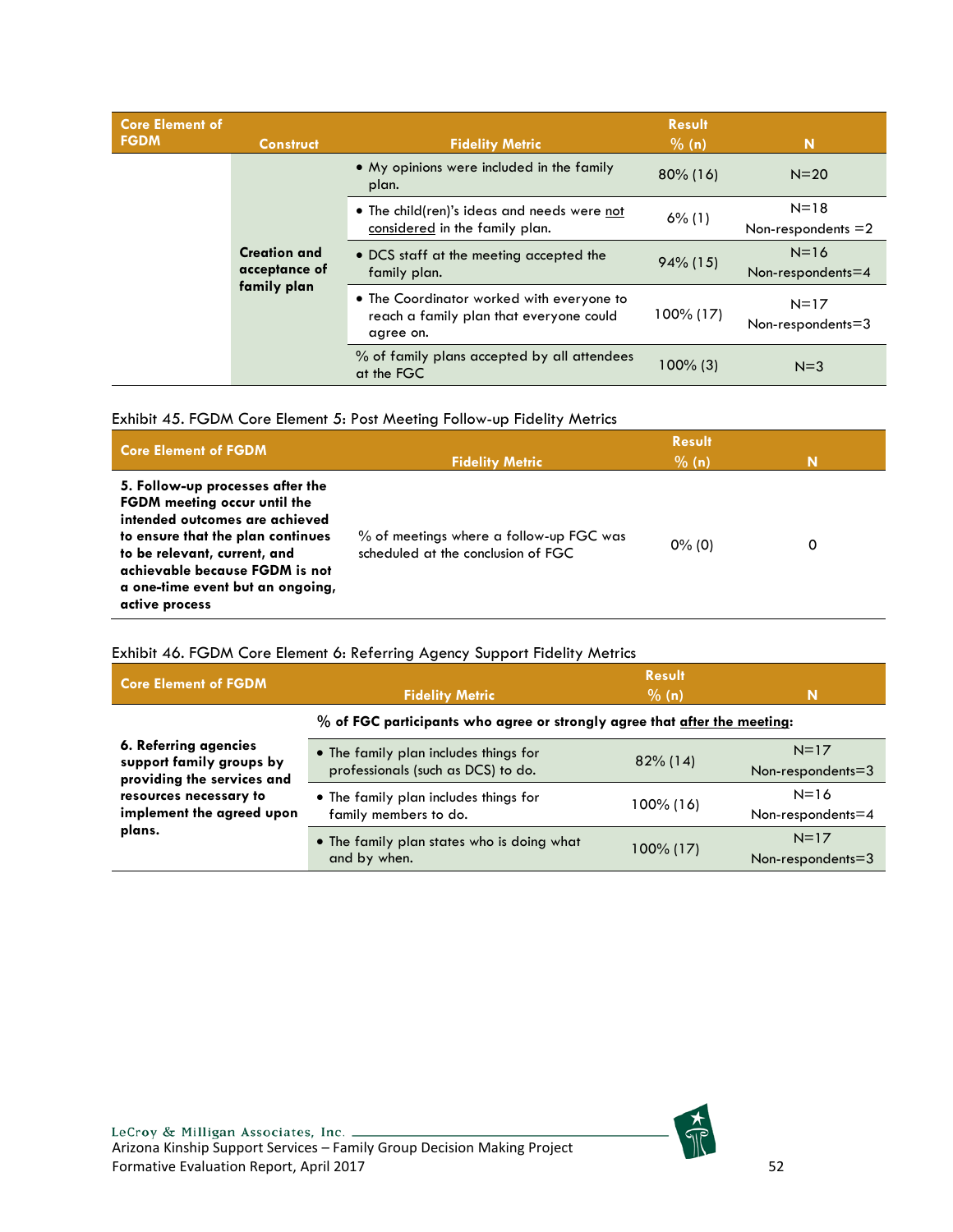| <b>Core Element of</b> |                                      |                                                                                                   | <b>Result</b>            |                                 |
|------------------------|--------------------------------------|---------------------------------------------------------------------------------------------------|--------------------------|---------------------------------|
| <b>FGDM</b>            | <b>Construct</b>                     | <b>Fidelity Metric</b>                                                                            | % (n)                    | N                               |
|                        |                                      | • My opinions were included in the family<br>plan.                                                | $80\%$ (16)              | $N=20$                          |
|                        |                                      | • The child(ren)'s ideas and needs were not                                                       | $6\%$ (1)                | $N = 18$                        |
|                        |                                      | considered in the family plan.                                                                    |                          | Non-respondents $=2$            |
|                        | <b>Creation and</b><br>acceptance of | • DCS staff at the meeting accepted the                                                           | $94\%$ (15)<br>100% (17) | $N=16$                          |
|                        |                                      | family plan.                                                                                      |                          | Non-respondents $=4$            |
|                        | family plan                          | • The Coordinator worked with everyone to<br>reach a family plan that everyone could<br>agree on. |                          | $N=17$<br>Non-respondents $=$ 3 |
|                        |                                      | % of family plans accepted by all attendees<br>at the FGC                                         | $100\%$ (3)              | $N=3$                           |

#### <span id="page-52-0"></span>Exhibit 45. FGDM Core Element 5: Post Meeting Follow-up Fidelity Metrics

| <b>Core Element of FGDM</b>                                                                                                                                                                                                                                            | <b>Fidelity Metric</b>                                                        | <b>Result</b><br>% (n) | N |
|------------------------------------------------------------------------------------------------------------------------------------------------------------------------------------------------------------------------------------------------------------------------|-------------------------------------------------------------------------------|------------------------|---|
| 5. Follow-up processes after the<br><b>FGDM</b> meeting occur until the<br>intended outcomes are achieved<br>to ensure that the plan continues<br>to be relevant, current, and<br>achievable because FGDM is not<br>a one-time event but an ongoing,<br>active process | % of meetings where a follow-up FGC was<br>scheduled at the conclusion of FGC | $0\%$ (0)              | 0 |

#### <span id="page-52-1"></span>Exhibit 46. FGDM Core Element 6: Referring Agency Support Fidelity Metrics

| <b>Core Element of FGDM</b>                                                     | <b>Fidelity Metric</b>                                                      | <b>Result</b><br>% (n) | N                               |
|---------------------------------------------------------------------------------|-----------------------------------------------------------------------------|------------------------|---------------------------------|
|                                                                                 | % of FGC participants who agree or strongly agree that after the meeting:   |                        |                                 |
| 6. Referring agencies<br>support family groups by<br>providing the services and | • The family plan includes things for<br>professionals (such as DCS) to do. | $82\%$ (14)            | $N=17$<br>Non-respondents=3     |
| resources necessary to<br>implement the agreed upon                             | . The family plan includes things for<br>family members to do.              | 100% (16)              | $N=16$<br>Non-respondents=4     |
| plans.                                                                          | • The family plan states who is doing what<br>and by when.                  | $100\%$ (17)           | $N=17$<br>Non-respondents $=$ 3 |

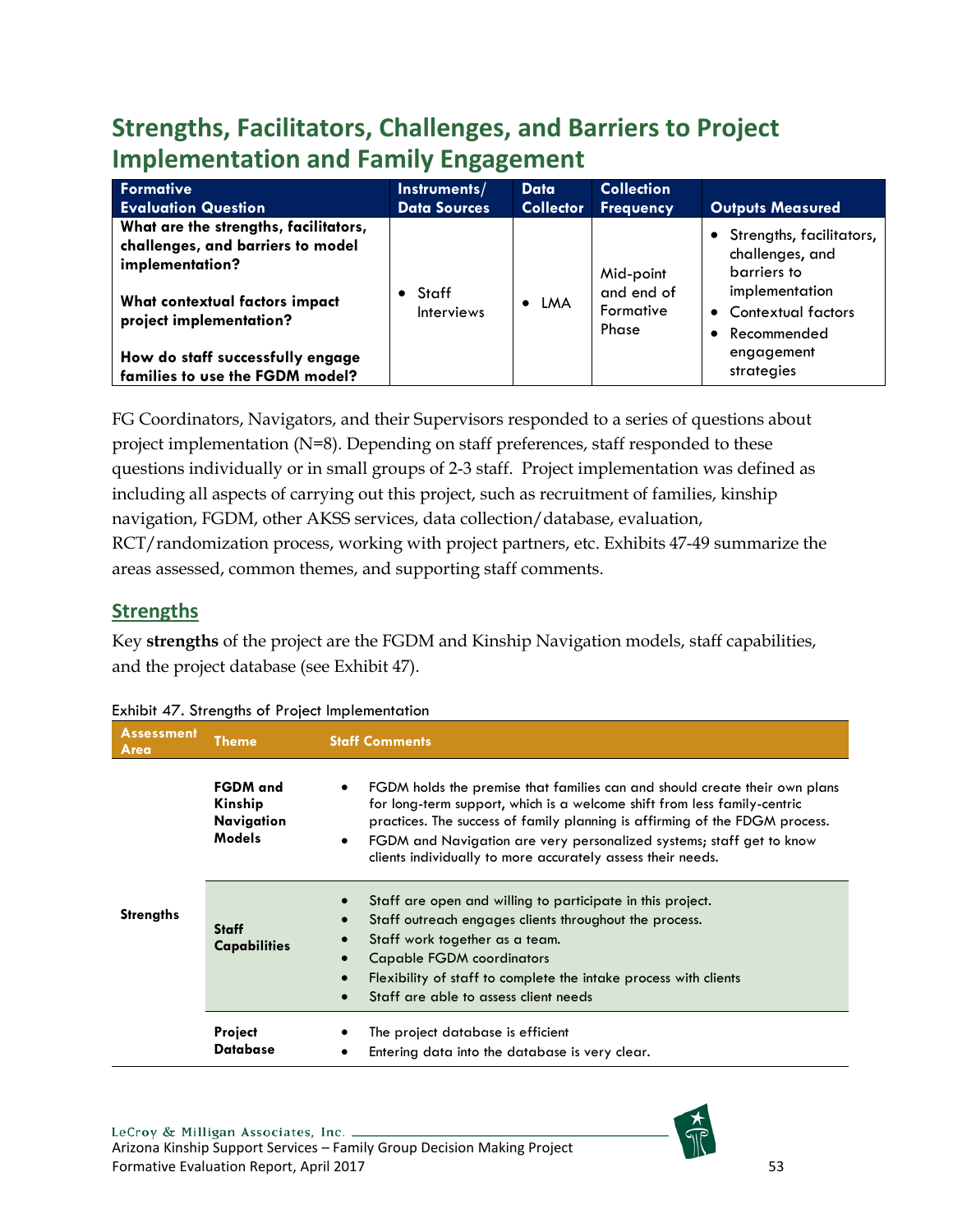# <span id="page-53-0"></span>**Strengths, Facilitators, Challenges, and Barriers to Project Implementation and Family Engagement**

| Formative                                                                                                                                                  | Instruments/                         | Data             | <b>Collection</b>                             |                                                                                                                         |
|------------------------------------------------------------------------------------------------------------------------------------------------------------|--------------------------------------|------------------|-----------------------------------------------|-------------------------------------------------------------------------------------------------------------------------|
| <b>Evaluation Question</b>                                                                                                                                 | <b>Data Sources</b>                  | <b>Collector</b> | Frequency                                     | <b>Outputs Measured</b>                                                                                                 |
| What are the strengths, facilitators,<br>challenges, and barriers to model<br>implementation?<br>What contextual factors impact<br>project implementation? | $\bullet$ Staff<br><b>Interviews</b> | $\bullet$ LMA    | Mid-point<br>and end of<br>Formative<br>Phase | • Strengths, facilitators,<br>challenges, and<br>barriers to<br>implementation<br>• Contextual factors<br>• Recommended |
| How do staff successfully engage<br>families to use the FGDM model?                                                                                        |                                      |                  |                                               | engagement<br>strategies                                                                                                |

FG Coordinators, Navigators, and their Supervisors responded to a series of questions about project implementation (N=8). Depending on staff preferences, staff responded to these questions individually or in small groups of 2-3 staff. Project implementation was defined as including all aspects of carrying out this project, such as recruitment of families, kinship navigation, FGDM, other AKSS services, data collection/database, evaluation, RCT/randomization process, working with project partners, etc. Exhibits 47-49 summarize the areas assessed, common themes, and supporting staff comments.

# <span id="page-53-1"></span>**Strengths**

Key **strengths** of the project are the FGDM and Kinship Navigation models, staff capabilities, and the project database (see Exhibit 47).

| <b>Assessment</b><br>Area | <b>Theme</b>                                              | <b>Staff Comments</b>                                                                                                                                                                                                                                                                                                                                                                          |  |
|---------------------------|-----------------------------------------------------------|------------------------------------------------------------------------------------------------------------------------------------------------------------------------------------------------------------------------------------------------------------------------------------------------------------------------------------------------------------------------------------------------|--|
|                           | <b>FGDM</b> and<br>Kinship<br>Navigation<br><b>Models</b> | FGDM holds the premise that families can and should create their own plans<br>٠<br>for long-term support, which is a welcome shift from less family-centric<br>practices. The success of family planning is affirming of the FDGM process.<br>FGDM and Navigation are very personalized systems; staff get to know<br>$\bullet$<br>clients individually to more accurately assess their needs. |  |
| <b>Strengths</b>          | <b>Staff</b><br><b>Capabilities</b>                       | Staff are open and willing to participate in this project.<br>$\bullet$<br>Staff outreach engages clients throughout the process.<br>$\bullet$<br>Staff work together as a team.<br>$\bullet$<br><b>Capable FGDM coordinators</b><br>Flexibility of staff to complete the intake process with clients<br>Staff are able to assess client needs                                                 |  |
|                           | <b>Project</b><br><b>Database</b>                         | The project database is efficient<br>Entering data into the database is very clear.                                                                                                                                                                                                                                                                                                            |  |

<span id="page-53-2"></span>

| Exhibit 47. Strengths of Project Implementation |  |  |
|-------------------------------------------------|--|--|
|                                                 |  |  |

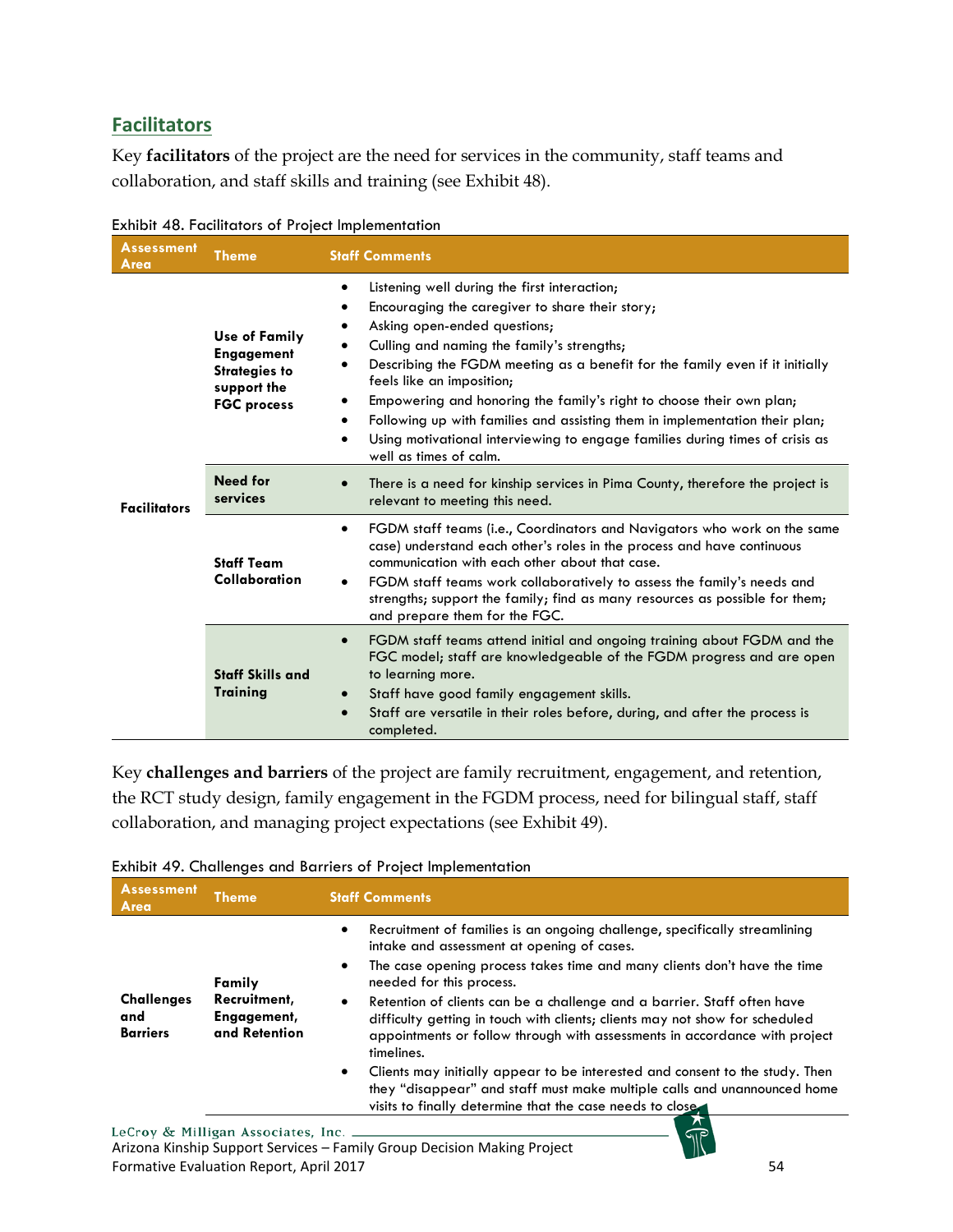# <span id="page-54-0"></span>**Facilitators**

Key **facilitators** of the project are the need for services in the community, staff teams and collaboration, and staff skills and training (see Exhibit 48).

| <b>Assessment</b><br>Area | <b>Theme</b>                                                                                           | <b>Staff Comments</b>                                                                                                                                                                                                                                                                                                                                                                                                                                                                                                                                                                   |
|---------------------------|--------------------------------------------------------------------------------------------------------|-----------------------------------------------------------------------------------------------------------------------------------------------------------------------------------------------------------------------------------------------------------------------------------------------------------------------------------------------------------------------------------------------------------------------------------------------------------------------------------------------------------------------------------------------------------------------------------------|
| <b>Facilitators</b>       | <b>Use of Family</b><br><b>Engagement</b><br><b>Strategies to</b><br>support the<br><b>FGC process</b> | Listening well during the first interaction;<br>Encouraging the caregiver to share their story;<br>Asking open-ended questions;<br>٠<br>Culling and naming the family's strengths;<br>$\bullet$<br>Describing the FGDM meeting as a benefit for the family even if it initially<br>feels like an imposition;<br>Empowering and honoring the family's right to choose their own plan;<br>٠<br>Following up with families and assisting them in implementation their plan;<br>٠<br>Using motivational interviewing to engage families during times of crisis as<br>well as times of calm. |
|                           | <b>Need for</b><br>services                                                                            | There is a need for kinship services in Pima County, therefore the project is<br>relevant to meeting this need.                                                                                                                                                                                                                                                                                                                                                                                                                                                                         |
|                           | <b>Staff Team</b><br>Collaboration                                                                     | FGDM staff teams (i.e., Coordinators and Navigators who work on the same<br>$\bullet$<br>case) understand each other's roles in the process and have continuous<br>communication with each other about that case.<br>FGDM staff teams work collaboratively to assess the family's needs and<br>$\bullet$<br>strengths; support the family; find as many resources as possible for them;<br>and prepare them for the FGC.                                                                                                                                                                |
|                           | <b>Staff Skills and</b><br>Training                                                                    | FGDM staff teams attend initial and ongoing training about FGDM and the<br>$\bullet$<br>FGC model; staff are knowledgeable of the FGDM progress and are open<br>to learning more.<br>Staff have good family engagement skills.<br>Staff are versatile in their roles before, during, and after the process is<br>completed.                                                                                                                                                                                                                                                             |

<span id="page-54-1"></span>

| Exhibit 48. Facilitators of Project Implementation |  |  |
|----------------------------------------------------|--|--|
|                                                    |  |  |

Key **challenges and barriers** of the project are family recruitment, engagement, and retention, the RCT study design, family engagement in the FGDM process, need for bilingual staff, staff collaboration, and managing project expectations (see Exhibit 49).

<span id="page-54-2"></span>

| Exhibit 49. Challenges and Barriers of Project Implementation |  |
|---------------------------------------------------------------|--|
|---------------------------------------------------------------|--|

| <b>Assessment</b><br>Area                   | <b>Theme</b>                                           | <b>Staff Comments</b>                                                                                                                                                                                                                                                                                                                                                                                                                                                                                                                                                                                                                                                                                                                                               |
|---------------------------------------------|--------------------------------------------------------|---------------------------------------------------------------------------------------------------------------------------------------------------------------------------------------------------------------------------------------------------------------------------------------------------------------------------------------------------------------------------------------------------------------------------------------------------------------------------------------------------------------------------------------------------------------------------------------------------------------------------------------------------------------------------------------------------------------------------------------------------------------------|
| <b>Challenges</b><br>and<br><b>Barriers</b> | Family<br>Recruitment,<br>Engagement,<br>and Retention | Recruitment of families is an ongoing challenge, specifically streamlining<br>$\bullet$<br>intake and assessment at opening of cases.<br>The case opening process takes time and many clients don't have the time<br>$\bullet$<br>needed for this process.<br>Retention of clients can be a challenge and a barrier. Staff often have<br>$\bullet$<br>difficulty getting in touch with clients; clients may not show for scheduled<br>appointments or follow through with assessments in accordance with project<br>timelines.<br>Clients may initially appear to be interested and consent to the study. Then<br>$\bullet$<br>they "disappear" and staff must make multiple calls and unannounced home<br>visits to finally determine that the case needs to close |
|                                             |                                                        |                                                                                                                                                                                                                                                                                                                                                                                                                                                                                                                                                                                                                                                                                                                                                                     |

 $\widehat{\mathbb{T}}$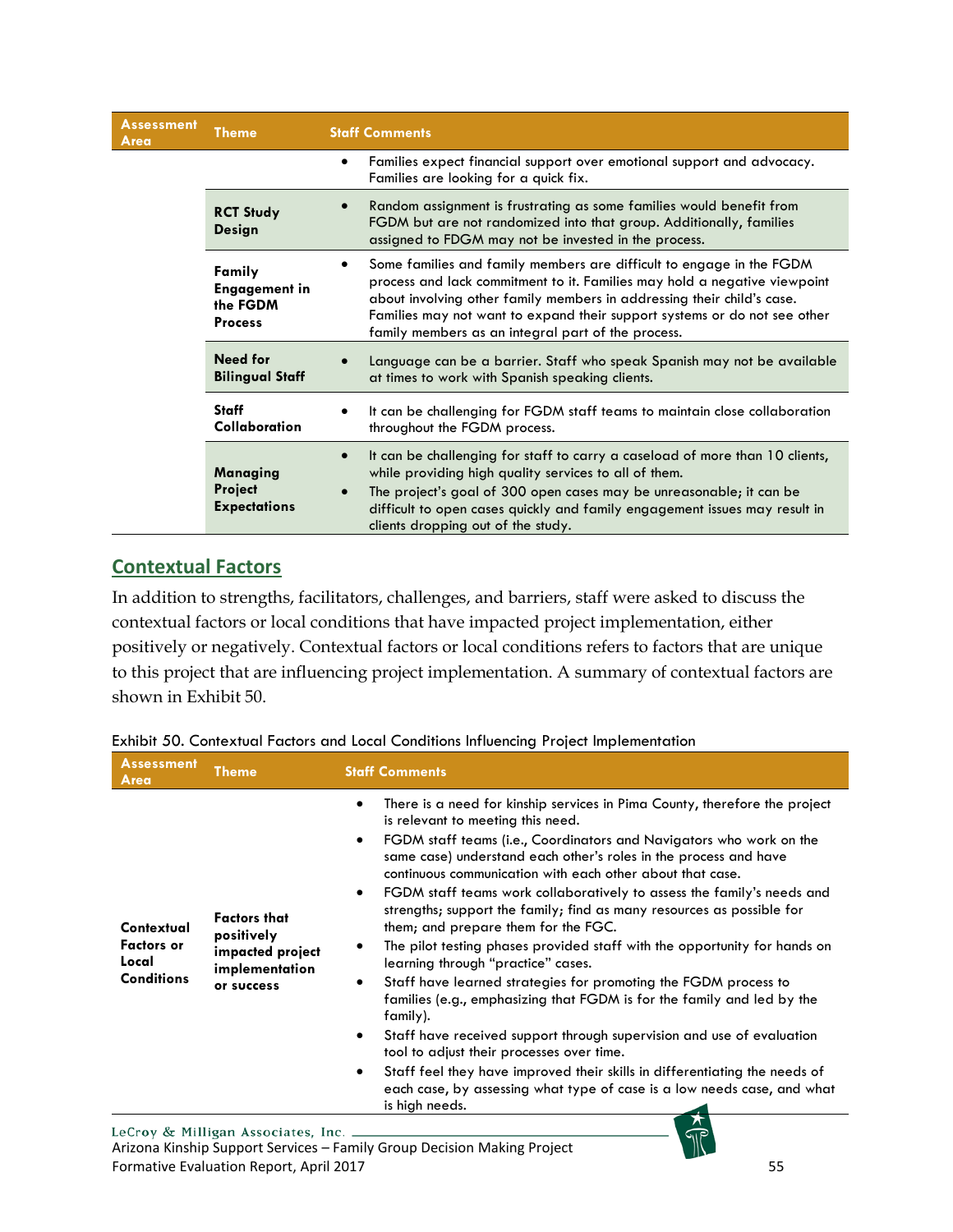| <b>Assessment</b><br>Area                                                 | Theme                                             | <b>Staff Comments</b>                                                                                                                                                                                                                                                                                                                                          |  |
|---------------------------------------------------------------------------|---------------------------------------------------|----------------------------------------------------------------------------------------------------------------------------------------------------------------------------------------------------------------------------------------------------------------------------------------------------------------------------------------------------------------|--|
|                                                                           |                                                   | Families expect financial support over emotional support and advocacy.<br>٠<br>Families are looking for a quick fix.                                                                                                                                                                                                                                           |  |
|                                                                           | <b>RCT Study</b><br>Design                        | Random assignment is frustrating as some families would benefit from<br>FGDM but are not randomized into that group. Additionally, families<br>assigned to FDGM may not be invested in the process.                                                                                                                                                            |  |
| $\bullet$<br>Family<br><b>Engagement in</b><br>the FGDM<br><b>Process</b> |                                                   | Some families and family members are difficult to engage in the FGDM<br>process and lack commitment to it. Families may hold a negative viewpoint<br>about involving other family members in addressing their child's case.<br>Families may not want to expand their support systems or do not see other<br>family members as an integral part of the process. |  |
|                                                                           | Need for<br><b>Bilingual Staff</b>                | Language can be a barrier. Staff who speak Spanish may not be available<br>at times to work with Spanish speaking clients.                                                                                                                                                                                                                                     |  |
|                                                                           | <b>Staff</b><br>Collaboration                     | It can be challenging for FGDM staff teams to maintain close collaboration<br>throughout the FGDM process.                                                                                                                                                                                                                                                     |  |
|                                                                           | Managing<br><b>Project</b><br><b>Expectations</b> | It can be challenging for staff to carry a caseload of more than 10 clients,<br>$\bullet$<br>while providing high quality services to all of them.<br>The project's goal of 300 open cases may be unreasonable; it can be<br>difficult to open cases quickly and family engagement issues may result in<br>clients dropping out of the study.                  |  |

# <span id="page-55-0"></span>**Contextual Factors**

In addition to strengths, facilitators, challenges, and barriers, staff were asked to discuss the contextual factors or local conditions that have impacted project implementation, either positively or negatively. Contextual factors or local conditions refers to factors that are unique to this project that are influencing project implementation. A summary of contextual factors are shown in Exhibit 50.

| <b>Assessment</b><br>Area                                     | <b>Staff Comments</b><br><b>Theme</b>                                                 |                                                                                                                                                                                                                                                                                                                                                                                                                                                                                                                                                                                                                                                                                                                                                                                                                                                                                                                                                                                                                                                                                                                                                                           |  |
|---------------------------------------------------------------|---------------------------------------------------------------------------------------|---------------------------------------------------------------------------------------------------------------------------------------------------------------------------------------------------------------------------------------------------------------------------------------------------------------------------------------------------------------------------------------------------------------------------------------------------------------------------------------------------------------------------------------------------------------------------------------------------------------------------------------------------------------------------------------------------------------------------------------------------------------------------------------------------------------------------------------------------------------------------------------------------------------------------------------------------------------------------------------------------------------------------------------------------------------------------------------------------------------------------------------------------------------------------|--|
| Contextual<br><b>Factors</b> or<br>Local<br><b>Conditions</b> | <b>Factors that</b><br>positively<br>impacted project<br>implementation<br>or success | There is a need for kinship services in Pima County, therefore the project<br>$\bullet$<br>is relevant to meeting this need.<br>FGDM staff teams (i.e., Coordinators and Navigators who work on the<br>$\bullet$<br>same case) understand each other's roles in the process and have<br>continuous communication with each other about that case.<br>FGDM staff teams work collaboratively to assess the family's needs and<br>$\bullet$<br>strengths; support the family; find as many resources as possible for<br>them; and prepare them for the FGC.<br>The pilot testing phases provided staff with the opportunity for hands on<br>٠<br>learning through "practice" cases.<br>Staff have learned strategies for promoting the FGDM process to<br>٠<br>families (e.g., emphasizing that FGDM is for the family and led by the<br>family).<br>Staff have received support through supervision and use of evaluation<br>$\bullet$<br>tool to adjust their processes over time.<br>Staff feel they have improved their skills in differentiating the needs of<br>$\bullet$<br>each case, by assessing what type of case is a low needs case, and what<br>is high needs. |  |
|                                                               |                                                                                       |                                                                                                                                                                                                                                                                                                                                                                                                                                                                                                                                                                                                                                                                                                                                                                                                                                                                                                                                                                                                                                                                                                                                                                           |  |

<span id="page-55-1"></span>Exhibit 50. Contextual Factors and Local Conditions Influencing Project Implementation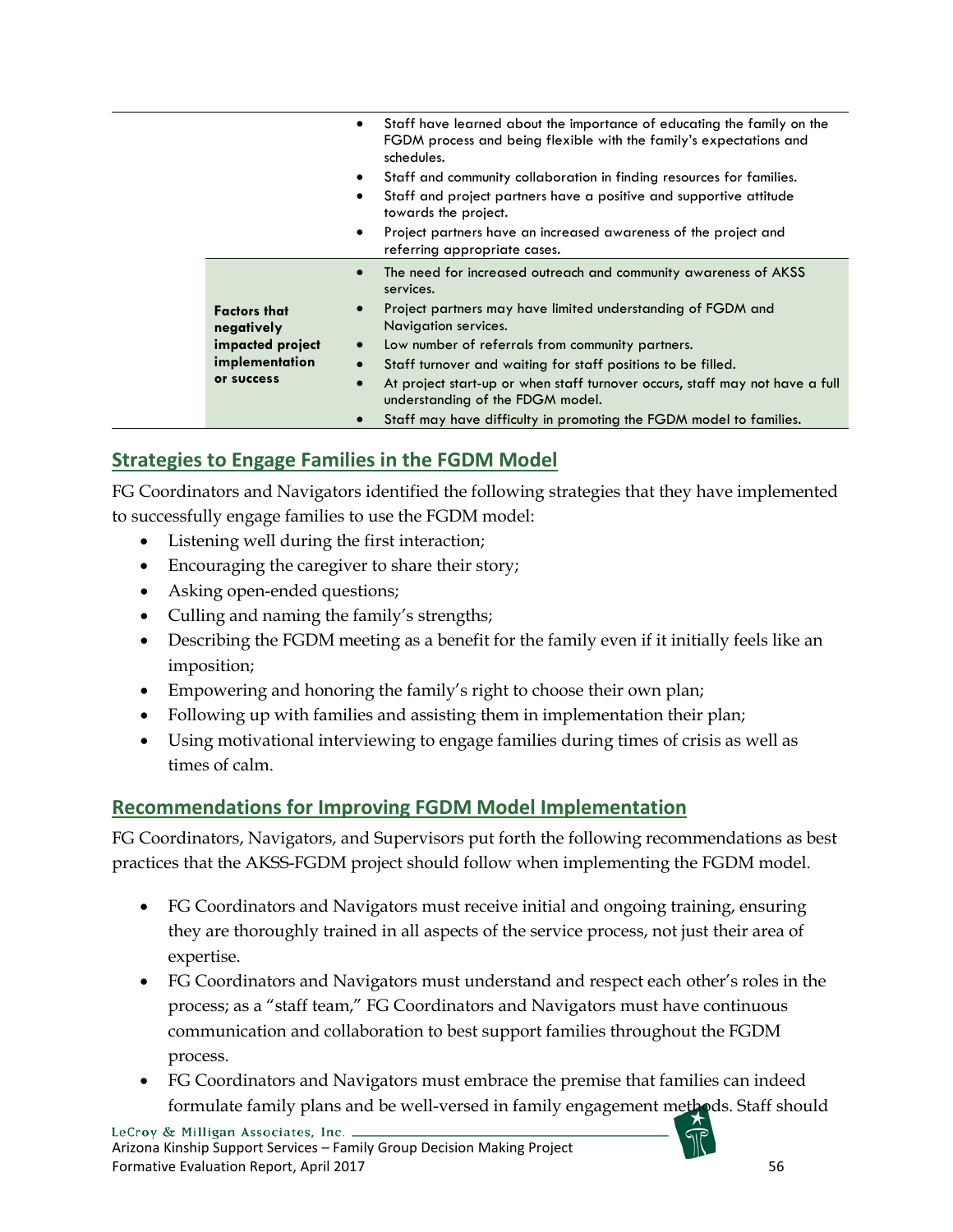|                                                                                       | Staff have learned about the importance of educating the family on the<br>٠<br>FGDM process and being flexible with the family's expectations and<br>schedules.<br>Staff and community collaboration in finding resources for families.<br>$\bullet$<br>Staff and project partners have a positive and supportive attitude<br>٠<br>towards the project.<br>Project partners have an increased awareness of the project and<br>$\bullet$<br>referring appropriate cases.                                                                                         |
|---------------------------------------------------------------------------------------|-----------------------------------------------------------------------------------------------------------------------------------------------------------------------------------------------------------------------------------------------------------------------------------------------------------------------------------------------------------------------------------------------------------------------------------------------------------------------------------------------------------------------------------------------------------------|
| <b>Factors that</b><br>negatively<br>impacted project<br>implementation<br>or success | The need for increased outreach and community awareness of AKSS<br>$\bullet$<br>services.<br>Project partners may have limited understanding of FGDM and<br>$\bullet$<br>Navigation services.<br>Low number of referrals from community partners.<br>$\bullet$<br>Staff turnover and waiting for staff positions to be filled.<br>$\bullet$<br>At project start-up or when staff turnover occurs, staff may not have a full<br>$\bullet$<br>understanding of the FDGM model.<br>Staff may have difficulty in promoting the FGDM model to families.<br>$\bullet$ |

# <span id="page-56-0"></span>**Strategies to Engage Families in the FGDM Model**

FG Coordinators and Navigators identified the following strategies that they have implemented to successfully engage families to use the FGDM model:

- Listening well during the first interaction;
- Encouraging the caregiver to share their story;
- Asking open-ended questions;
- Culling and naming the family's strengths;
- Describing the FGDM meeting as a benefit for the family even if it initially feels like an imposition;
- Empowering and honoring the family's right to choose their own plan;
- Following up with families and assisting them in implementation their plan;
- Using motivational interviewing to engage families during times of crisis as well as times of calm.

# <span id="page-56-1"></span>**Recommendations for Improving FGDM Model Implementation**

FG Coordinators, Navigators, and Supervisors put forth the following recommendations as best practices that the AKSS-FGDM project should follow when implementing the FGDM model.

- FG Coordinators and Navigators must receive initial and ongoing training, ensuring they are thoroughly trained in all aspects of the service process, not just their area of expertise.
- FG Coordinators and Navigators must understand and respect each other's roles in the process; as a "staff team," FG Coordinators and Navigators must have continuous communication and collaboration to best support families throughout the FGDM process.
- FG Coordinators and Navigators must embrace the premise that families can indeed formulate family plans and be well-versed in family engagement methods. Staff should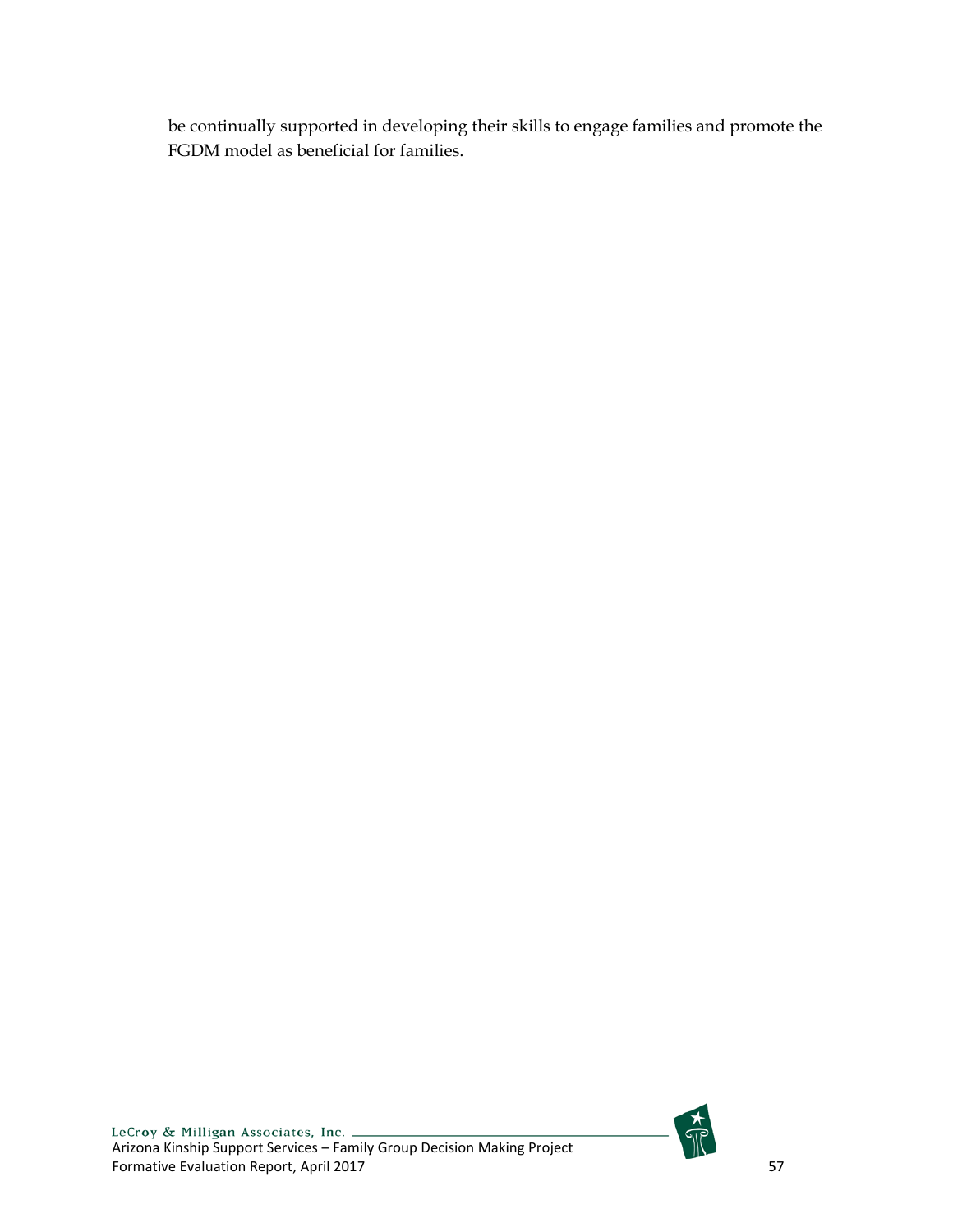be continually supported in developing their skills to engage families and promote the FGDM model as beneficial for families.

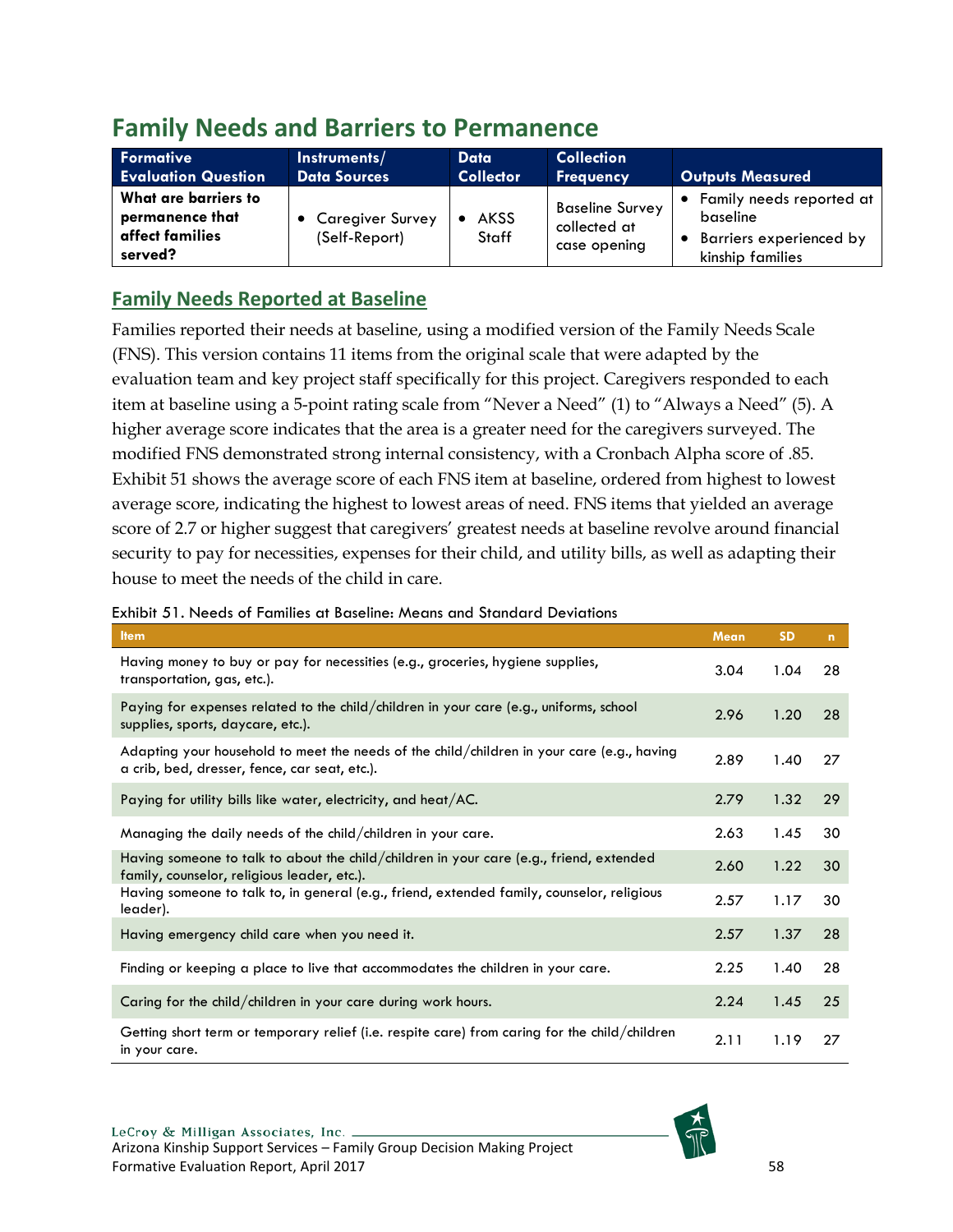# <span id="page-58-0"></span>**Family Needs and Barriers to Permanence**

| Formative                                                             | Instruments/                             | Data                 | <b>Collection</b>                                      | <b>Outputs Measured</b>                                                               |
|-----------------------------------------------------------------------|------------------------------------------|----------------------|--------------------------------------------------------|---------------------------------------------------------------------------------------|
| <b>Evaluation Question</b>                                            | <b>Data Sources</b>                      | <b>Collector</b>     | <b>Frequency</b>                                       |                                                                                       |
| What are barriers to<br>permanence that<br>affect families<br>served? | <b>Caregiver Survey</b><br>(Self-Report) | <b>AKSS</b><br>Staff | <b>Baseline Survey</b><br>collected at<br>case opening | • Family needs reported at<br>baseline<br>Barriers experienced by<br>kinship families |

# <span id="page-58-1"></span>**Family Needs Reported at Baseline**

Families reported their needs at baseline, using a modified version of the Family Needs Scale (FNS). This version contains 11 items from the original scale that were adapted by the evaluation team and key project staff specifically for this project. Caregivers responded to each item at baseline using a 5-point rating scale from "Never a Need" (1) to "Always a Need" (5). A higher average score indicates that the area is a greater need for the caregivers surveyed. The modified FNS demonstrated strong internal consistency, with a Cronbach Alpha score of .85. Exhibit 51 shows the average score of each FNS item at baseline, ordered from highest to lowest average score, indicating the highest to lowest areas of need. FNS items that yielded an average score of 2.7 or higher suggest that caregivers' greatest needs at baseline revolve around financial security to pay for necessities, expenses for their child, and utility bills, as well as adapting their house to meet the needs of the child in care.

| בהטווטוו ט ו ו ויכטעט טו ו טווויווטט טו טעטכווווט. ויוטעווט טווט טוטווטש ט וויס                                                             |             |           |              |
|---------------------------------------------------------------------------------------------------------------------------------------------|-------------|-----------|--------------|
| <b>Item</b>                                                                                                                                 | <b>Mean</b> | <b>SD</b> | $\mathbf{n}$ |
| Having money to buy or pay for necessities (e.g., groceries, hygiene supplies,<br>transportation, gas, etc.).                               | 3.04        | 1.04      | 28           |
| Paying for expenses related to the child/children in your care (e.g., uniforms, school<br>supplies, sports, daycare, etc.).                 | 2.96        | 1.20      | 28           |
| Adapting your household to meet the needs of the child/children in your care (e.g., having<br>a crib, bed, dresser, fence, car seat, etc.). | 2.89        | 1.40      | 27           |
| Paying for utility bills like water, electricity, and heat/AC.                                                                              | 2.79        | 1.32      | 29           |
| Managing the daily needs of the child/children in your care.                                                                                | 2.63        | 1.45      | 30           |
| Having someone to talk to about the child/children in your care (e.g., friend, extended<br>family, counselor, religious leader, etc.).      | 2.60        | 1.22      | 30           |
| Having someone to talk to, in general (e.g., friend, extended family, counselor, religious<br>leader).                                      | 2.57        | 1.17      | 30           |
| Having emergency child care when you need it.                                                                                               | 2.57        | 1.37      | 28           |
| Finding or keeping a place to live that accommodates the children in your care.                                                             | 2.25        | 1.40      | 28           |
| Caring for the child/children in your care during work hours.                                                                               | 2.24        | 1.45      | 25           |
| Getting short term or temporary relief (i.e. respite care) from caring for the child/children<br>in your care.                              | 2.11        | 1.19      | 27           |

<span id="page-58-2"></span>Exhibit 51. Needs of Families at Baseline: Means and Standard Deviations

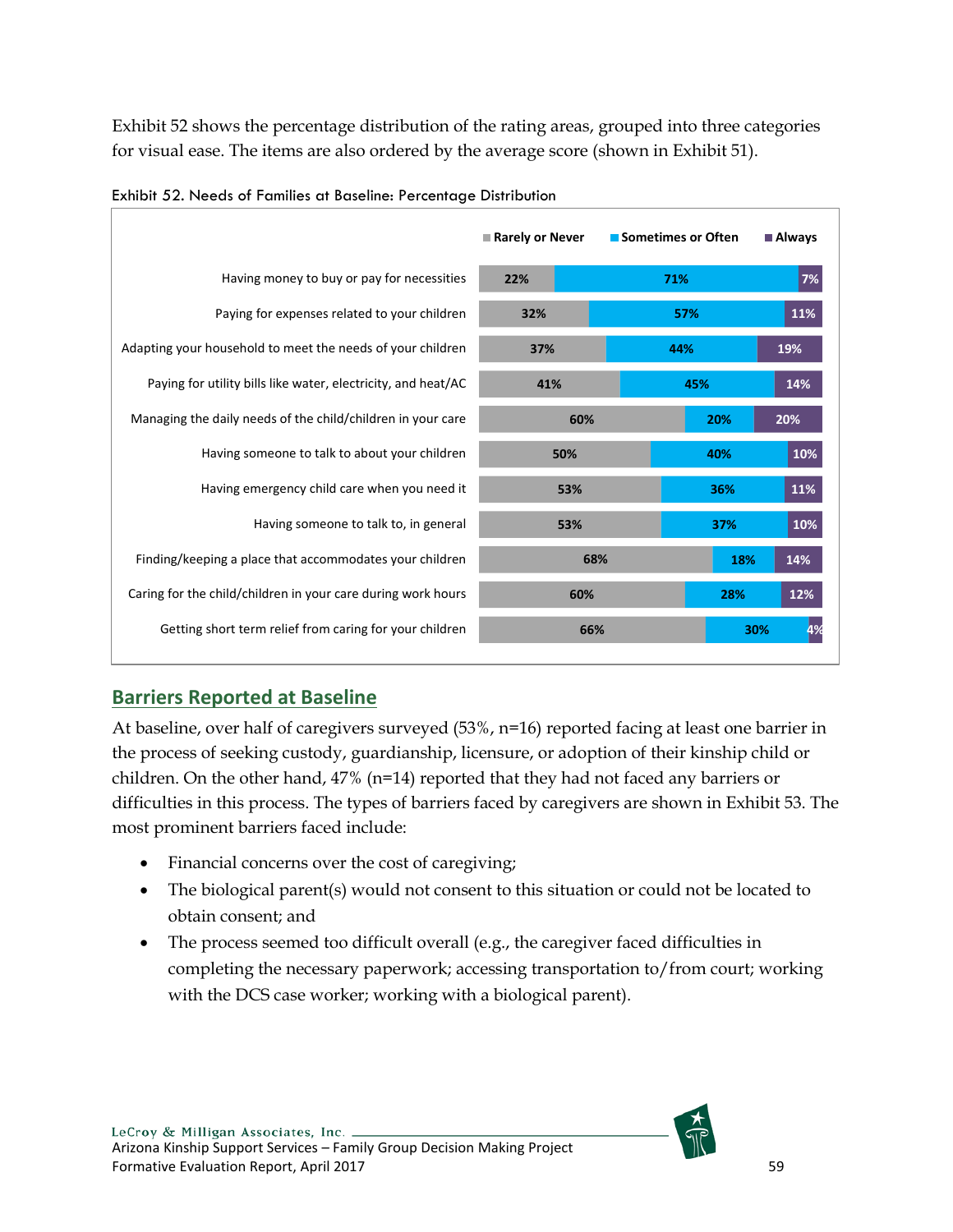Exhibit 52 shows the percentage distribution of the rating areas, grouped into three categories for visual ease. The items are also ordered by the average score (shown in Exhibit 51).

|                                                               | Rarely or Never | ■ Sometimes or Often | Always     |
|---------------------------------------------------------------|-----------------|----------------------|------------|
| Having money to buy or pay for necessities                    | 22%             | 71%                  | 7%         |
| Paying for expenses related to your children                  | 32%             | 57%                  | 11%        |
| Adapting your household to meet the needs of your children    | 44%<br>37%      |                      | 19%        |
| Paying for utility bills like water, electricity, and heat/AC | 41%             | 45%                  | 14%        |
| Managing the daily needs of the child/children in your care   | 60%             |                      | 20%<br>20% |
| Having someone to talk to about your children                 | 50%             |                      | 40%<br>10% |
| Having emergency child care when you need it                  | 53%             |                      | 11%<br>36% |
| Having someone to talk to, in general                         | 53%             |                      | 10%<br>37% |
| Finding/keeping a place that accommodates your children       | 68%             |                      | 14%<br>18% |
| Caring for the child/children in your care during work hours  | 60%             |                      | 28%<br>12% |
| Getting short term relief from caring for your children       | 66%             |                      | 30%        |

<span id="page-59-1"></span>

| Exhibit 52. Needs of Families at Baseline: Percentage Distribution |
|--------------------------------------------------------------------|
|--------------------------------------------------------------------|

# <span id="page-59-0"></span>**Barriers Reported at Baseline**

At baseline, over half of caregivers surveyed (53%, n=16) reported facing at least one barrier in the process of seeking custody, guardianship, licensure, or adoption of their kinship child or children. On the other hand, 47% (n=14) reported that they had not faced any barriers or difficulties in this process. The types of barriers faced by caregivers are shown in Exhibit 53. The most prominent barriers faced include:

- Financial concerns over the cost of caregiving;
- The biological parent(s) would not consent to this situation or could not be located to obtain consent; and
- The process seemed too difficult overall (e.g., the caregiver faced difficulties in completing the necessary paperwork; accessing transportation to/from court; working with the DCS case worker; working with a biological parent).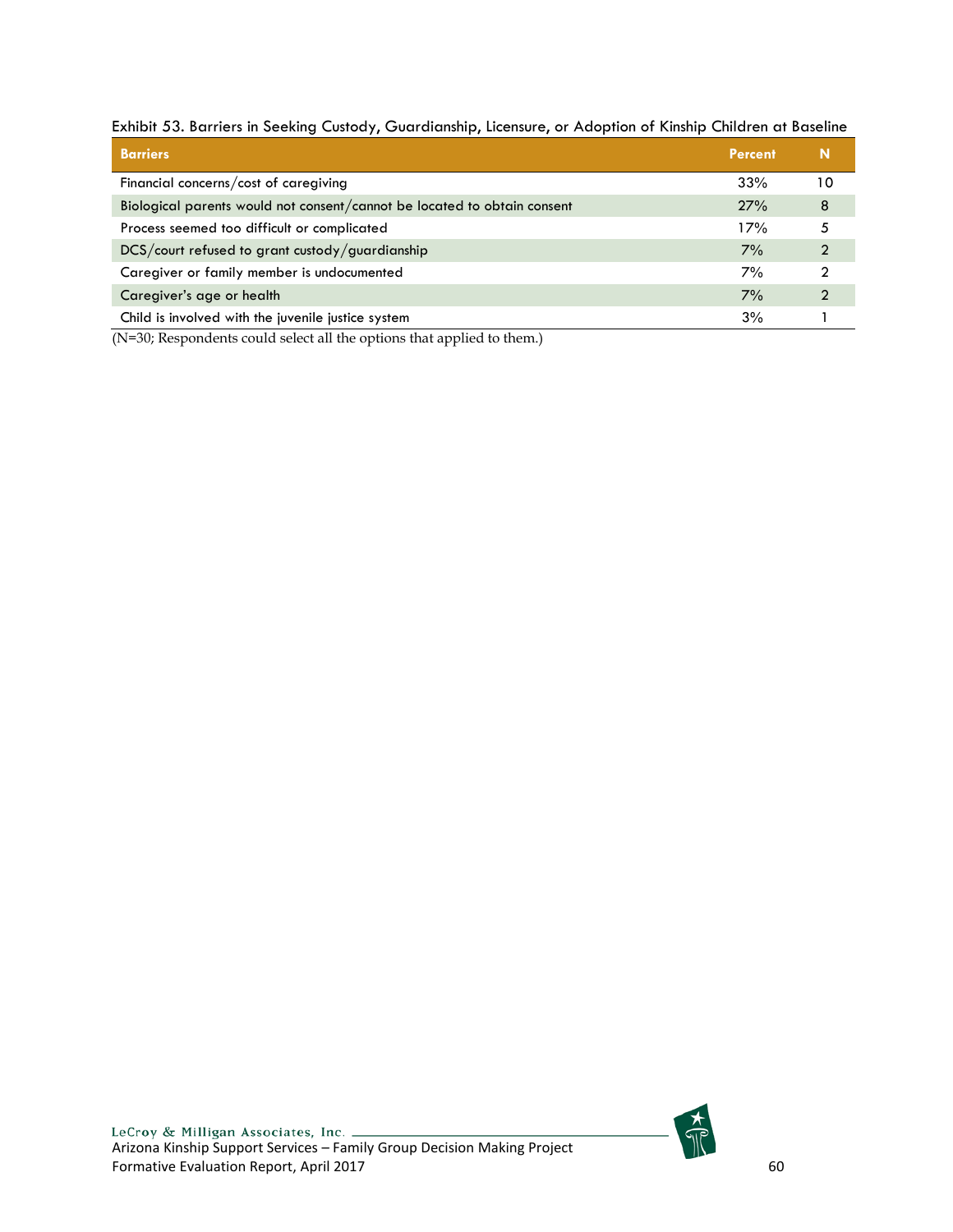| <b>Barriers</b>                                                          | Percent |    |
|--------------------------------------------------------------------------|---------|----|
| Financial concerns/cost of caregiving                                    | 33%     | 10 |
| Biological parents would not consent/cannot be located to obtain consent | 27%     | 8  |
| Process seemed too difficult or complicated                              | 17%     | 5  |
| DCS/court refused to grant custody/guardianship                          | 7%      | C  |
| Caregiver or family member is undocumented                               | 7%      |    |
| Caregiver's age or health                                                | 7%      | ົ  |
| Child is involved with the juvenile justice system                       | 3%      |    |

<span id="page-60-0"></span>Exhibit 53. Barriers in Seeking Custody, Guardianship, Licensure, or Adoption of Kinship Children at Baseline

(N=30; Respondents could select all the options that applied to them.)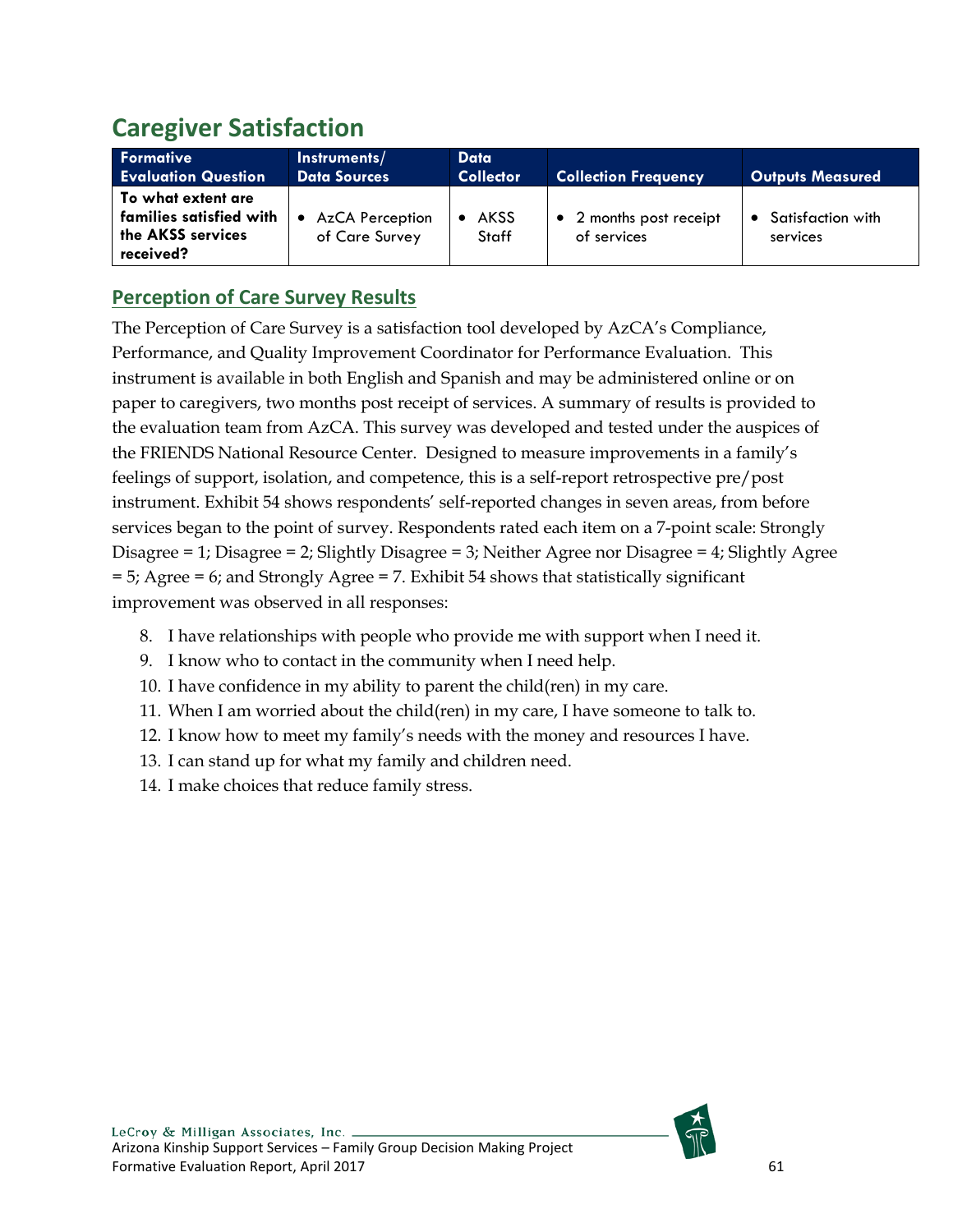# <span id="page-61-0"></span>**Caregiver Satisfaction**

| Formative<br><b>Evaluation Question</b>                                           | Instruments/<br><b>Data Sources</b>                   | Data<br><b>Collector</b> | <b>Collection Frequency</b>            | <b>Outputs Measured</b>       |
|-----------------------------------------------------------------------------------|-------------------------------------------------------|--------------------------|----------------------------------------|-------------------------------|
| l To what extent are<br>families satisfied with<br>the AKSS services<br>received? | <b>AzCA Perception</b><br>$\bullet$<br>of Care Survey | <b>AKSS</b><br>Staff     | • 2 months post receipt<br>of services | Satisfaction with<br>services |

# <span id="page-61-1"></span>**Perception of Care Survey Results**

The Perception of Care Survey is a satisfaction tool developed by AzCA's Compliance, Performance, and Quality Improvement Coordinator for Performance Evaluation. This instrument is available in both English and Spanish and may be administered online or on paper to caregivers, two months post receipt of services. A summary of results is provided to the evaluation team from AzCA. This survey was developed and tested under the auspices of the FRIENDS National Resource Center. Designed to measure improvements in a family's feelings of support, isolation, and competence, this is a self-report retrospective pre/post instrument. Exhibit 54 shows respondents' self-reported changes in seven areas, from before services began to the point of survey. Respondents rated each item on a 7-point scale: Strongly Disagree = 1; Disagree = 2; Slightly Disagree = 3; Neither Agree nor Disagree = 4; Slightly Agree = 5; Agree = 6; and Strongly Agree = 7. Exhibit 54 shows that statistically significant improvement was observed in all responses:

- 8. I have relationships with people who provide me with support when I need it.
- 9. I know who to contact in the community when I need help.
- 10. I have confidence in my ability to parent the child(ren) in my care.
- 11. When I am worried about the child(ren) in my care, I have someone to talk to.
- 12. I know how to meet my family's needs with the money and resources I have.
- 13. I can stand up for what my family and children need.
- 14. I make choices that reduce family stress.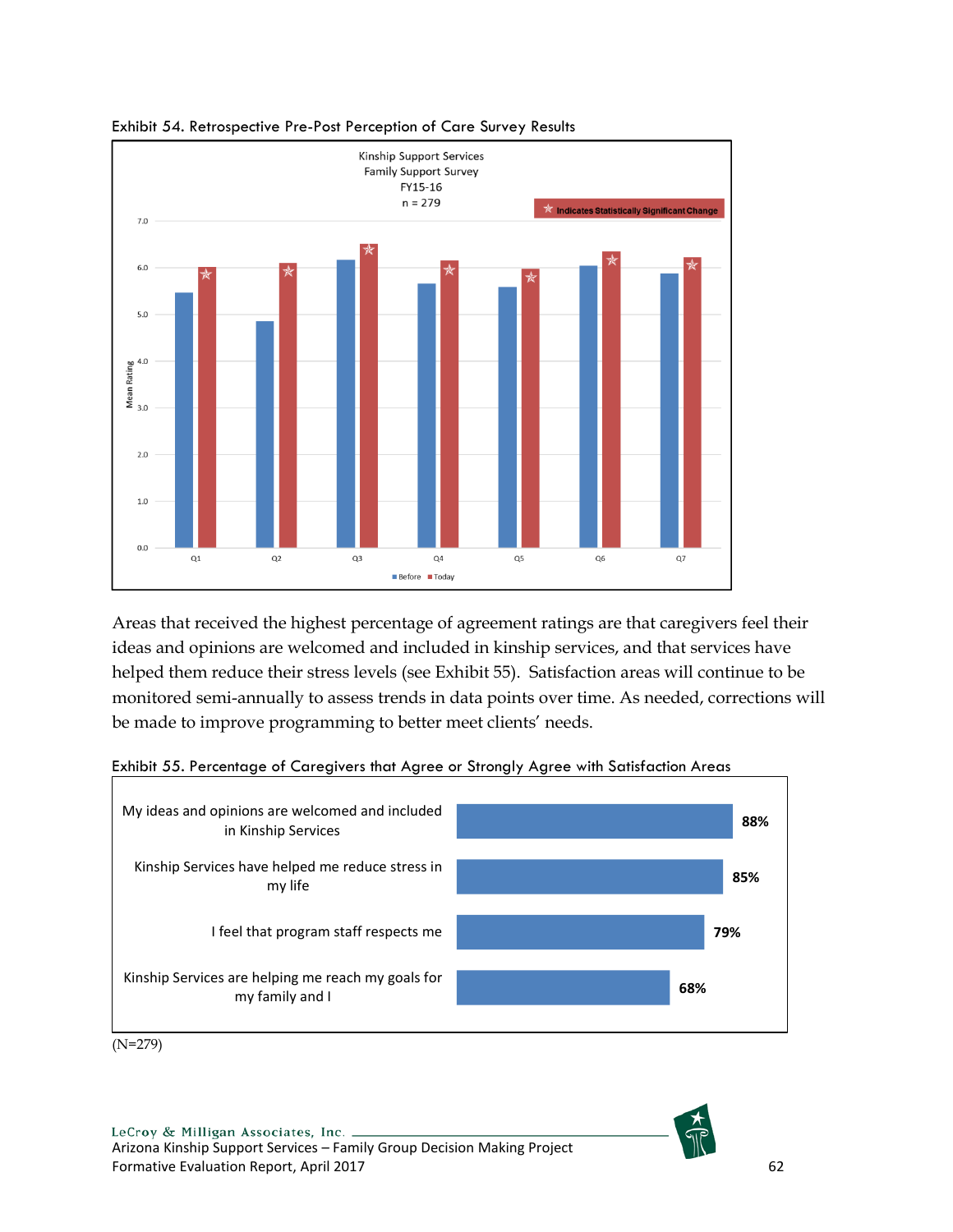

<span id="page-62-0"></span>

Areas that received the highest percentage of agreement ratings are that caregivers feel their ideas and opinions are welcomed and included in kinship services, and that services have helped them reduce their stress levels (see Exhibit 55). Satisfaction areas will continue to be monitored semi-annually to assess trends in data points over time. As needed, corrections will be made to improve programming to better meet clients' needs.



<span id="page-62-1"></span>Exhibit 55. Percentage of Caregivers that Agree or Strongly Agree with Satisfaction Areas

(N=279)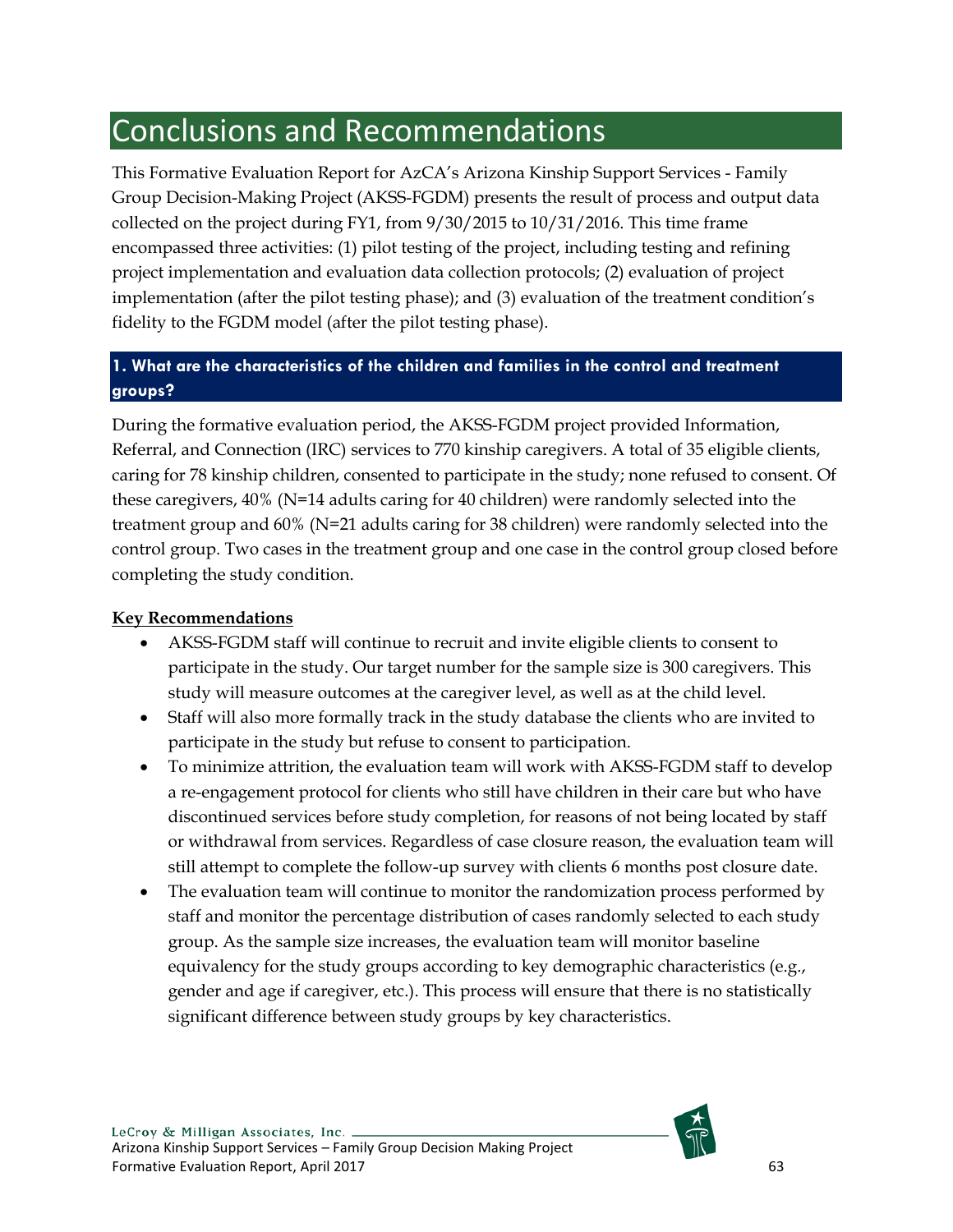# <span id="page-63-0"></span>Conclusions and Recommendations

This Formative Evaluation Report for AzCA's Arizona Kinship Support Services - Family Group Decision-Making Project (AKSS-FGDM) presents the result of process and output data collected on the project during FY1, from 9/30/2015 to 10/31/2016. This time frame encompassed three activities: (1) pilot testing of the project, including testing and refining project implementation and evaluation data collection protocols; (2) evaluation of project implementation (after the pilot testing phase); and (3) evaluation of the treatment condition's fidelity to the FGDM model (after the pilot testing phase).

# **1. What are the characteristics of the children and families in the control and treatment groups?**

During the formative evaluation period, the AKSS-FGDM project provided Information, Referral, and Connection (IRC) services to 770 kinship caregivers. A total of 35 eligible clients, caring for 78 kinship children, consented to participate in the study; none refused to consent. Of these caregivers, 40% (N=14 adults caring for 40 children) were randomly selected into the treatment group and 60% (N=21 adults caring for 38 children) were randomly selected into the control group. Two cases in the treatment group and one case in the control group closed before completing the study condition.

## **Key Recommendations**

- AKSS-FGDM staff will continue to recruit and invite eligible clients to consent to participate in the study. Our target number for the sample size is 300 caregivers. This study will measure outcomes at the caregiver level, as well as at the child level.
- Staff will also more formally track in the study database the clients who are invited to participate in the study but refuse to consent to participation.
- To minimize attrition, the evaluation team will work with AKSS-FGDM staff to develop a re-engagement protocol for clients who still have children in their care but who have discontinued services before study completion, for reasons of not being located by staff or withdrawal from services. Regardless of case closure reason, the evaluation team will still attempt to complete the follow-up survey with clients 6 months post closure date.
- The evaluation team will continue to monitor the randomization process performed by staff and monitor the percentage distribution of cases randomly selected to each study group. As the sample size increases, the evaluation team will monitor baseline equivalency for the study groups according to key demographic characteristics (e.g., gender and age if caregiver, etc.). This process will ensure that there is no statistically significant difference between study groups by key characteristics.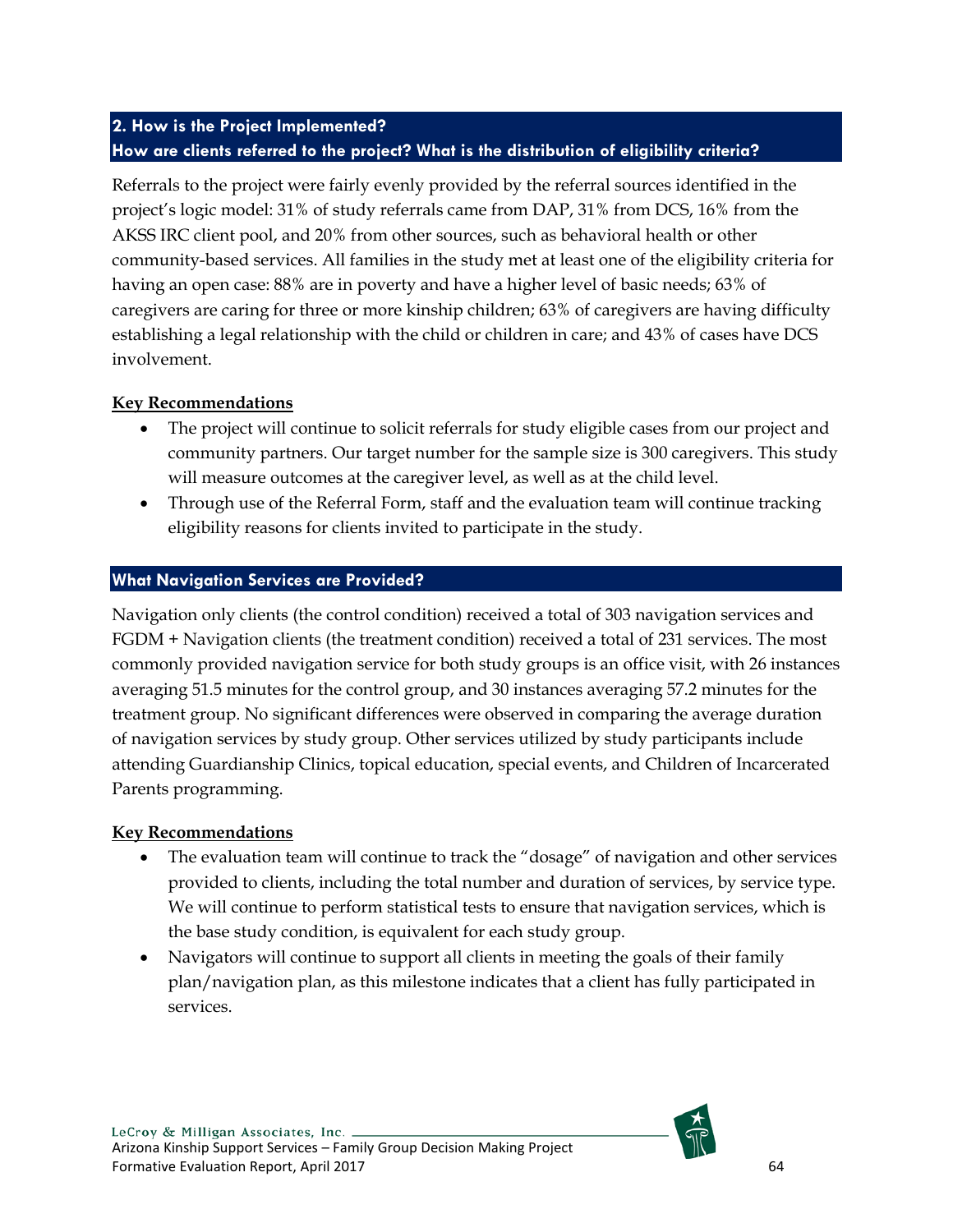# **2. How is the Project Implemented? How are clients referred to the project? What is the distribution of eligibility criteria?**

Referrals to the project were fairly evenly provided by the referral sources identified in the project's logic model: 31% of study referrals came from DAP, 31% from DCS, 16% from the AKSS IRC client pool, and 20% from other sources, such as behavioral health or other community-based services. All families in the study met at least one of the eligibility criteria for having an open case: 88% are in poverty and have a higher level of basic needs; 63% of caregivers are caring for three or more kinship children; 63% of caregivers are having difficulty establishing a legal relationship with the child or children in care; and 43% of cases have DCS involvement.

## **Key Recommendations**

- The project will continue to solicit referrals for study eligible cases from our project and community partners. Our target number for the sample size is 300 caregivers. This study will measure outcomes at the caregiver level, as well as at the child level.
- Through use of the Referral Form, staff and the evaluation team will continue tracking eligibility reasons for clients invited to participate in the study.

## **What Navigation Services are Provided?**

Navigation only clients (the control condition) received a total of 303 navigation services and FGDM + Navigation clients (the treatment condition) received a total of 231 services. The most commonly provided navigation service for both study groups is an office visit, with 26 instances averaging 51.5 minutes for the control group, and 30 instances averaging 57.2 minutes for the treatment group. No significant differences were observed in comparing the average duration of navigation services by study group. Other services utilized by study participants include attending Guardianship Clinics, topical education, special events, and Children of Incarcerated Parents programming.

## **Key Recommendations**

- The evaluation team will continue to track the "dosage" of navigation and other services provided to clients, including the total number and duration of services, by service type. We will continue to perform statistical tests to ensure that navigation services, which is the base study condition, is equivalent for each study group.
- Navigators will continue to support all clients in meeting the goals of their family plan/navigation plan, as this milestone indicates that a client has fully participated in services.

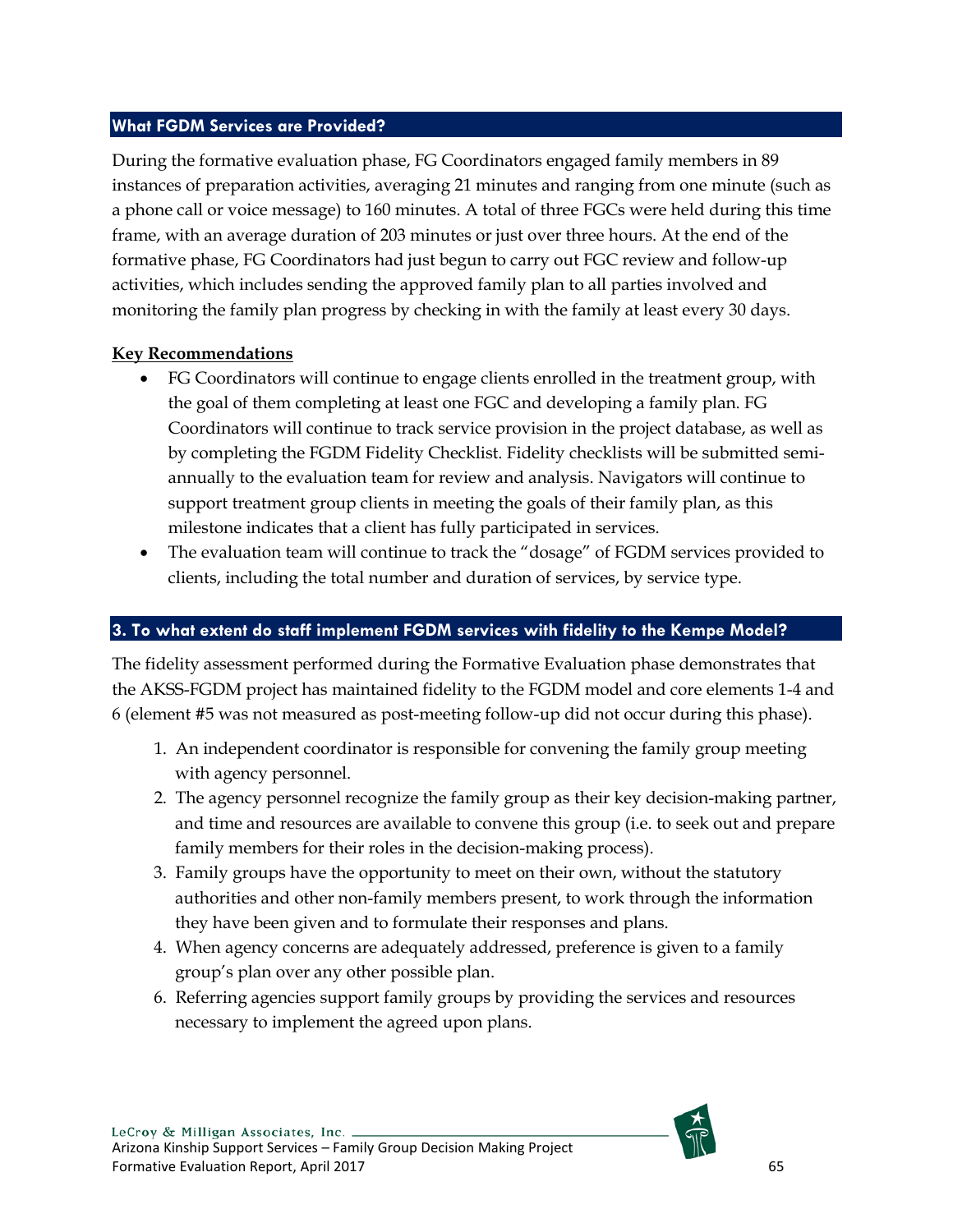## **What FGDM Services are Provided?**

During the formative evaluation phase, FG Coordinators engaged family members in 89 instances of preparation activities, averaging 21 minutes and ranging from one minute (such as a phone call or voice message) to 160 minutes. A total of three FGCs were held during this time frame, with an average duration of 203 minutes or just over three hours. At the end of the formative phase, FG Coordinators had just begun to carry out FGC review and follow-up activities, which includes sending the approved family plan to all parties involved and monitoring the family plan progress by checking in with the family at least every 30 days.

#### **Key Recommendations**

- FG Coordinators will continue to engage clients enrolled in the treatment group, with the goal of them completing at least one FGC and developing a family plan. FG Coordinators will continue to track service provision in the project database, as well as by completing the FGDM Fidelity Checklist. Fidelity checklists will be submitted semiannually to the evaluation team for review and analysis. Navigators will continue to support treatment group clients in meeting the goals of their family plan, as this milestone indicates that a client has fully participated in services.
- The evaluation team will continue to track the "dosage" of FGDM services provided to clients, including the total number and duration of services, by service type.

## **3. To what extent do staff implement FGDM services with fidelity to the Kempe Model?**

The fidelity assessment performed during the Formative Evaluation phase demonstrates that the AKSS-FGDM project has maintained fidelity to the FGDM model and core elements 1-4 and 6 (element #5 was not measured as post-meeting follow-up did not occur during this phase).

- 1. An independent coordinator is responsible for convening the family group meeting with agency personnel.
- 2. The agency personnel recognize the family group as their key decision-making partner, and time and resources are available to convene this group (i.e. to seek out and prepare family members for their roles in the decision-making process).
- 3. Family groups have the opportunity to meet on their own, without the statutory authorities and other non-family members present, to work through the information they have been given and to formulate their responses and plans.
- 4. When agency concerns are adequately addressed, preference is given to a family group's plan over any other possible plan.
- 6. Referring agencies support family groups by providing the services and resources necessary to implement the agreed upon plans.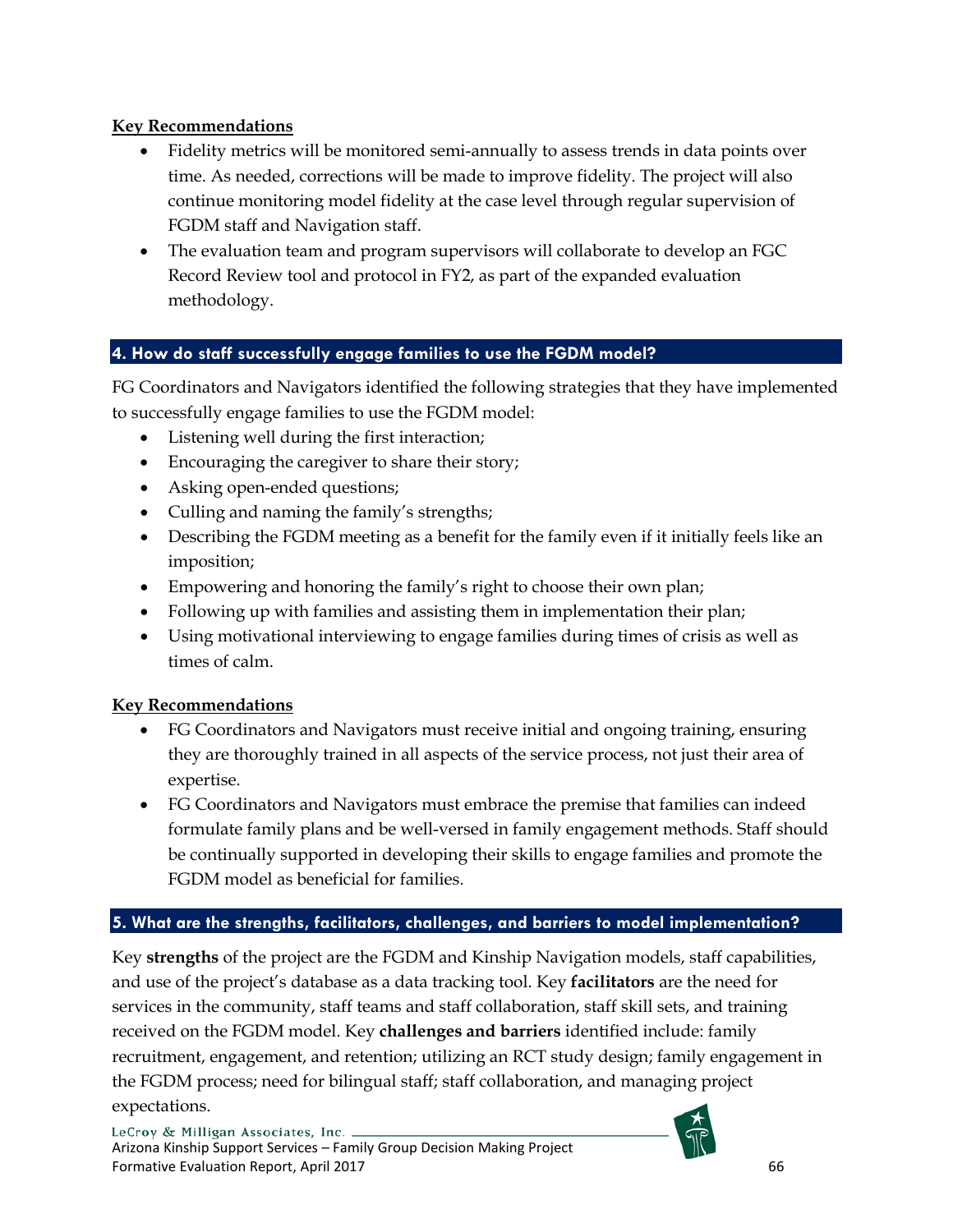## **Key Recommendations**

- Fidelity metrics will be monitored semi-annually to assess trends in data points over time. As needed, corrections will be made to improve fidelity. The project will also continue monitoring model fidelity at the case level through regular supervision of FGDM staff and Navigation staff.
- The evaluation team and program supervisors will collaborate to develop an FGC Record Review tool and protocol in FY2, as part of the expanded evaluation methodology.

# **4. How do staff successfully engage families to use the FGDM model?**

FG Coordinators and Navigators identified the following strategies that they have implemented to successfully engage families to use the FGDM model:

- Listening well during the first interaction;
- Encouraging the caregiver to share their story;
- Asking open-ended questions;
- Culling and naming the family's strengths;
- Describing the FGDM meeting as a benefit for the family even if it initially feels like an imposition;
- Empowering and honoring the family's right to choose their own plan;
- Following up with families and assisting them in implementation their plan;
- Using motivational interviewing to engage families during times of crisis as well as times of calm.

## **Key Recommendations**

- FG Coordinators and Navigators must receive initial and ongoing training, ensuring they are thoroughly trained in all aspects of the service process, not just their area of expertise.
- FG Coordinators and Navigators must embrace the premise that families can indeed formulate family plans and be well-versed in family engagement methods. Staff should be continually supported in developing their skills to engage families and promote the FGDM model as beneficial for families.

# **5. What are the strengths, facilitators, challenges, and barriers to model implementation?**

Key **strengths** of the project are the FGDM and Kinship Navigation models, staff capabilities, and use of the project's database as a data tracking tool. Key **facilitators** are the need for services in the community, staff teams and staff collaboration, staff skill sets, and training received on the FGDM model. Key **challenges and barriers** identified include: family recruitment, engagement, and retention; utilizing an RCT study design; family engagement in the FGDM process; need for bilingual staff; staff collaboration, and managing project expectations.

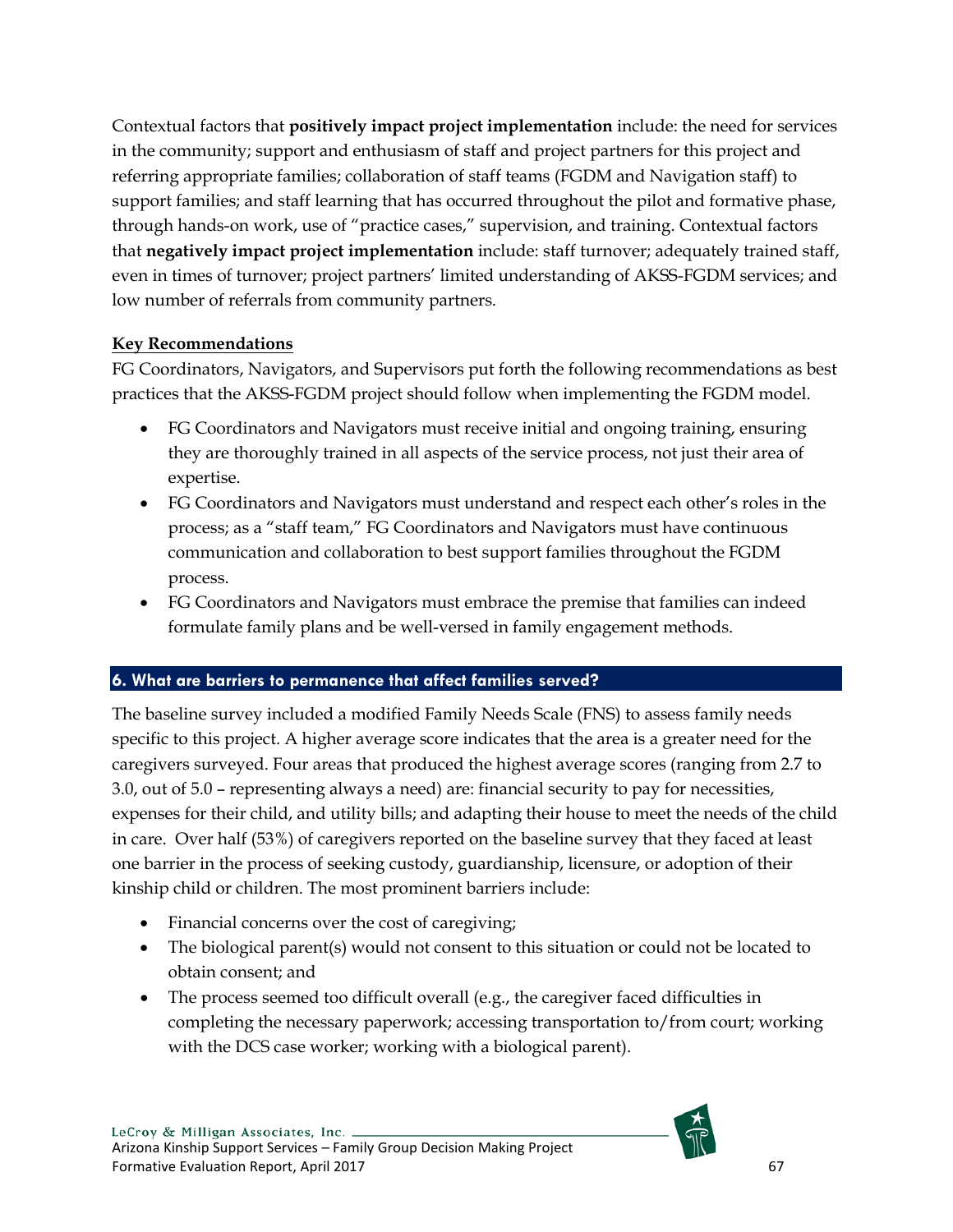Contextual factors that **positively impact project implementation** include: the need for services in the community; support and enthusiasm of staff and project partners for this project and referring appropriate families; collaboration of staff teams (FGDM and Navigation staff) to support families; and staff learning that has occurred throughout the pilot and formative phase, through hands-on work, use of "practice cases," supervision, and training. Contextual factors that **negatively impact project implementation** include: staff turnover; adequately trained staff, even in times of turnover; project partners' limited understanding of AKSS-FGDM services; and low number of referrals from community partners.

## **Key Recommendations**

FG Coordinators, Navigators, and Supervisors put forth the following recommendations as best practices that the AKSS-FGDM project should follow when implementing the FGDM model.

- FG Coordinators and Navigators must receive initial and ongoing training, ensuring they are thoroughly trained in all aspects of the service process, not just their area of expertise.
- FG Coordinators and Navigators must understand and respect each other's roles in the process; as a "staff team," FG Coordinators and Navigators must have continuous communication and collaboration to best support families throughout the FGDM process.
- FG Coordinators and Navigators must embrace the premise that families can indeed formulate family plans and be well-versed in family engagement methods.

## **6. What are barriers to permanence that affect families served?**

The baseline survey included a modified Family Needs Scale (FNS) to assess family needs specific to this project. A higher average score indicates that the area is a greater need for the caregivers surveyed. Four areas that produced the highest average scores (ranging from 2.7 to 3.0, out of 5.0 – representing always a need) are: financial security to pay for necessities, expenses for their child, and utility bills; and adapting their house to meet the needs of the child in care. Over half (53%) of caregivers reported on the baseline survey that they faced at least one barrier in the process of seeking custody, guardianship, licensure, or adoption of their kinship child or children. The most prominent barriers include:

- Financial concerns over the cost of caregiving;
- The biological parent(s) would not consent to this situation or could not be located to obtain consent; and
- The process seemed too difficult overall (e.g., the caregiver faced difficulties in completing the necessary paperwork; accessing transportation to/from court; working with the DCS case worker; working with a biological parent).